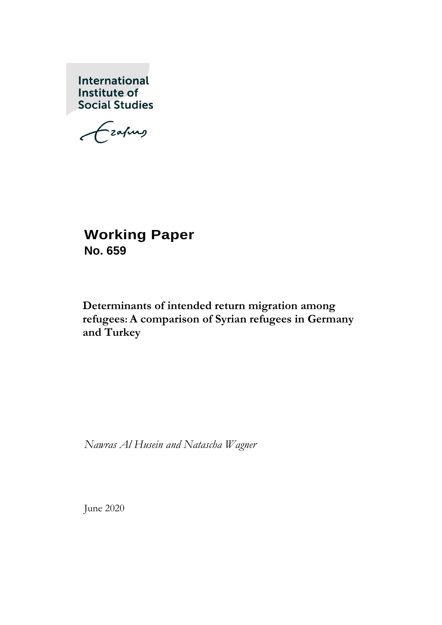International Institute of **Social Studies** 

Grafing

# **Working Paper No. 659**

# **Determinants of intended return migration among refugees: A comparison of Syrian refugees in Germany and Turkey**

*Nawras Al Husein and Natascha Wagner*

June 2020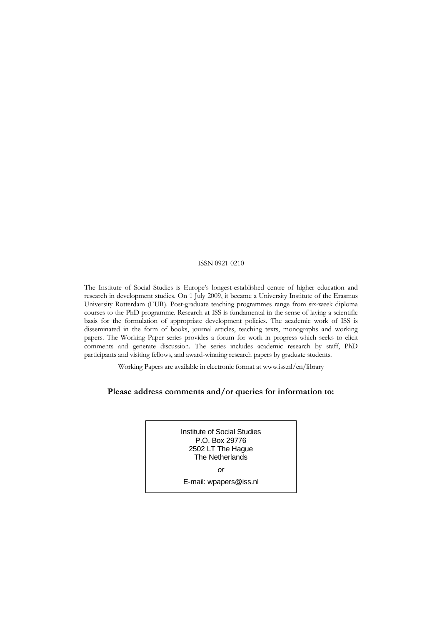#### ISSN 0921-0210

The Institute of Social Studies is Europe's longest-established centre of higher education and research in development studies. On 1 July 2009, it became a University Institute of the Erasmus University Rotterdam (EUR). Post-graduate teaching programmes range from six-week diploma courses to the PhD programme. Research at ISS is fundamental in the sense of laying a scientific basis for the formulation of appropriate development policies. The academic work of ISS is disseminated in the form of books, journal articles, teaching texts, monographs and working papers. The Working Paper series provides a forum for work in progress which seeks to elicit comments and generate discussion. The series includes academic research by staff, PhD participants and visiting fellows, and award-winning research papers by graduate students.

Working Papers are available in electronic format at www.iss.nl/en/library

#### **Please address comments and/or queries for information to:**

Institute of Social Studies P.O. Box 29776 2502 LT The Hague The Netherlands

*or* 

E-mail: wpapers@iss.nl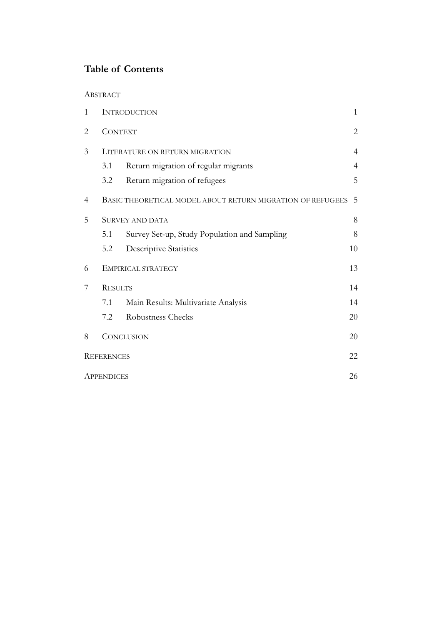## **Table of Contents**

## ABSTRACT

| 1 |                   | <b>INTRODUCTION</b>                                        | $\mathbf{1}$   |
|---|-------------------|------------------------------------------------------------|----------------|
| 2 | <b>CONTEXT</b>    |                                                            | 2              |
| 3 |                   | LITERATURE ON RETURN MIGRATION                             | $\overline{4}$ |
|   | 3.1               | Return migration of regular migrants                       | $\overline{4}$ |
|   | 3.2               | Return migration of refugees                               | 5              |
| 4 |                   | BASIC THEORETICAL MODEL ABOUT RETURN MIGRATION OF REFUGEES | 5              |
| 5 |                   | <b>SURVEY AND DATA</b>                                     | 8              |
|   | 5.1               | Survey Set-up, Study Population and Sampling               | 8              |
|   | 5.2               | <b>Descriptive Statistics</b>                              | 10             |
| 6 |                   | EMPIRICAL STRATEGY                                         | 13             |
| 7 | <b>RESULTS</b>    |                                                            | 14             |
|   | 7.1               | Main Results: Multivariate Analysis                        | 14             |
|   | 7.2               | Robustness Checks                                          | 20             |
| 8 |                   | <b>CONCLUSION</b>                                          | 20             |
|   | <b>REFERENCES</b> |                                                            | 22             |
|   | <b>APPENDICES</b> |                                                            | 26             |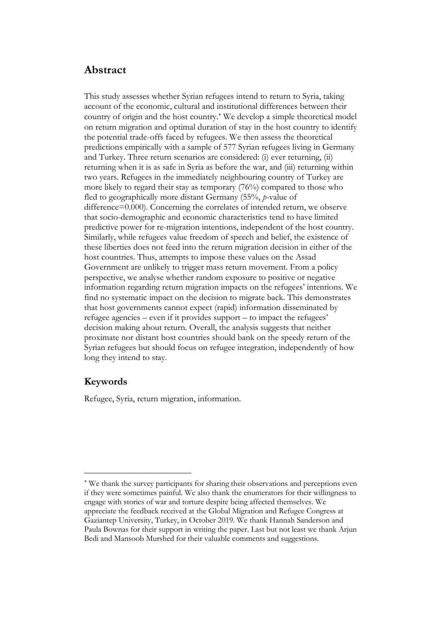## **Abstract**

This study assesses whether Syrian refugees intend to return to Syria, taking account of the economic, cultural and institutional differences between their country of origin and the host country.<sup>\*</sup> We develop a simple theoretical model on return migration and optimal duration of stay in the host country to identify the potential trade-offs faced by refugees. We then assess the theoretical predictions empirically with a sample of 577 Syrian refugees living in Germany and Turkey. Three return scenarios are considered: (i) ever returning, (ii) returning when it is as safe in Syria as before the war, and (iii) returning within two years. Refugees in the immediately neighbouring country of Turkey are more likely to regard their stay as temporary (76%) compared to those who fled to geographically more distant Germany (55%, *p*-value of difference=0.000). Concerning the correlates of intended return, we observe that socio-demographic and economic characteristics tend to have limited predictive power for re-migration intentions, independent of the host country. Similarly, while refugees value freedom of speech and belief, the existence of these liberties does not feed into the return migration decision in either of the host countries. Thus, attempts to impose these values on the Assad Government are unlikely to trigger mass return movement. From a policy perspective, we analyse whether random exposure to positive or negative information regarding return migration impacts on the refugees' intentions. We find no systematic impact on the decision to migrate back. This demonstrates that host governments cannot expect (rapid) information disseminated by refugee agencies – even if it provides support – to impact the refugees' decision making about return. Overall, the analysis suggests that neither proximate nor distant host countries should bank on the speedy return of the Syrian refugees but should focus on refugee integration, independently of how long they intend to stay.

## **Keywords**

Refugee, Syria, return migration, information.

We thank the survey participants for sharing their observations and perceptions even if they were sometimes painful. We also thank the enumerators for their willingness to engage with stories of war and torture despite being affected themselves. We appreciate the feedback received at the Global Migration and Refugee Congress at Gaziantep University, Turkey, in October 2019. We thank Hannah Sanderson and Paula Bownas for their support in writing the paper. Last but not least we thank Arjun Bedi and Mansoob Murshed for their valuable comments and suggestions.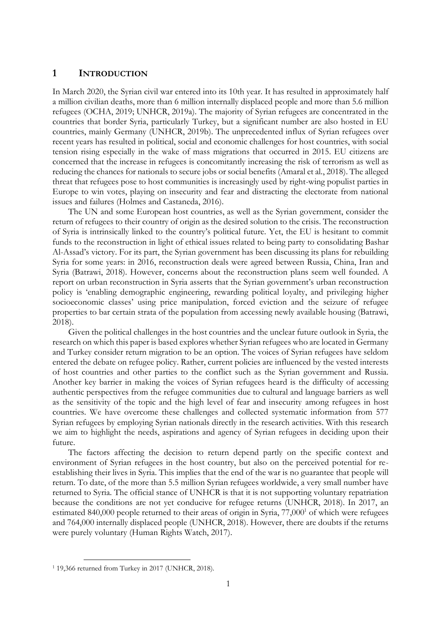## **1 INTRODUCTION**

In March 2020, the Syrian civil war entered into its 10th year. It has resulted in approximately half a million civilian deaths, more than 6 million internally displaced people and more than 5.6 million refugees (OCHA, 2019; UNHCR, 2019a). The majority of Syrian refugees are concentrated in the countries that border Syria, particularly Turkey, but a significant number are also hosted in EU countries, mainly Germany (UNHCR, 2019b). The unprecedented influx of Syrian refugees over recent years has resulted in political, social and economic challenges for host countries, with social tension rising especially in the wake of mass migrations that occurred in 2015. EU citizens are concerned that the increase in refugees is concomitantly increasing the risk of terrorism as well as reducing the chances for nationals to secure jobs or social benefits (Amaral et al., 2018). The alleged threat that refugees pose to host communities is increasingly used by right-wing populist parties in Europe to win votes, playing on insecurity and fear and distracting the electorate from national issues and failures (Holmes and Castaneda, 2016).

The UN and some European host countries, as well as the Syrian government, consider the return of refugees to their country of origin as the desired solution to the crisis. The reconstruction of Syria is intrinsically linked to the country's political future. Yet, the EU is hesitant to commit funds to the reconstruction in light of ethical issues related to being party to consolidating Bashar Al-Assad's victory. For its part, the Syrian government has been discussing its plans for rebuilding Syria for some years: in 2016, reconstruction deals were agreed between Russia, China, Iran and Syria (Batrawi, 2018). However, concerns about the reconstruction plans seem well founded. A report on urban reconstruction in Syria asserts that the Syrian government's urban reconstruction policy is 'enabling demographic engineering, rewarding political loyalty, and privileging higher socioeconomic classes' using price manipulation, forced eviction and the seizure of refugee properties to bar certain strata of the population from accessing newly available housing (Batrawi, 2018).

Given the political challenges in the host countries and the unclear future outlook in Syria, the research on which this paper is based explores whether Syrian refugees who are located in Germany and Turkey consider return migration to be an option. The voices of Syrian refugees have seldom entered the debate on refugee policy. Rather, current policies are influenced by the vested interests of host countries and other parties to the conflict such as the Syrian government and Russia. Another key barrier in making the voices of Syrian refugees heard is the difficulty of accessing authentic perspectives from the refugee communities due to cultural and language barriers as well as the sensitivity of the topic and the high level of fear and insecurity among refugees in host countries. We have overcome these challenges and collected systematic information from 577 Syrian refugees by employing Syrian nationals directly in the research activities. With this research we aim to highlight the needs, aspirations and agency of Syrian refugees in deciding upon their future.

The factors affecting the decision to return depend partly on the specific context and environment of Syrian refugees in the host country, but also on the perceived potential for reestablishing their lives in Syria. This implies that the end of the war is no guarantee that people will return. To date, of the more than 5.5 million Syrian refugees worldwide, a very small number have returned to Syria. The official stance of UNHCR is that it is not supporting voluntary repatriation because the conditions are not yet conducive for refugee returns (UNHCR, 2018). In 2017, an estimated 840,000 people returned to their areas of origin in Syria, 77,000<sup>1</sup> of which were refugees and 764,000 internally displaced people (UNHCR, 2018). However, there are doubts if the returns were purely voluntary (Human Rights Watch, 2017).

<sup>1</sup> 19,366 returned from Turkey in 2017 (UNHCR, 2018).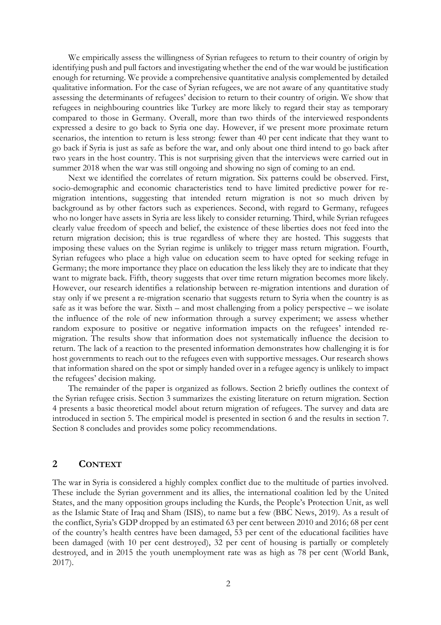We empirically assess the willingness of Syrian refugees to return to their country of origin by identifying push and pull factors and investigating whether the end of the war would be justification enough for returning. We provide a comprehensive quantitative analysis complemented by detailed qualitative information. For the case of Syrian refugees, we are not aware of any quantitative study assessing the determinants of refugees' decision to return to their country of origin. We show that refugees in neighbouring countries like Turkey are more likely to regard their stay as temporary compared to those in Germany. Overall, more than two thirds of the interviewed respondents expressed a desire to go back to Syria one day. However, if we present more proximate return scenarios, the intention to return is less strong: fewer than 40 per cent indicate that they want to go back if Syria is just as safe as before the war, and only about one third intend to go back after two years in the host country. This is not surprising given that the interviews were carried out in summer 2018 when the war was still ongoing and showing no sign of coming to an end.

Next we identified the correlates of return migration. Six patterns could be observed. First, socio-demographic and economic characteristics tend to have limited predictive power for remigration intentions, suggesting that intended return migration is not so much driven by background as by other factors such as experiences. Second, with regard to Germany, refugees who no longer have assets in Syria are less likely to consider returning. Third, while Syrian refugees clearly value freedom of speech and belief, the existence of these liberties does not feed into the return migration decision; this is true regardless of where they are hosted. This suggests that imposing these values on the Syrian regime is unlikely to trigger mass return migration. Fourth, Syrian refugees who place a high value on education seem to have opted for seeking refuge in Germany; the more importance they place on education the less likely they are to indicate that they want to migrate back. Fifth, theory suggests that over time return migration becomes more likely. However, our research identifies a relationship between re-migration intentions and duration of stay only if we present a re-migration scenario that suggests return to Syria when the country is as safe as it was before the war. Sixth – and most challenging from a policy perspective – we isolate the influence of the role of new information through a survey experiment; we assess whether random exposure to positive or negative information impacts on the refugees' intended remigration. The results show that information does not systematically influence the decision to return. The lack of a reaction to the presented information demonstrates how challenging it is for host governments to reach out to the refugees even with supportive messages. Our research shows that information shared on the spot or simply handed over in a refugee agency is unlikely to impact the refugees' decision making.

The remainder of the paper is organized as follows. Section 2 briefly outlines the context of the Syrian refugee crisis. Section 3 summarizes the existing literature on return migration. Section 4 presents a basic theoretical model about return migration of refugees. The survey and data are introduced in section 5. The empirical model is presented in section 6 and the results in section 7. Section 8 concludes and provides some policy recommendations.

### **2 CONTEXT**

The war in Syria is considered a highly complex conflict due to the multitude of parties involved. These include the Syrian government and its allies, the international coalition led by the United States, and the many opposition groups including the Kurds, the People's Protection Unit, as well as the Islamic State of Iraq and Sham (ISIS), to name but a few (BBC News, 2019). As a result of the conflict, Syria's GDP dropped by an estimated 63 per cent between 2010 and 2016; 68 per cent of the country's health centres have been damaged, 53 per cent of the educational facilities have been damaged (with 10 per cent destroyed), 32 per cent of housing is partially or completely destroyed, and in 2015 the youth unemployment rate was as high as 78 per cent (World Bank, 2017).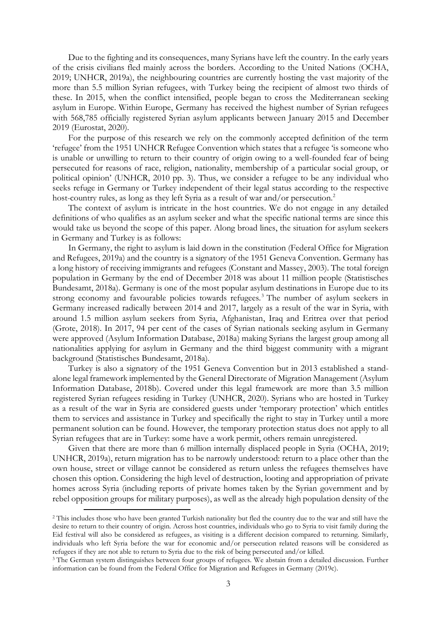Due to the fighting and its consequences, many Syrians have left the country. In the early years of the crisis civilians fled mainly across the borders. According to the United Nations (OCHA, 2019; UNHCR, 2019a), the neighbouring countries are currently hosting the vast majority of the more than 5.5 million Syrian refugees, with Turkey being the recipient of almost two thirds of these. In 2015, when the conflict intensified, people began to cross the Mediterranean seeking asylum in Europe. Within Europe, Germany has received the highest number of Syrian refugees with 568,785 officially registered Syrian asylum applicants between January 2015 and December 2019 (Eurostat, 2020).

For the purpose of this research we rely on the commonly accepted definition of the term 'refugee' from the 1951 UNHCR Refugee Convention which states that a refugee 'is someone who is unable or unwilling to return to their country of origin owing to a well-founded fear of being persecuted for reasons of race, religion, nationality, membership of a particular social group, or political opinion' (UNHCR, 2010 pp. 3). Thus, we consider a refugee to be any individual who seeks refuge in Germany or Turkey independent of their legal status according to the respective host-country rules, as long as they left Syria as a result of war and/or persecution.<sup>2</sup>

The context of asylum is intricate in the host countries. We do not engage in any detailed definitions of who qualifies as an asylum seeker and what the specific national terms are since this would take us beyond the scope of this paper. Along broad lines, the situation for asylum seekers in Germany and Turkey is as follows:

In Germany, the right to asylum is laid down in the constitution (Federal Office for Migration and Refugees, 2019a) and the country is a signatory of the 1951 Geneva Convention. Germany has a long history of receiving immigrants and refugees (Constant and Massey, 2003). The total foreign population in Germany by the end of December 2018 was about 11 million people (Statistisches Bundesamt, 2018a). Germany is one of the most popular asylum destinations in Europe due to its strong economy and favourable policies towards refugees.<sup>3</sup> The number of asylum seekers in Germany increased radically between 2014 and 2017, largely as a result of the war in Syria, with around 1.5 million asylum seekers from Syria, Afghanistan, Iraq and Eritrea over that period (Grote, 2018). In 2017, 94 per cent of the cases of Syrian nationals seeking asylum in Germany were approved (Asylum Information Database, 2018a) making Syrians the largest group among all nationalities applying for asylum in Germany and the third biggest community with a migrant background (Statistisches Bundesamt, 2018a).

Turkey is also a signatory of the 1951 Geneva Convention but in 2013 established a standalone legal framework implemented by the General Directorate of Migration Management (Asylum Information Database, 2018b). Covered under this legal framework are more than 3.5 million registered Syrian refugees residing in Turkey (UNHCR, 2020). Syrians who are hosted in Turkey as a result of the war in Syria are considered guests under 'temporary protection' which entitles them to services and assistance in Turkey and specifically the right to stay in Turkey until a more permanent solution can be found. However, the temporary protection status does not apply to all Syrian refugees that are in Turkey: some have a work permit, others remain unregistered.

Given that there are more than 6 million internally displaced people in Syria (OCHA, 2019; UNHCR, 2019a), return migration has to be narrowly understood: return to a place other than the own house, street or village cannot be considered as return unless the refugees themselves have chosen this option. Considering the high level of destruction, looting and appropriation of private homes across Syria (including reports of private homes taken by the Syrian government and by rebel opposition groups for military purposes), as well as the already high population density of the

<sup>&</sup>lt;sup>2</sup> This includes those who have been granted Turkish nationality but fled the country due to the war and still have the desire to return to their country of origin. Across host countries, individuals who go to Syria to visit family during the Eid festival will also be considered as refugees, as visiting is a different decision compared to returning. Similarly, individuals who left Syria before the war for economic and/or persecution related reasons will be considered as refugees if they are not able to return to Syria due to the risk of being persecuted and/or killed.

<sup>&</sup>lt;sup>3</sup> The German system distinguishes between four groups of refugees. We abstain from a detailed discussion. Further information can be found from the Federal Office for Migration and Refugees in Germany (2019c).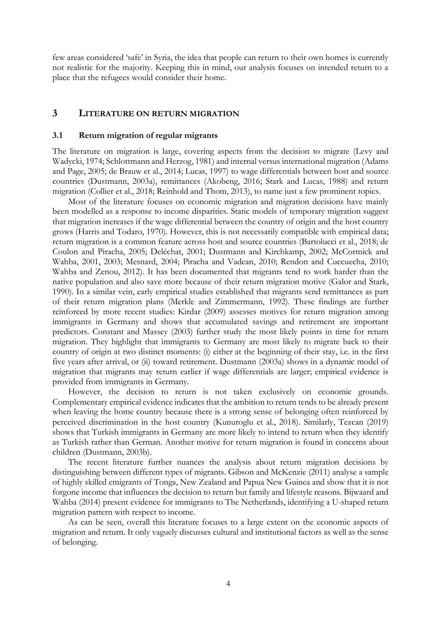few areas considered 'safe' in Syria, the idea that people can return to their own homes is currently not realistic for the majority. Keeping this in mind, our analysis focuses on intended return to a place that the refugees would consider their home.

## **3 LITERATURE ON RETURN MIGRATION**

#### **3.1 Return migration of regular migrants**

The literature on migration is large, covering aspects from the decision to migrate (Levy and Wadycki, 1974; Schlottmann and Herzog, 1981) and internal versus international migration (Adams and Page, 2005; de Brauw et al., 2014; Lucas, 1997) to wage differentials between host and source countries (Dustmann, 2003a), remittances (Akobeng, 2016; Stark and Lucas, 1988) and return migration (Collier et al., 2018; Reinhold and Thom, 2013), to name just a few prominent topics.

Most of the literature focuses on economic migration and migration decisions have mainly been modelled as a response to income disparities. Static models of temporary migration suggest that migration increases if the wage differential between the country of origin and the host country grows (Harris and Todaro, 1970). However, this is not necessarily compatible with empirical data; return migration is a common feature across host and source countries (Bartolucci et al., 2018; de Coulon and Piracha, 2005; Deléchat, 2001; Dustmann and Kirchkamp, 2002; McCormick and Wahba, 2001, 2003; Mesnard, 2004; Piracha and Vadean, 2010; Rendon and Cuecuecha, 2010; Wahba and Zenou, 2012). It has been documented that migrants tend to work harder than the native population and also save more because of their return migration motive (Galor and Stark, 1990). In a similar vein, early empirical studies established that migrants send remittances as part of their return migration plans (Merkle and Zimmermann, 1992). These findings are further reinforced by more recent studies: Kirdar (2009) assesses motives for return migration among immigrants in Germany and shows that accumulated savings and retirement are important predictors. Constant and Massey (2003) further study the most likely points in time for return migration. They highlight that immigrants to Germany are most likely to migrate back to their country of origin at two distinct moments: (i) either at the beginning of their stay, i.e. in the first five years after arrival, or (ii) toward retirement. Dustmann (2003a) shows in a dynamic model of migration that migrants may return earlier if wage differentials are larger; empirical evidence is provided from immigrants in Germany.

However, the decision to return is not taken exclusively on economic grounds. Complementary empirical evidence indicates that the ambition to return tends to be already present when leaving the home country because there is a strong sense of belonging often reinforced by perceived discrimination in the host country (Kunuroglu et al., 2018). Similarly, Tezcan (2019) shows that Turkish immigrants in Germany are more likely to intend to return when they identify as Turkish rather than German. Another motive for return migration is found in concerns about children (Dustmann, 2003b).

The recent literature further nuances the analysis about return migration decisions by distinguishing between different types of migrants. Gibson and McKenzie (2011) analyse a sample of highly skilled emigrants of Tonga, New Zealand and Papua New Guinea and show that it is not forgone income that influences the decision to return but family and lifestyle reasons. Bijwaard and Wahba (2014) present evidence for immigrants to The Netherlands, identifying a U-shaped return migration pattern with respect to income.

As can be seen, overall this literature focuses to a large extent on the economic aspects of migration and return. It only vaguely discusses cultural and institutional factors as well as the sense of belonging.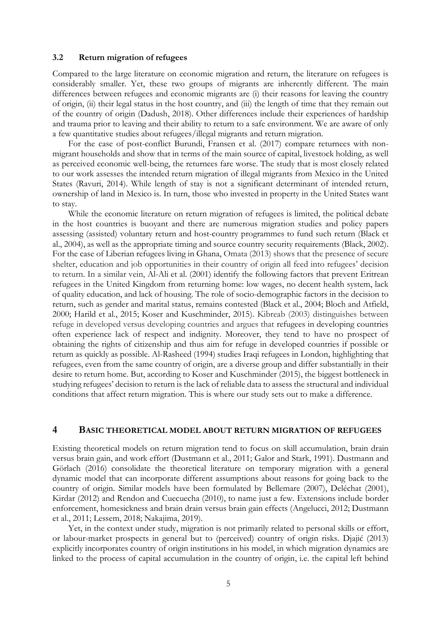#### **3.2 Return migration of refugees**

Compared to the large literature on economic migration and return, the literature on refugees is considerably smaller. Yet, these two groups of migrants are inherently different. The main differences between refugees and economic migrants are (i) their reasons for leaving the country of origin, (ii) their legal status in the host country, and (iii) the length of time that they remain out of the country of origin (Dadush, 2018). Other differences include their experiences of hardship and trauma prior to leaving and their ability to return to a safe environment. We are aware of only a few quantitative studies about refugees/illegal migrants and return migration.

For the case of post-conflict Burundi, Fransen et al. (2017) compare returnees with nonmigrant households and show that in terms of the main source of capital, livestock holding, as well as perceived economic well-being, the returnees fare worse. The study that is most closely related to our work assesses the intended return migration of illegal migrants from Mexico in the United States (Ravuri, 2014). While length of stay is not a significant determinant of intended return, ownership of land in Mexico is. In turn, those who invested in property in the United States want to stay.

While the economic literature on return migration of refugees is limited, the political debate in the host countries is buoyant and there are numerous migration studies and policy papers assessing (assisted) voluntary return and host-country programmes to fund such return (Black et al., 2004), as well as the appropriate timing and source country security requirements (Black, 2002). For the case of Liberian refugees living in Ghana, Omata (2013) shows that the presence of secure shelter, education and job opportunities in their country of origin all feed into refugees' decision to return. In a similar vein, Al-Ali et al. (2001) identify the following factors that prevent Eritrean refugees in the United Kingdom from returning home: low wages, no decent health system, lack of quality education, and lack of housing. The role of socio-demographic factors in the decision to return, such as gender and marital status, remains contested (Black et al., 2004; Bloch and Atfield, 2000; Harild et al., 2015; Koser and Kuschminder, 2015). Kibreab (2003) distinguishes between refuge in developed versus developing countries and argues that refugees in developing countries often experience lack of respect and indignity. Moreover, they tend to have no prospect of obtaining the rights of citizenship and thus aim for refuge in developed countries if possible or return as quickly as possible. Al-Rasheed (1994) studies Iraqi refugees in London, highlighting that refugees, even from the same country of origin, are a diverse group and differ substantially in their desire to return home. But, according to Koser and Kuschminder (2015), the biggest bottleneck in studying refugees' decision to return is the lack of reliable data to assess the structural and individual conditions that affect return migration. This is where our study sets out to make a difference.

#### **4 BASIC THEORETICAL MODEL ABOUT RETURN MIGRATION OF REFUGEES**

Existing theoretical models on return migration tend to focus on skill accumulation, brain drain versus brain gain, and work effort (Dustmann et al., 2011; Galor and Stark, 1991). Dustmann and Görlach (2016) consolidate the theoretical literature on temporary migration with a general dynamic model that can incorporate different assumptions about reasons for going back to the country of origin. Similar models have been formulated by Bellemare (2007), Deléchat (2001), Kirdar (2012) and Rendon and Cuecuecha (2010), to name just a few. Extensions include border enforcement, homesickness and brain drain versus brain gain effects (Angelucci, 2012; Dustmann et al., 2011; Lessem, 2018; Nakajima, 2019).

Yet, in the context under study, migration is not primarily related to personal skills or effort, or labour-market prospects in general but to (perceived) country of origin risks. Djajić (2013) explicitly incorporates country of origin institutions in his model, in which migration dynamics are linked to the process of capital accumulation in the country of origin, i.e. the capital left behind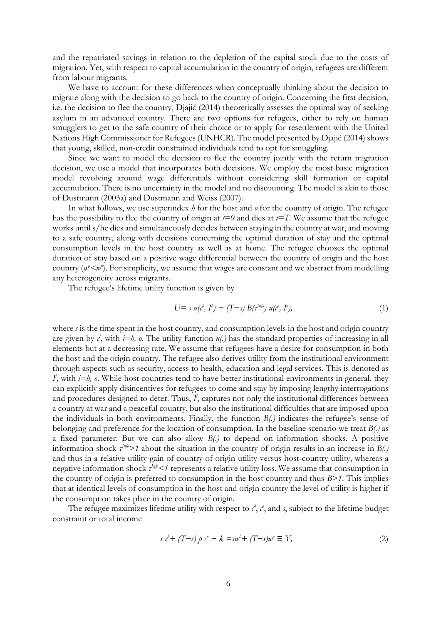and the repatriated savings in relation to the depletion of the capital stock due to the costs of migration. Yet, with respect to capital accumulation in the country of origin, refugees are different from labour migrants.

We have to account for these differences when conceptually thinking about the decision to migrate along with the decision to go back to the country of origin. Concerning the first decision, i.e. the decision to flee the country, Djajić (2014) theoretically assesses the optimal way of seeking asylum in an advanced country. There are two options for refugees, either to rely on human smugglers to get to the safe country of their choice or to apply for resettlement with the United Nations High Commissioner for Refugees (UNHCR). The model presented by Djajić (2014) shows that young, skilled, non-credit constrained individuals tend to opt for smuggling.

Since we want to model the decision to flee the country jointly with the return migration decision, we use a model that incorporates both decisions. We employ the most basic migration model revolving around wage differentials without considering skill formation or capital accumulation. There is no uncertainty in the model and no discounting. The model is akin to those of Dustmann (2003a) and Dustmann and Weiss (2007).

In what follows, we use superindex *h* for the host and *o* for the country of origin. The refugee has the possibility to flee the country of origin at  $t=0$  and dies at  $t=T$ . We assume that the refugee works until s/he dies and simultaneously decides between staying in the country at war, and moving to a safe country, along with decisions concerning the optimal duration of stay and the optimal consumption levels in the host country as well as at home. The refugee chooses the optimal duration of stay based on a positive wage differential between the country of origin and the host country  $(w^2 < w^2)$ . For simplicity, we assume that wages are constant and we abstract from modelling any heterogeneity across migrants.

The refugee's lifetime utility function is given by

$$
U = s u(c^b, I^b) + (T - s) B(t^{h_0}) u(c^b, I^b), \qquad (1)
$$

where *s* is the time spent in the host country, and consumption levels in the host and origin country are given by  $\ell$ , with  $i=h$ ,  $\ell$ . The utility function  $u(\ell)$  has the standard properties of increasing in all elements but at a decreasing rate. We assume that refugees have a desire for consumption in both the host and the origin country. The refugee also derives utility from the institutional environment through aspects such as security, access to health, education and legal services. This is denoted as  $I<sup>i</sup>$ , with  $i=h$ ,  $o$ . While host countries tend to have better institutional environments in general, they can explicitly apply disincentives for refugees to come and stay by imposing lengthy interrogations and procedures designed to deter. Thus,  $I<sup>i</sup>$ , captures not only the institutional differences between a country at war and a peaceful country, but also the institutional difficulties that are imposed upon the individuals in both environments. Finally, the function *B(.)* indicates the refugee's sense of belonging and preference for the location of consumption. In the baseline scenario we treat *B(.)* as a fixed parameter. But we can also allow *B(.)* to depend on information shocks. A positive information shock  $\tau^{I\eta/\psi}$  about the situation in the country of origin results in an increase in *B*(.) and thus in a relative utility gain of country of origin utility versus host-country utility, whereas a negative information shock  $\tau^{\text{Info}}$ <1 represents a relative utility loss. We assume that consumption in the country of origin is preferred to consumption in the host country and thus *B>1*. This implies that at identical levels of consumption in the host and origin country the level of utility is higher if the consumption takes place in the country of origin.

The refugee maximizes lifetime utility with respect to  $c^b$ ,  $c^c$ , and *s*, subject to the lifetime budget constraint or total income

$$
s \iota^{\flat} + (T - s) p \iota^{\circ} + k = s \nu^{\flat} + (T - s) \nu^{\circ} \equiv Y,
$$
\n<sup>(2)</sup>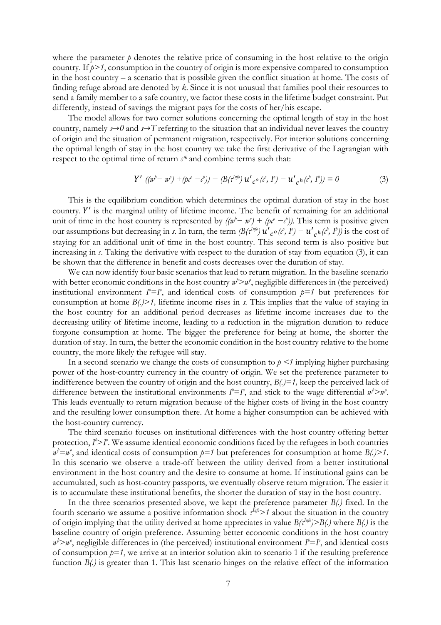where the parameter  $\dot{p}$  denotes the relative price of consuming in the host relative to the origin country. If *p>1*, consumption in the country of origin is more expensive compared to consumption in the host country – a scenario that is possible given the conflict situation at home. The costs of finding refuge abroad are denoted by *k*. Since it is not unusual that families pool their resources to send a family member to a safe country, we factor these costs in the lifetime budget constraint. Put differently, instead of savings the migrant pays for the costs of her/his escape.

The model allows for two corner solutions concerning the optimal length of stay in the host country, namely  $s \rightarrow 0$  and  $s \rightarrow T$  referring to the situation that an individual never leaves the country of origin and the situation of permanent migration, respectively. For interior solutions concerning the optimal length of stay in the host country we take the first derivative of the Lagrangian with respect to the optimal time of return *s\** and combine terms such that:

$$
Y' ((nb - nb) + (pc - cb)) - (B(1nf0) u'_{c} o (ce, Ie) - u'_{c} (cb, Ib)) = 0
$$
 (3)

This is the equilibrium condition which determines the optimal duration of stay in the host country. Y' is the marginal utility of lifetime income. The benefit of remaining for an additional unit of time in the host country is represented by  $((w<sup>h</sup> – w<sup>h</sup>) + (pv<sup>e</sup> – c<sup>h</sup>))$ . This term is positive given our assumptions but decreasing in *s*. In turn, the term  $\left(B(\tau^{lnf_0})u'_{c} \circ (t^o, I^o) - u'\right)$  $c^{h}(\ell^{b}, I^{b})$  is the cost of staying for an additional unit of time in the host country. This second term is also positive but increasing in *s*. Taking the derivative with respect to the duration of stay from equation (3), it can be shown that the difference in benefit and costs decreases over the duration of stay.

We can now identify four basic scenarios that lead to return migration. In the baseline scenario with better economic conditions in the host country  $w^b > w^a$ , negligible differences in (the perceived) institutional environment  $I^b = I^o$ , and identical costs of consumption  $p=1$  but preferences for consumption at home *B(.)>1,* lifetime income rises in *s*. This implies that the value of staying in the host country for an additional period decreases as lifetime income increases due to the decreasing utility of lifetime income, leading to a reduction in the migration duration to reduce forgone consumption at home. The bigger the preference for being at home, the shorter the duration of stay. In turn, the better the economic condition in the host country relative to the home country, the more likely the refugee will stay.

In a second scenario we change the costs of consumption to *p <1* implying higher purchasing power of the host-country currency in the country of origin. We set the preference parameter to indifference between the country of origin and the host country, *B(.)=1,* keep the perceived lack of difference between the institutional environments  $I^b = I^o$ , and stick to the wage differential  $w^b > w^o$ . This leads eventually to return migration because of the higher costs of living in the host country and the resulting lower consumption there. At home a higher consumption can be achieved with the host-country currency.

The third scenario focuses on institutional differences with the host country offering better protection,  $I^{\flat} > I^{\circ}$ . We assume identical economic conditions faced by the refugees in both countries  $w^2 = w^2$ , and identical costs of consumption  $p=1$  but preferences for consumption at home *B*(.)>1. In this scenario we observe a trade-off between the utility derived from a better institutional environment in the host country and the desire to consume at home. If institutional gains can be accumulated, such as host-country passports, we eventually observe return migration. The easier it is to accumulate these institutional benefits, the shorter the duration of stay in the host country.

In the three scenarios presented above, we kept the preference parameter *B(.)* fixed. In the fourth scenario we assume a positive information shock  $\tau^{Inj\phi}$  *>1* about the situation in the country of origin implying that the utility derived at home appreciates in value *B(τInfo)>B(.)* where *B(.)* is the baseline country of origin preference. Assuming better economic conditions in the host country  $w^2 > w^0$ , negligible differences in (the perceived) institutional environment  $I^b = I^0$ , and identical costs of consumption  $p=1$ , we arrive at an interior solution akin to scenario 1 if the resulting preference function *B(.)* is greater than 1. This last scenario hinges on the relative effect of the information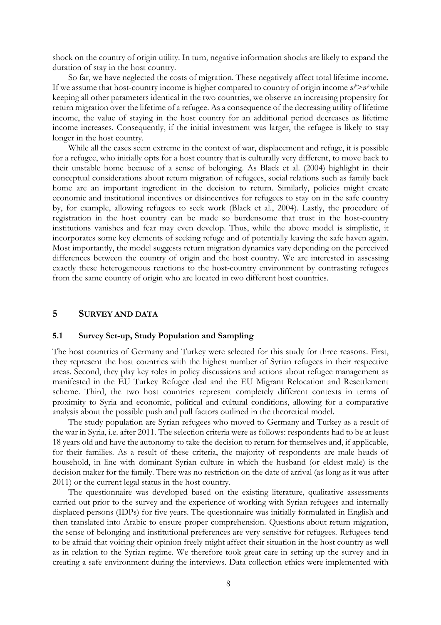shock on the country of origin utility. In turn, negative information shocks are likely to expand the duration of stay in the host country.

So far, we have neglected the costs of migration. These negatively affect total lifetime income. If we assume that host-country income is higher compared to country of origin income  $w^2 > w^o$  while keeping all other parameters identical in the two countries, we observe an increasing propensity for return migration over the lifetime of a refugee. As a consequence of the decreasing utility of lifetime income, the value of staying in the host country for an additional period decreases as lifetime income increases. Consequently, if the initial investment was larger, the refugee is likely to stay longer in the host country.

While all the cases seem extreme in the context of war, displacement and refuge, it is possible for a refugee, who initially opts for a host country that is culturally very different, to move back to their unstable home because of a sense of belonging. As Black et al. (2004) highlight in their conceptual considerations about return migration of refugees, social relations such as family back home are an important ingredient in the decision to return. Similarly, policies might create economic and institutional incentives or disincentives for refugees to stay on in the safe country by, for example, allowing refugees to seek work (Black et al., 2004). Lastly, the procedure of registration in the host country can be made so burdensome that trust in the host-country institutions vanishes and fear may even develop. Thus, while the above model is simplistic, it incorporates some key elements of seeking refuge and of potentially leaving the safe haven again. Most importantly, the model suggests return migration dynamics vary depending on the perceived differences between the country of origin and the host country. We are interested in assessing exactly these heterogeneous reactions to the host-country environment by contrasting refugees from the same country of origin who are located in two different host countries.

## **5 SURVEY AND DATA**

#### **5.1 Survey Set-up, Study Population and Sampling**

The host countries of Germany and Turkey were selected for this study for three reasons. First, they represent the host countries with the highest number of Syrian refugees in their respective areas. Second, they play key roles in policy discussions and actions about refugee management as manifested in the EU Turkey Refugee deal and the EU Migrant Relocation and Resettlement scheme. Third, the two host countries represent completely different contexts in terms of proximity to Syria and economic, political and cultural conditions, allowing for a comparative analysis about the possible push and pull factors outlined in the theoretical model.

The study population are Syrian refugees who moved to Germany and Turkey as a result of the war in Syria, i.e. after 2011. The selection criteria were as follows: respondents had to be at least 18 years old and have the autonomy to take the decision to return for themselves and, if applicable, for their families. As a result of these criteria, the majority of respondents are male heads of household, in line with dominant Syrian culture in which the husband (or eldest male) is the decision maker for the family. There was no restriction on the date of arrival (as long as it was after 2011) or the current legal status in the host country.

The questionnaire was developed based on the existing literature, qualitative assessments carried out prior to the survey and the experience of working with Syrian refugees and internally displaced persons (IDPs) for five years. The questionnaire was initially formulated in English and then translated into Arabic to ensure proper comprehension. Questions about return migration, the sense of belonging and institutional preferences are very sensitive for refugees. Refugees tend to be afraid that voicing their opinion freely might affect their situation in the host country as well as in relation to the Syrian regime. We therefore took great care in setting up the survey and in creating a safe environment during the interviews. Data collection ethics were implemented with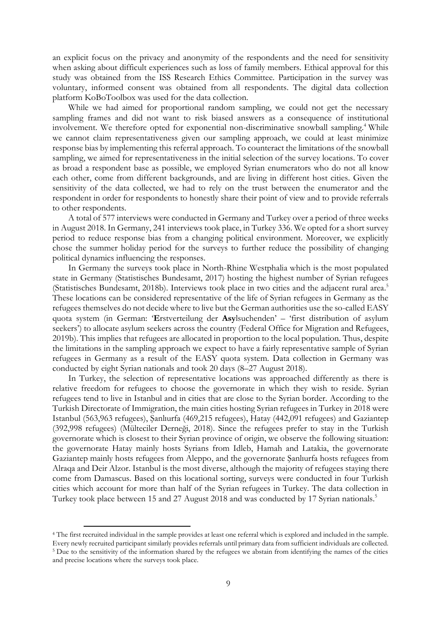an explicit focus on the privacy and anonymity of the respondents and the need for sensitivity when asking about difficult experiences such as loss of family members. Ethical approval for this study was obtained from the ISS Research Ethics Committee. Participation in the survey was voluntary, informed consent was obtained from all respondents. The digital data collection platform KoBoToolbox was used for the data collection.

While we had aimed for proportional random sampling, we could not get the necessary sampling frames and did not want to risk biased answers as a consequence of institutional involvement. We therefore opted for exponential non-discriminative snowball sampling.<sup>4</sup> While we cannot claim representativeness given our sampling approach, we could at least minimize response bias by implementing this referral approach. To counteract the limitations of the snowball sampling, we aimed for representativeness in the initial selection of the survey locations. To cover as broad a respondent base as possible, we employed Syrian enumerators who do not all know each other, come from different backgrounds, and are living in different host cities. Given the sensitivity of the data collected, we had to rely on the trust between the enumerator and the respondent in order for respondents to honestly share their point of view and to provide referrals to other respondents.

A total of 577 interviews were conducted in Germany and Turkey over a period of three weeks in August 2018. In Germany, 241 interviews took place, in Turkey 336. We opted for a short survey period to reduce response bias from a changing political environment. Moreover, we explicitly chose the summer holiday period for the surveys to further reduce the possibility of changing political dynamics influencing the responses.

In Germany the surveys took place in North-Rhine Westphalia which is the most populated state in Germany (Statistisches Bundesamt, 2017) hosting the highest number of Syrian refugees (Statistisches Bundesamt, 2018b). Interviews took place in two cities and the adjacent rural area. 5 These locations can be considered representative of the life of Syrian refugees in Germany as the refugees themselves do not decide where to live but the German authorities use the so-called EASY quota system (in German: '**E**rstverteilung der **Asy**lsuchenden' – 'first distribution of asylum seekers') to allocate asylum seekers across the country (Federal Office for Migration and Refugees, 2019b). This implies that refugees are allocated in proportion to the local population. Thus, despite the limitations in the sampling approach we expect to have a fairly representative sample of Syrian refugees in Germany as a result of the EASY quota system. Data collection in Germany was conducted by eight Syrian nationals and took 20 days (8–27 August 2018).

In Turkey, the selection of representative locations was approached differently as there is relative freedom for refugees to choose the governorate in which they wish to reside. Syrian refugees tend to live in Istanbul and in cities that are close to the Syrian border. According to the Turkish Directorate of Immigration, the main cities hosting Syrian refugees in Turkey in 2018 were Istanbul (563,963 refugees), Şanlıurfa (469,215 refugees), Hatay (442,091 refugees) and Gaziantep (392,998 refugees) (Mülteciler Derneği, 2018). Since the refugees prefer to stay in the Turkish governorate which is closest to their Syrian province of origin, we observe the following situation: the governorate Hatay mainly hosts Syrians from Idleb, Hamah and Latakia, the governorate Gaziantep mainly hosts refugees from Aleppo, and the governorate Şanlıurfa hosts refugees from Alraqa and Deir Alzor. Istanbul is the most diverse, although the majority of refugees staying there come from Damascus. Based on this locational sorting, surveys were conducted in four Turkish cities which account for more than half of the Syrian refugees in Turkey. The data collection in Turkey took place between 15 and 27 August 2018 and was conducted by 17 Syrian nationals.<sup>5</sup>

<sup>4</sup> The first recruited individual in the sample provides at least one referral which is explored and included in the sample. Every newly recruited participant similarly provides referrals until primary data from sufficient individuals are collected. <sup>5</sup> Due to the sensitivity of the information shared by the refugees we abstain from identifying the names of the cities and precise locations where the surveys took place.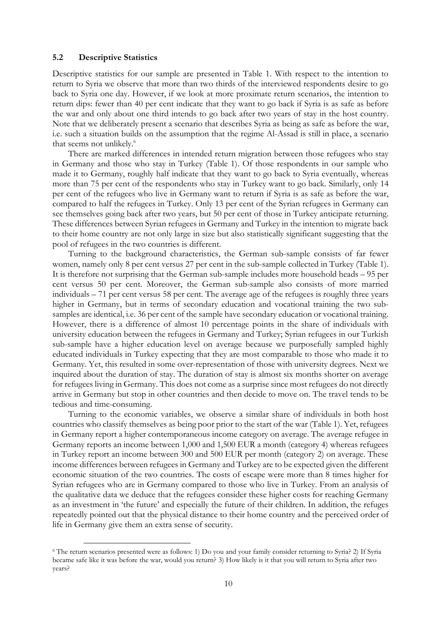#### **5.2 Descriptive Statistics**

Descriptive statistics for our sample are presented in Table 1. With respect to the intention to return to Syria we observe that more than two thirds of the interviewed respondents desire to go back to Syria one day. However, if we look at more proximate return scenarios, the intention to return dips: fewer than 40 per cent indicate that they want to go back if Syria is as safe as before the war and only about one third intends to go back after two years of stay in the host country. Note that we deliberately present a scenario that describes Syria as being as safe as before the war, i.e. such a situation builds on the assumption that the regime Al-Assad is still in place, a scenario that seems not unlikely. 6

There are marked differences in intended return migration between those refugees who stay in Germany and those who stay in Turkey (Table 1). Of those respondents in our sample who made it to Germany, roughly half indicate that they want to go back to Syria eventually, whereas more than 75 per cent of the respondents who stay in Turkey want to go back. Similarly, only 14 per cent of the refugees who live in Germany want to return if Syria is as safe as before the war, compared to half the refugees in Turkey. Only 13 per cent of the Syrian refugees in Germany can see themselves going back after two years, but 50 per cent of those in Turkey anticipate returning. These differences between Syrian refugees in Germany and Turkey in the intention to migrate back to their home country are not only large in size but also statistically significant suggesting that the pool of refugees in the two countries is different.

Turning to the background characteristics, the German sub-sample consists of far fewer women, namely only 8 per cent versus 27 per cent in the sub-sample collected in Turkey (Table 1). It is therefore not surprising that the German sub-sample includes more household heads – 95 per cent versus 50 per cent. Moreover, the German sub-sample also consists of more married individuals – 71 per cent versus 58 per cent. The average age of the refugees is roughly three years higher in Germany, but in terms of secondary education and vocational training the two subsamples are identical, i.e. 36 per cent of the sample have secondary education or vocational training. However, there is a difference of almost 10 percentage points in the share of individuals with university education between the refugees in Germany and Turkey; Syrian refugees in our Turkish sub-sample have a higher education level on average because we purposefully sampled highly educated individuals in Turkey expecting that they are most comparable to those who made it to Germany. Yet, this resulted in some over-representation of those with university degrees. Next we inquired about the duration of stay. The duration of stay is almost six months shorter on average for refugees living in Germany. This does not come as a surprise since most refugees do not directly arrive in Germany but stop in other countries and then decide to move on. The travel tends to be tedious and time-consuming.

Turning to the economic variables, we observe a similar share of individuals in both host countries who classify themselves as being poor prior to the start of the war (Table 1). Yet, refugees in Germany report a higher contemporaneous income category on average. The average refugee in Germany reports an income between 1,000 and 1,500 EUR a month (category 4) whereas refugees in Turkey report an income between 300 and 500 EUR per month (category 2) on average. These income differences between refugees in Germany and Turkey are to be expected given the different economic situation of the two countries. The costs of escape were more than 8 times higher for Syrian refugees who are in Germany compared to those who live in Turkey. From an analysis of the qualitative data we deduce that the refugees consider these higher costs for reaching Germany as an investment in 'the future' and especially the future of their children. In addition, the refuges repeatedly pointed out that the physical distance to their home country and the perceived order of life in Germany give them an extra sense of security.

<sup>6</sup> The return scenarios presented were as follows: 1) Do you and your family consider returning to Syria? 2) If Syria became safe like it was before the war, would you return? 3) How likely is it that you will return to Syria after two years?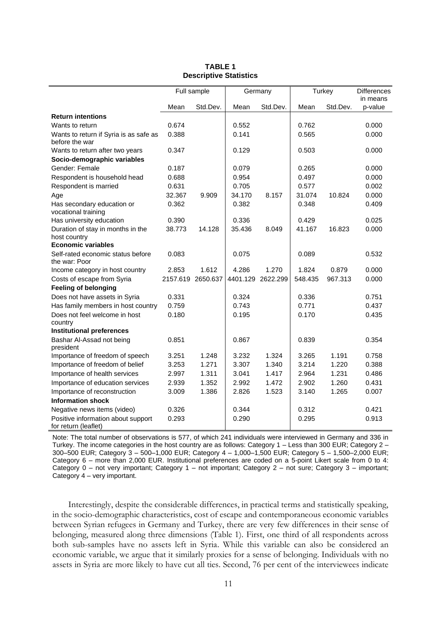|                                                            |                   | Full sample |        | Germany           | Turkey  |          | <b>Differences</b>  |
|------------------------------------------------------------|-------------------|-------------|--------|-------------------|---------|----------|---------------------|
|                                                            | Mean              | Std.Dev.    | Mean   | Std.Dev.          | Mean    | Std.Dev. | in means<br>p-value |
| <b>Return intentions</b>                                   |                   |             |        |                   |         |          |                     |
| Wants to return                                            | 0.674             |             | 0.552  |                   | 0.762   |          | 0.000               |
| Wants to return if Syria is as safe as                     | 0.388             |             | 0.141  |                   | 0.565   |          | 0.000               |
| before the war                                             |                   |             |        |                   |         |          |                     |
| Wants to return after two years                            | 0.347             |             | 0.129  |                   | 0.503   |          | 0.000               |
| Socio-demographic variables                                |                   |             |        |                   |         |          |                     |
| Gender: Female                                             | 0.187             |             | 0.079  |                   | 0.265   |          | 0.000               |
| Respondent is household head                               | 0.688             |             | 0.954  |                   | 0.497   |          | 0.000               |
| Respondent is married                                      | 0.631             |             | 0.705  |                   | 0.577   |          | 0.002               |
| Age                                                        | 32.367            | 9.909       | 34.170 | 8.157             | 31.074  | 10.824   | 0.000               |
| Has secondary education or<br>vocational training          | 0.362             |             | 0.382  |                   | 0.348   |          | 0.409               |
| Has university education                                   | 0.390             |             | 0.336  |                   | 0.429   |          | 0.025               |
| Duration of stay in months in the<br>host country          | 38.773            | 14.128      | 35.436 | 8.049             | 41.167  | 16.823   | 0.000               |
| <b>Economic variables</b>                                  |                   |             |        |                   |         |          |                     |
| Self-rated economic status before<br>the war: Poor         | 0.083             |             | 0.075  |                   | 0.089   |          | 0.532               |
| Income category in host country                            | 2.853             | 1.612       | 4.286  | 1.270             | 1.824   | 0.879    | 0.000               |
| Costs of escape from Syria                                 | 2157.619 2650.637 |             |        | 4401.129 2622.299 | 548.435 | 967.313  | 0.000               |
| <b>Feeling of belonging</b>                                |                   |             |        |                   |         |          |                     |
| Does not have assets in Syria                              | 0.331             |             | 0.324  |                   | 0.336   |          | 0.751               |
| Has family members in host country                         | 0.759             |             | 0.743  |                   | 0.771   |          | 0.437               |
| Does not feel welcome in host                              | 0.180             |             | 0.195  |                   | 0.170   |          | 0.435               |
| country                                                    |                   |             |        |                   |         |          |                     |
| <b>Institutional preferences</b>                           |                   |             |        |                   |         |          |                     |
| Bashar Al-Assad not being<br>president                     | 0.851             |             | 0.867  |                   | 0.839   |          | 0.354               |
| Importance of freedom of speech                            | 3.251             | 1.248       | 3.232  | 1.324             | 3.265   | 1.191    | 0.758               |
| Importance of freedom of belief                            | 3.253             | 1.271       | 3.307  | 1.340             | 3.214   | 1.220    | 0.388               |
| Importance of health services                              | 2.997             | 1.311       | 3.041  | 1.417             | 2.964   | 1.231    | 0.486               |
| Importance of education services                           | 2.939             | 1.352       | 2.992  | 1.472             | 2.902   | 1.260    | 0.431               |
| Importance of reconstruction                               | 3.009             | 1.386       | 2.826  | 1.523             | 3.140   | 1.265    | 0.007               |
| <b>Information shock</b>                                   |                   |             |        |                   |         |          |                     |
| Negative news items (video)                                | 0.326             |             | 0.344  |                   | 0.312   |          | 0.421               |
| Positive information about support<br>for return (leaflet) | 0.293             |             | 0.290  |                   | 0.295   |          | 0.913               |

#### **TABLE 1 Descriptive Statistics**

Note: The total number of observations is 577, of which 241 individuals were interviewed in Germany and 336 in Turkey. The income categories in the host country are as follows: Category 1 – Less than 300 EUR; Category 2 – 300–500 EUR; Category 3 – 500–1,000 EUR; Category 4 – 1,000–1,500 EUR; Category 5 – 1,500–2,000 EUR; Category 6 – more than 2,000 EUR. Institutional preferences are coded on a 5-point Likert scale from 0 to 4: Category 0 – not very important; Category 1 – not important; Category 2 – not sure; Category 3 – important; Category 4 – very important.

Interestingly, despite the considerable differences, in practical terms and statistically speaking, in the socio-demographic characteristics, cost of escape and contemporaneous economic variables between Syrian refugees in Germany and Turkey, there are very few differences in their sense of belonging, measured along three dimensions (Table 1). First, one third of all respondents across both sub-samples have no assets left in Syria. While this variable can also be considered an economic variable, we argue that it similarly proxies for a sense of belonging. Individuals with no assets in Syria are more likely to have cut all ties. Second, 76 per cent of the interviewees indicate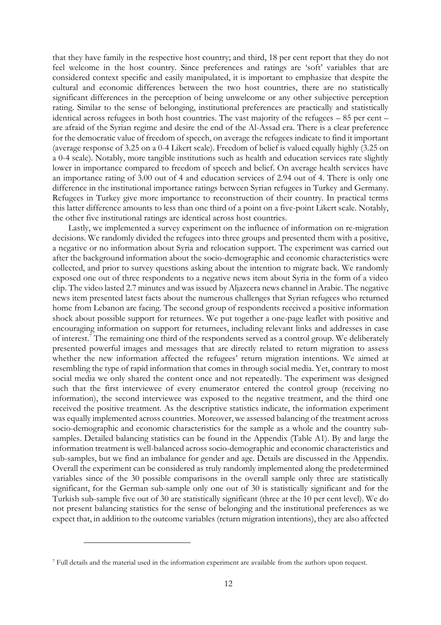that they have family in the respective host country; and third, 18 per cent report that they do not feel welcome in the host country. Since preferences and ratings are 'soft' variables that are considered context specific and easily manipulated, it is important to emphasize that despite the cultural and economic differences between the two host countries, there are no statistically significant differences in the perception of being unwelcome or any other subjective perception rating. Similar to the sense of belonging, institutional preferences are practically and statistically identical across refugees in both host countries. The vast majority of the refugees – 85 per cent – are afraid of the Syrian regime and desire the end of the Al-Assad era. There is a clear preference for the democratic value of freedom of speech, on average the refugees indicate to find it important (average response of 3.25 on a 0-4 Likert scale). Freedom of belief is valued equally highly (3.25 on a 0-4 scale). Notably, more tangible institutions such as health and education services rate slightly lower in importance compared to freedom of speech and belief. On average health services have an importance rating of 3.00 out of 4 and education services of 2.94 out of 4. There is only one difference in the institutional importance ratings between Syrian refugees in Turkey and Germany. Refugees in Turkey give more importance to reconstruction of their country. In practical terms this latter difference amounts to less than one third of a point on a five-point Likert scale. Notably, the other five institutional ratings are identical across host countries.

Lastly, we implemented a survey experiment on the influence of information on re-migration decisions. We randomly divided the refugees into three groups and presented them with a positive, a negative or no information about Syria and relocation support. The experiment was carried out after the background information about the socio-demographic and economic characteristics were collected, and prior to survey questions asking about the intention to migrate back. We randomly exposed one out of three respondents to a negative news item about Syria in the form of a video clip. The video lasted 2.7 minutes and was issued by Aljazeera news channel in Arabic. The negative news item presented latest facts about the numerous challenges that Syrian refugees who returned home from Lebanon are facing. The second group of respondents received a positive information shock about possible support for returnees. We put together a one-page leaflet with positive and encouraging information on support for returnees, including relevant links and addresses in case of interest.<sup>7</sup> The remaining one third of the respondents served as a control group. We deliberately presented powerful images and messages that are directly related to return migration to assess whether the new information affected the refugees' return migration intentions. We aimed at resembling the type of rapid information that comes in through social media. Yet, contrary to most social media we only shared the content once and not repeatedly. The experiment was designed such that the first interviewee of every enumerator entered the control group (receiving no information), the second interviewee was exposed to the negative treatment, and the third one received the positive treatment. As the descriptive statistics indicate, the information experiment was equally implemented across countries. Moreover, we assessed balancing of the treatment across socio-demographic and economic characteristics for the sample as a whole and the country subsamples. Detailed balancing statistics can be found in the Appendix (Table A1). By and large the information treatment is well-balanced across socio-demographic and economic characteristics and sub-samples, but we find an imbalance for gender and age. Details are discussed in the Appendix. Overall the experiment can be considered as truly randomly implemented along the predetermined variables since of the 30 possible comparisons in the overall sample only three are statistically significant, for the German sub-sample only one out of 30 is statistically significant and for the Turkish sub-sample five out of 30 are statistically significant (three at the 10 per cent level). We do not present balancing statistics for the sense of belonging and the institutional preferences as we expect that, in addition to the outcome variables (return migration intentions), they are also affected

<sup>7</sup> Full details and the material used in the information experiment are available from the authors upon request.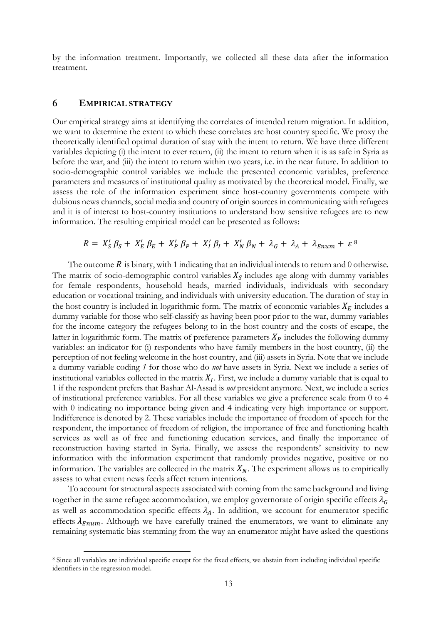by the information treatment. Importantly, we collected all these data after the information treatment.

## **6 EMPIRICAL STRATEGY**

Our empirical strategy aims at identifying the correlates of intended return migration. In addition, we want to determine the extent to which these correlates are host country specific. We proxy the theoretically identified optimal duration of stay with the intent to return. We have three different variables depicting (i) the intent to ever return, (ii) the intent to return when it is as safe in Syria as before the war, and (iii) the intent to return within two years, i.e. in the near future. In addition to socio-demographic control variables we include the presented economic variables, preference parameters and measures of institutional quality as motivated by the theoretical model. Finally, we assess the role of the information experiment since host-country governments compete with dubious news channels, social media and country of origin sources in communicating with refugees and it is of interest to host-country institutions to understand how sensitive refugees are to new information. The resulting empirical model can be presented as follows:

$$
R = X'_{S} \beta_{S} + X'_{E} \beta_{E} + X'_{P} \beta_{P} + X'_{I} \beta_{I} + X'_{N} \beta_{N} + \lambda_{G} + \lambda_{A} + \lambda_{Enum} + \varepsilon^{8}
$$

The outcome  $R$  is binary, with 1 indicating that an individual intends to return and 0 otherwise. The matrix of socio-demographic control variables  $X<sub>S</sub>$  includes age along with dummy variables for female respondents, household heads, married individuals, individuals with secondary education or vocational training, and individuals with university education. The duration of stay in the host country is included in logarithmic form. The matrix of economic variables  $X_E$  includes a dummy variable for those who self-classify as having been poor prior to the war, dummy variables for the income category the refugees belong to in the host country and the costs of escape, the latter in logarithmic form. The matrix of preference parameters  $X_P$  includes the following dummy variables: an indicator for (i) respondents who have family members in the host country, (ii) the perception of not feeling welcome in the host country, and (iii) assets in Syria. Note that we include a dummy variable coding *1* for those who do *not* have assets in Syria. Next we include a series of institutional variables collected in the matrix  $X_I$ . First, we include a dummy variable that is equal to 1 if the respondent prefers that Bashar Al-Assad is *not* president anymore. Next, we include a series of institutional preference variables. For all these variables we give a preference scale from 0 to 4 with 0 indicating no importance being given and 4 indicating very high importance or support. Indifference is denoted by 2. These variables include the importance of freedom of speech for the respondent, the importance of freedom of religion, the importance of free and functioning health services as well as of free and functioning education services, and finally the importance of reconstruction having started in Syria. Finally, we assess the respondents' sensitivity to new information with the information experiment that randomly provides negative, positive or no information. The variables are collected in the matrix  $X_N$ . The experiment allows us to empirically assess to what extent news feeds affect return intentions.

To account for structural aspects associated with coming from the same background and living together in the same refugee accommodation, we employ governorate of origin specific effects  $\lambda_G$ as well as accommodation specific effects  $\lambda_A$ . In addition, we account for enumerator specific effects  $\lambda_{Enum}$ . Although we have carefully trained the enumerators, we want to eliminate any remaining systematic bias stemming from the way an enumerator might have asked the questions

<sup>8</sup> Since all variables are individual specific except for the fixed effects, we abstain from including individual specific identifiers in the regression model.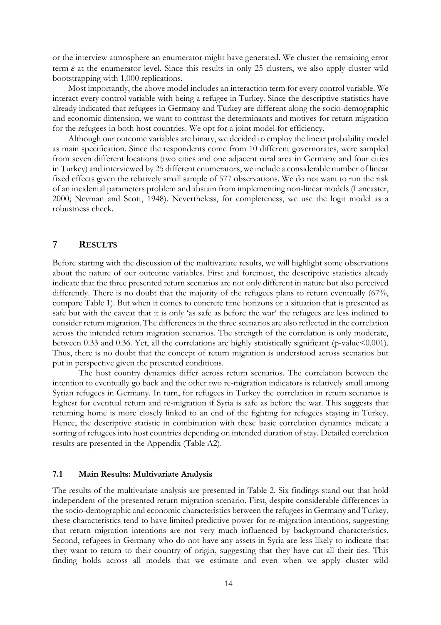or the interview atmosphere an enumerator might have generated. We cluster the remaining error term  $\varepsilon$  at the enumerator level. Since this results in only 25 clusters, we also apply cluster wild bootstrapping with 1,000 replications.

Most importantly, the above model includes an interaction term for every control variable. We interact every control variable with being a refugee in Turkey. Since the descriptive statistics have already indicated that refugees in Germany and Turkey are different along the socio-demographic and economic dimension, we want to contrast the determinants and motives for return migration for the refugees in both host countries. We opt for a joint model for efficiency.

Although our outcome variables are binary, we decided to employ the linear probability model as main specification. Since the respondents come from 10 different governorates, were sampled from seven different locations (two cities and one adjacent rural area in Germany and four cities in Turkey) and interviewed by 25 different enumerators, we include a considerable number of linear fixed effects given the relatively small sample of 577 observations. We do not want to run the risk of an incidental parameters problem and abstain from implementing non-linear models (Lancaster, 2000; Neyman and Scott, 1948). Nevertheless, for completeness, we use the logit model as a robustness check.

### **7 RESULTS**

Before starting with the discussion of the multivariate results, we will highlight some observations about the nature of our outcome variables. First and foremost, the descriptive statistics already indicate that the three presented return scenarios are not only different in nature but also perceived differently. There is no doubt that the majority of the refugees plans to return eventually (67%, compare Table 1). But when it comes to concrete time horizons or a situation that is presented as safe but with the caveat that it is only 'as safe as before the war' the refugees are less inclined to consider return migration. The differences in the three scenarios are also reflected in the correlation across the intended return migration scenarios. The strength of the correlation is only moderate, between 0.33 and 0.36. Yet, all the correlations are highly statistically significant (p-value<0.001). Thus, there is no doubt that the concept of return migration is understood across scenarios but put in perspective given the presented conditions.

The host country dynamics differ across return scenarios. The correlation between the intention to eventually go back and the other two re-migration indicators is relatively small among Syrian refugees in Germany. In turn, for refugees in Turkey the correlation in return scenarios is highest for eventual return and re-migration if Syria is safe as before the war. This suggests that returning home is more closely linked to an end of the fighting for refugees staying in Turkey. Hence, the descriptive statistic in combination with these basic correlation dynamics indicate a sorting of refugees into host countries depending on intended duration of stay. Detailed correlation results are presented in the Appendix (Table A2).

### **7.1 Main Results: Multivariate Analysis**

The results of the multivariate analysis are presented in Table 2. Six findings stand out that hold independent of the presented return migration scenario. First, despite considerable differences in the socio-demographic and economic characteristics between the refugees in Germany and Turkey, these characteristics tend to have limited predictive power for re-migration intentions, suggesting that return migration intentions are not very much influenced by background characteristics. Second, refugees in Germany who do not have any assets in Syria are less likely to indicate that they want to return to their country of origin, suggesting that they have cut all their ties. This finding holds across all models that we estimate and even when we apply cluster wild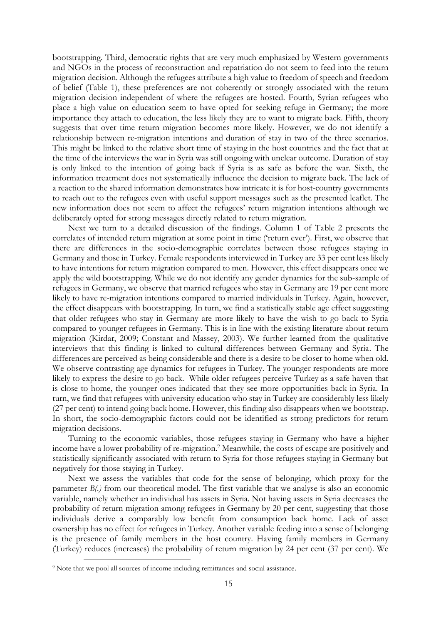bootstrapping. Third, democratic rights that are very much emphasized by Western governments and NGOs in the process of reconstruction and repatriation do not seem to feed into the return migration decision. Although the refugees attribute a high value to freedom of speech and freedom of belief (Table 1), these preferences are not coherently or strongly associated with the return migration decision independent of where the refugees are hosted. Fourth, Syrian refugees who place a high value on education seem to have opted for seeking refuge in Germany; the more importance they attach to education, the less likely they are to want to migrate back. Fifth, theory suggests that over time return migration becomes more likely. However, we do not identify a relationship between re-migration intentions and duration of stay in two of the three scenarios. This might be linked to the relative short time of staying in the host countries and the fact that at the time of the interviews the war in Syria was still ongoing with unclear outcome. Duration of stay is only linked to the intention of going back if Syria is as safe as before the war. Sixth, the information treatment does not systematically influence the decision to migrate back. The lack of a reaction to the shared information demonstrates how intricate it is for host-country governments to reach out to the refugees even with useful support messages such as the presented leaflet. The new information does not seem to affect the refugees' return migration intentions although we deliberately opted for strong messages directly related to return migration.

Next we turn to a detailed discussion of the findings. Column 1 of Table 2 presents the correlates of intended return migration at some point in time ('return ever'). First, we observe that there are differences in the socio-demographic correlates between those refugees staying in Germany and those in Turkey. Female respondents interviewed in Turkey are 33 per cent less likely to have intentions for return migration compared to men. However, this effect disappears once we apply the wild bootstrapping. While we do not identify any gender dynamics for the sub-sample of refugees in Germany, we observe that married refugees who stay in Germany are 19 per cent more likely to have re-migration intentions compared to married individuals in Turkey. Again, however, the effect disappears with bootstrapping. In turn, we find a statistically stable age effect suggesting that older refugees who stay in Germany are more likely to have the wish to go back to Syria compared to younger refugees in Germany. This is in line with the existing literature about return migration (Kirdar, 2009; Constant and Massey, 2003). We further learned from the qualitative interviews that this finding is linked to cultural differences between Germany and Syria. The differences are perceived as being considerable and there is a desire to be closer to home when old. We observe contrasting age dynamics for refugees in Turkey. The younger respondents are more likely to express the desire to go back. While older refugees perceive Turkey as a safe haven that is close to home, the younger ones indicated that they see more opportunities back in Syria. In turn, we find that refugees with university education who stay in Turkey are considerably less likely (27 per cent) to intend going back home. However, this finding also disappears when we bootstrap. In short, the socio-demographic factors could not be identified as strong predictors for return migration decisions.

Turning to the economic variables, those refugees staying in Germany who have a higher income have a lower probability of re-migration.<sup>9</sup> Meanwhile, the costs of escape are positively and statistically significantly associated with return to Syria for those refugees staying in Germany but negatively for those staying in Turkey.

Next we assess the variables that code for the sense of belonging, which proxy for the parameter *B(.)* from our theoretical model. The first variable that we analyse is also an economic variable, namely whether an individual has assets in Syria. Not having assets in Syria decreases the probability of return migration among refugees in Germany by 20 per cent, suggesting that those individuals derive a comparably low benefit from consumption back home. Lack of asset ownership has no effect for refugees in Turkey. Another variable feeding into a sense of belonging is the presence of family members in the host country. Having family members in Germany (Turkey) reduces (increases) the probability of return migration by 24 per cent (37 per cent). We

<sup>&</sup>lt;sup>9</sup> Note that we pool all sources of income including remittances and social assistance.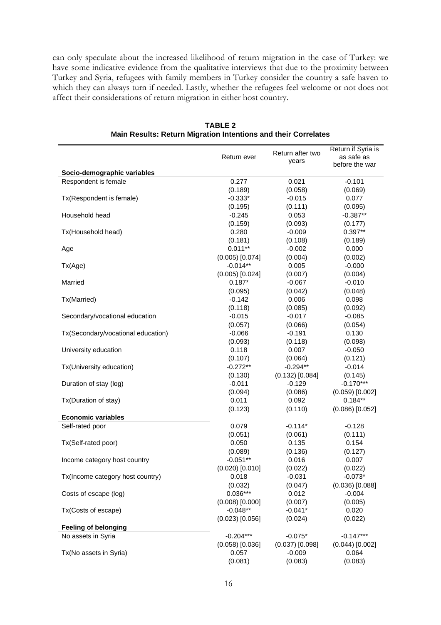can only speculate about the increased likelihood of return migration in the case of Turkey: we have some indicative evidence from the qualitative interviews that due to the proximity between Turkey and Syria, refugees with family members in Turkey consider the country a safe haven to which they can always turn if needed. Lastly, whether the refugees feel welcome or not does not affect their considerations of return migration in either host country.

| Socio-demographic variables<br>0.277<br>0.021<br>$-0.101$<br>Respondent is female<br>(0.189)<br>(0.058)<br>(0.069)<br>Tx(Respondent is female)<br>$-0.333*$<br>$-0.015$<br>0.077<br>(0.195)<br>(0.111)<br>(0.095)<br>$-0.387**$<br>$-0.245$<br>0.053<br>Household head<br>(0.159)<br>(0.093)<br>(0.177)<br>$0.397**$<br>0.280<br>Tx(Household head)<br>$-0.009$<br>(0.181)<br>(0.108)<br>(0.189)<br>$0.011**$<br>$-0.002$<br>0.000<br>Age<br>$(0.005)$ [0.074]<br>(0.004)<br>(0.002)<br>$-0.014**$<br>0.005<br>$-0.000$<br>Tx(Age)<br>$(0.005)$ $[0.024]$<br>(0.007)<br>(0.004)<br>$0.187*$<br>$-0.067$<br>$-0.010$<br>Married<br>(0.095)<br>(0.042)<br>(0.048)<br>$-0.142$<br>0.006<br>0.098<br>Tx(Married)<br>(0.085)<br>(0.118)<br>(0.092)<br>$-0.017$<br>Secondary/vocational education<br>$-0.015$<br>$-0.085$<br>(0.057)<br>(0.066)<br>(0.054)<br>0.130<br>Tx(Secondary/vocational education)<br>$-0.066$<br>$-0.191$<br>(0.093)<br>(0.118)<br>(0.098)<br>$-0.050$<br>University education<br>0.118<br>0.007<br>(0.107)<br>(0.064)<br>(0.121)<br>$-0.294**$<br>Tx(University education)<br>$-0.272**$<br>$-0.014$<br>$(0.132)$ [0.084]<br>(0.130)<br>(0.145)<br>$-0.170***$<br>$-0.011$<br>$-0.129$<br>Duration of stay (log)<br>(0.094)<br>(0.086)<br>$(0.059)$ [0.002]<br>$0.184**$<br>Tx(Duration of stay)<br>0.011<br>0.092<br>(0.123)<br>(0.110)<br>$(0.086)$ [0.052]<br><b>Economic variables</b><br>$-0.114*$<br>Self-rated poor<br>0.079<br>$-0.128$<br>(0.051)<br>(0.061)<br>(0.111)<br>0.050<br>0.135<br>0.154<br>Tx(Self-rated poor)<br>(0.089)<br>(0.136)<br>(0.127)<br>$-0.051**$<br>0.016<br>0.007<br>Income category host country<br>$(0.020)$ [0.010]<br>(0.022)<br>(0.022)<br>$-0.073*$<br>0.018<br>$-0.031$<br>Tx(Income category host country)<br>(0.032)<br>$(0.036)$ [0.088]<br>(0.047)<br>$0.036***$<br>0.012<br>Costs of escape (log)<br>$-0.004$<br>$(0.008)$ $[0.000]$<br>(0.007)<br>(0.005)<br>$-0.048**$<br>$-0.041*$<br>Tx(Costs of escape)<br>0.020<br>$(0.023)$ [0.056]<br>(0.024)<br>(0.022)<br><b>Feeling of belonging</b><br>$-0.204***$<br>$-0.147***$<br>No assets in Syria<br>$-0.075*$<br>$(0.058)$ [0.036]<br>$(0.037)$ [0.098]<br>$(0.044)$ [0.002]<br>0.057<br>$-0.009$<br>Tx(No assets in Syria)<br>0.064 | Return after two<br>Return ever<br>years |         | Return if Syria is<br>as safe as<br>before the war |
|----------------------------------------------------------------------------------------------------------------------------------------------------------------------------------------------------------------------------------------------------------------------------------------------------------------------------------------------------------------------------------------------------------------------------------------------------------------------------------------------------------------------------------------------------------------------------------------------------------------------------------------------------------------------------------------------------------------------------------------------------------------------------------------------------------------------------------------------------------------------------------------------------------------------------------------------------------------------------------------------------------------------------------------------------------------------------------------------------------------------------------------------------------------------------------------------------------------------------------------------------------------------------------------------------------------------------------------------------------------------------------------------------------------------------------------------------------------------------------------------------------------------------------------------------------------------------------------------------------------------------------------------------------------------------------------------------------------------------------------------------------------------------------------------------------------------------------------------------------------------------------------------------------------------------------------------------------------------------------------------------------------------------------------------------------------------------------------------------------------------------------------------------------------------------------------------------------------------------------------------------------|------------------------------------------|---------|----------------------------------------------------|
|                                                                                                                                                                                                                                                                                                                                                                                                                                                                                                                                                                                                                                                                                                                                                                                                                                                                                                                                                                                                                                                                                                                                                                                                                                                                                                                                                                                                                                                                                                                                                                                                                                                                                                                                                                                                                                                                                                                                                                                                                                                                                                                                                                                                                                                          |                                          |         |                                                    |
|                                                                                                                                                                                                                                                                                                                                                                                                                                                                                                                                                                                                                                                                                                                                                                                                                                                                                                                                                                                                                                                                                                                                                                                                                                                                                                                                                                                                                                                                                                                                                                                                                                                                                                                                                                                                                                                                                                                                                                                                                                                                                                                                                                                                                                                          |                                          |         |                                                    |
|                                                                                                                                                                                                                                                                                                                                                                                                                                                                                                                                                                                                                                                                                                                                                                                                                                                                                                                                                                                                                                                                                                                                                                                                                                                                                                                                                                                                                                                                                                                                                                                                                                                                                                                                                                                                                                                                                                                                                                                                                                                                                                                                                                                                                                                          |                                          |         |                                                    |
|                                                                                                                                                                                                                                                                                                                                                                                                                                                                                                                                                                                                                                                                                                                                                                                                                                                                                                                                                                                                                                                                                                                                                                                                                                                                                                                                                                                                                                                                                                                                                                                                                                                                                                                                                                                                                                                                                                                                                                                                                                                                                                                                                                                                                                                          |                                          |         |                                                    |
|                                                                                                                                                                                                                                                                                                                                                                                                                                                                                                                                                                                                                                                                                                                                                                                                                                                                                                                                                                                                                                                                                                                                                                                                                                                                                                                                                                                                                                                                                                                                                                                                                                                                                                                                                                                                                                                                                                                                                                                                                                                                                                                                                                                                                                                          |                                          |         |                                                    |
|                                                                                                                                                                                                                                                                                                                                                                                                                                                                                                                                                                                                                                                                                                                                                                                                                                                                                                                                                                                                                                                                                                                                                                                                                                                                                                                                                                                                                                                                                                                                                                                                                                                                                                                                                                                                                                                                                                                                                                                                                                                                                                                                                                                                                                                          |                                          |         |                                                    |
|                                                                                                                                                                                                                                                                                                                                                                                                                                                                                                                                                                                                                                                                                                                                                                                                                                                                                                                                                                                                                                                                                                                                                                                                                                                                                                                                                                                                                                                                                                                                                                                                                                                                                                                                                                                                                                                                                                                                                                                                                                                                                                                                                                                                                                                          |                                          |         |                                                    |
|                                                                                                                                                                                                                                                                                                                                                                                                                                                                                                                                                                                                                                                                                                                                                                                                                                                                                                                                                                                                                                                                                                                                                                                                                                                                                                                                                                                                                                                                                                                                                                                                                                                                                                                                                                                                                                                                                                                                                                                                                                                                                                                                                                                                                                                          |                                          |         |                                                    |
|                                                                                                                                                                                                                                                                                                                                                                                                                                                                                                                                                                                                                                                                                                                                                                                                                                                                                                                                                                                                                                                                                                                                                                                                                                                                                                                                                                                                                                                                                                                                                                                                                                                                                                                                                                                                                                                                                                                                                                                                                                                                                                                                                                                                                                                          |                                          |         |                                                    |
|                                                                                                                                                                                                                                                                                                                                                                                                                                                                                                                                                                                                                                                                                                                                                                                                                                                                                                                                                                                                                                                                                                                                                                                                                                                                                                                                                                                                                                                                                                                                                                                                                                                                                                                                                                                                                                                                                                                                                                                                                                                                                                                                                                                                                                                          |                                          |         |                                                    |
|                                                                                                                                                                                                                                                                                                                                                                                                                                                                                                                                                                                                                                                                                                                                                                                                                                                                                                                                                                                                                                                                                                                                                                                                                                                                                                                                                                                                                                                                                                                                                                                                                                                                                                                                                                                                                                                                                                                                                                                                                                                                                                                                                                                                                                                          |                                          |         |                                                    |
|                                                                                                                                                                                                                                                                                                                                                                                                                                                                                                                                                                                                                                                                                                                                                                                                                                                                                                                                                                                                                                                                                                                                                                                                                                                                                                                                                                                                                                                                                                                                                                                                                                                                                                                                                                                                                                                                                                                                                                                                                                                                                                                                                                                                                                                          |                                          |         |                                                    |
|                                                                                                                                                                                                                                                                                                                                                                                                                                                                                                                                                                                                                                                                                                                                                                                                                                                                                                                                                                                                                                                                                                                                                                                                                                                                                                                                                                                                                                                                                                                                                                                                                                                                                                                                                                                                                                                                                                                                                                                                                                                                                                                                                                                                                                                          |                                          |         |                                                    |
|                                                                                                                                                                                                                                                                                                                                                                                                                                                                                                                                                                                                                                                                                                                                                                                                                                                                                                                                                                                                                                                                                                                                                                                                                                                                                                                                                                                                                                                                                                                                                                                                                                                                                                                                                                                                                                                                                                                                                                                                                                                                                                                                                                                                                                                          |                                          |         |                                                    |
|                                                                                                                                                                                                                                                                                                                                                                                                                                                                                                                                                                                                                                                                                                                                                                                                                                                                                                                                                                                                                                                                                                                                                                                                                                                                                                                                                                                                                                                                                                                                                                                                                                                                                                                                                                                                                                                                                                                                                                                                                                                                                                                                                                                                                                                          |                                          |         |                                                    |
|                                                                                                                                                                                                                                                                                                                                                                                                                                                                                                                                                                                                                                                                                                                                                                                                                                                                                                                                                                                                                                                                                                                                                                                                                                                                                                                                                                                                                                                                                                                                                                                                                                                                                                                                                                                                                                                                                                                                                                                                                                                                                                                                                                                                                                                          |                                          |         |                                                    |
|                                                                                                                                                                                                                                                                                                                                                                                                                                                                                                                                                                                                                                                                                                                                                                                                                                                                                                                                                                                                                                                                                                                                                                                                                                                                                                                                                                                                                                                                                                                                                                                                                                                                                                                                                                                                                                                                                                                                                                                                                                                                                                                                                                                                                                                          |                                          |         |                                                    |
|                                                                                                                                                                                                                                                                                                                                                                                                                                                                                                                                                                                                                                                                                                                                                                                                                                                                                                                                                                                                                                                                                                                                                                                                                                                                                                                                                                                                                                                                                                                                                                                                                                                                                                                                                                                                                                                                                                                                                                                                                                                                                                                                                                                                                                                          |                                          |         |                                                    |
|                                                                                                                                                                                                                                                                                                                                                                                                                                                                                                                                                                                                                                                                                                                                                                                                                                                                                                                                                                                                                                                                                                                                                                                                                                                                                                                                                                                                                                                                                                                                                                                                                                                                                                                                                                                                                                                                                                                                                                                                                                                                                                                                                                                                                                                          |                                          |         |                                                    |
|                                                                                                                                                                                                                                                                                                                                                                                                                                                                                                                                                                                                                                                                                                                                                                                                                                                                                                                                                                                                                                                                                                                                                                                                                                                                                                                                                                                                                                                                                                                                                                                                                                                                                                                                                                                                                                                                                                                                                                                                                                                                                                                                                                                                                                                          |                                          |         |                                                    |
|                                                                                                                                                                                                                                                                                                                                                                                                                                                                                                                                                                                                                                                                                                                                                                                                                                                                                                                                                                                                                                                                                                                                                                                                                                                                                                                                                                                                                                                                                                                                                                                                                                                                                                                                                                                                                                                                                                                                                                                                                                                                                                                                                                                                                                                          |                                          |         |                                                    |
|                                                                                                                                                                                                                                                                                                                                                                                                                                                                                                                                                                                                                                                                                                                                                                                                                                                                                                                                                                                                                                                                                                                                                                                                                                                                                                                                                                                                                                                                                                                                                                                                                                                                                                                                                                                                                                                                                                                                                                                                                                                                                                                                                                                                                                                          |                                          |         |                                                    |
|                                                                                                                                                                                                                                                                                                                                                                                                                                                                                                                                                                                                                                                                                                                                                                                                                                                                                                                                                                                                                                                                                                                                                                                                                                                                                                                                                                                                                                                                                                                                                                                                                                                                                                                                                                                                                                                                                                                                                                                                                                                                                                                                                                                                                                                          |                                          |         |                                                    |
|                                                                                                                                                                                                                                                                                                                                                                                                                                                                                                                                                                                                                                                                                                                                                                                                                                                                                                                                                                                                                                                                                                                                                                                                                                                                                                                                                                                                                                                                                                                                                                                                                                                                                                                                                                                                                                                                                                                                                                                                                                                                                                                                                                                                                                                          |                                          |         |                                                    |
|                                                                                                                                                                                                                                                                                                                                                                                                                                                                                                                                                                                                                                                                                                                                                                                                                                                                                                                                                                                                                                                                                                                                                                                                                                                                                                                                                                                                                                                                                                                                                                                                                                                                                                                                                                                                                                                                                                                                                                                                                                                                                                                                                                                                                                                          |                                          |         |                                                    |
|                                                                                                                                                                                                                                                                                                                                                                                                                                                                                                                                                                                                                                                                                                                                                                                                                                                                                                                                                                                                                                                                                                                                                                                                                                                                                                                                                                                                                                                                                                                                                                                                                                                                                                                                                                                                                                                                                                                                                                                                                                                                                                                                                                                                                                                          |                                          |         |                                                    |
|                                                                                                                                                                                                                                                                                                                                                                                                                                                                                                                                                                                                                                                                                                                                                                                                                                                                                                                                                                                                                                                                                                                                                                                                                                                                                                                                                                                                                                                                                                                                                                                                                                                                                                                                                                                                                                                                                                                                                                                                                                                                                                                                                                                                                                                          |                                          |         |                                                    |
|                                                                                                                                                                                                                                                                                                                                                                                                                                                                                                                                                                                                                                                                                                                                                                                                                                                                                                                                                                                                                                                                                                                                                                                                                                                                                                                                                                                                                                                                                                                                                                                                                                                                                                                                                                                                                                                                                                                                                                                                                                                                                                                                                                                                                                                          |                                          |         |                                                    |
|                                                                                                                                                                                                                                                                                                                                                                                                                                                                                                                                                                                                                                                                                                                                                                                                                                                                                                                                                                                                                                                                                                                                                                                                                                                                                                                                                                                                                                                                                                                                                                                                                                                                                                                                                                                                                                                                                                                                                                                                                                                                                                                                                                                                                                                          |                                          |         |                                                    |
|                                                                                                                                                                                                                                                                                                                                                                                                                                                                                                                                                                                                                                                                                                                                                                                                                                                                                                                                                                                                                                                                                                                                                                                                                                                                                                                                                                                                                                                                                                                                                                                                                                                                                                                                                                                                                                                                                                                                                                                                                                                                                                                                                                                                                                                          |                                          |         |                                                    |
|                                                                                                                                                                                                                                                                                                                                                                                                                                                                                                                                                                                                                                                                                                                                                                                                                                                                                                                                                                                                                                                                                                                                                                                                                                                                                                                                                                                                                                                                                                                                                                                                                                                                                                                                                                                                                                                                                                                                                                                                                                                                                                                                                                                                                                                          |                                          |         |                                                    |
|                                                                                                                                                                                                                                                                                                                                                                                                                                                                                                                                                                                                                                                                                                                                                                                                                                                                                                                                                                                                                                                                                                                                                                                                                                                                                                                                                                                                                                                                                                                                                                                                                                                                                                                                                                                                                                                                                                                                                                                                                                                                                                                                                                                                                                                          |                                          |         |                                                    |
|                                                                                                                                                                                                                                                                                                                                                                                                                                                                                                                                                                                                                                                                                                                                                                                                                                                                                                                                                                                                                                                                                                                                                                                                                                                                                                                                                                                                                                                                                                                                                                                                                                                                                                                                                                                                                                                                                                                                                                                                                                                                                                                                                                                                                                                          |                                          |         |                                                    |
|                                                                                                                                                                                                                                                                                                                                                                                                                                                                                                                                                                                                                                                                                                                                                                                                                                                                                                                                                                                                                                                                                                                                                                                                                                                                                                                                                                                                                                                                                                                                                                                                                                                                                                                                                                                                                                                                                                                                                                                                                                                                                                                                                                                                                                                          |                                          |         |                                                    |
|                                                                                                                                                                                                                                                                                                                                                                                                                                                                                                                                                                                                                                                                                                                                                                                                                                                                                                                                                                                                                                                                                                                                                                                                                                                                                                                                                                                                                                                                                                                                                                                                                                                                                                                                                                                                                                                                                                                                                                                                                                                                                                                                                                                                                                                          |                                          |         |                                                    |
|                                                                                                                                                                                                                                                                                                                                                                                                                                                                                                                                                                                                                                                                                                                                                                                                                                                                                                                                                                                                                                                                                                                                                                                                                                                                                                                                                                                                                                                                                                                                                                                                                                                                                                                                                                                                                                                                                                                                                                                                                                                                                                                                                                                                                                                          |                                          |         |                                                    |
|                                                                                                                                                                                                                                                                                                                                                                                                                                                                                                                                                                                                                                                                                                                                                                                                                                                                                                                                                                                                                                                                                                                                                                                                                                                                                                                                                                                                                                                                                                                                                                                                                                                                                                                                                                                                                                                                                                                                                                                                                                                                                                                                                                                                                                                          |                                          |         |                                                    |
|                                                                                                                                                                                                                                                                                                                                                                                                                                                                                                                                                                                                                                                                                                                                                                                                                                                                                                                                                                                                                                                                                                                                                                                                                                                                                                                                                                                                                                                                                                                                                                                                                                                                                                                                                                                                                                                                                                                                                                                                                                                                                                                                                                                                                                                          |                                          |         |                                                    |
|                                                                                                                                                                                                                                                                                                                                                                                                                                                                                                                                                                                                                                                                                                                                                                                                                                                                                                                                                                                                                                                                                                                                                                                                                                                                                                                                                                                                                                                                                                                                                                                                                                                                                                                                                                                                                                                                                                                                                                                                                                                                                                                                                                                                                                                          |                                          |         |                                                    |
|                                                                                                                                                                                                                                                                                                                                                                                                                                                                                                                                                                                                                                                                                                                                                                                                                                                                                                                                                                                                                                                                                                                                                                                                                                                                                                                                                                                                                                                                                                                                                                                                                                                                                                                                                                                                                                                                                                                                                                                                                                                                                                                                                                                                                                                          |                                          |         |                                                    |
|                                                                                                                                                                                                                                                                                                                                                                                                                                                                                                                                                                                                                                                                                                                                                                                                                                                                                                                                                                                                                                                                                                                                                                                                                                                                                                                                                                                                                                                                                                                                                                                                                                                                                                                                                                                                                                                                                                                                                                                                                                                                                                                                                                                                                                                          |                                          |         |                                                    |
|                                                                                                                                                                                                                                                                                                                                                                                                                                                                                                                                                                                                                                                                                                                                                                                                                                                                                                                                                                                                                                                                                                                                                                                                                                                                                                                                                                                                                                                                                                                                                                                                                                                                                                                                                                                                                                                                                                                                                                                                                                                                                                                                                                                                                                                          |                                          |         |                                                    |
|                                                                                                                                                                                                                                                                                                                                                                                                                                                                                                                                                                                                                                                                                                                                                                                                                                                                                                                                                                                                                                                                                                                                                                                                                                                                                                                                                                                                                                                                                                                                                                                                                                                                                                                                                                                                                                                                                                                                                                                                                                                                                                                                                                                                                                                          |                                          |         |                                                    |
|                                                                                                                                                                                                                                                                                                                                                                                                                                                                                                                                                                                                                                                                                                                                                                                                                                                                                                                                                                                                                                                                                                                                                                                                                                                                                                                                                                                                                                                                                                                                                                                                                                                                                                                                                                                                                                                                                                                                                                                                                                                                                                                                                                                                                                                          |                                          |         |                                                    |
|                                                                                                                                                                                                                                                                                                                                                                                                                                                                                                                                                                                                                                                                                                                                                                                                                                                                                                                                                                                                                                                                                                                                                                                                                                                                                                                                                                                                                                                                                                                                                                                                                                                                                                                                                                                                                                                                                                                                                                                                                                                                                                                                                                                                                                                          |                                          |         |                                                    |
|                                                                                                                                                                                                                                                                                                                                                                                                                                                                                                                                                                                                                                                                                                                                                                                                                                                                                                                                                                                                                                                                                                                                                                                                                                                                                                                                                                                                                                                                                                                                                                                                                                                                                                                                                                                                                                                                                                                                                                                                                                                                                                                                                                                                                                                          | (0.081)                                  | (0.083) | (0.083)                                            |

**TABLE 2 Main Results: Return Migration Intentions and their Correlates**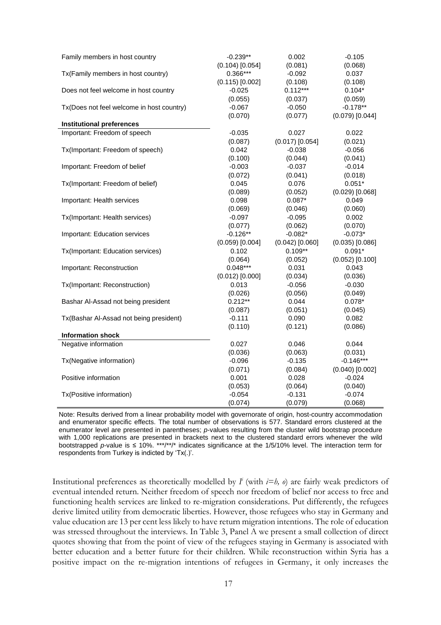| Family members in host country            | $-0.239**$          | 0.002             | $-0.105$            |
|-------------------------------------------|---------------------|-------------------|---------------------|
|                                           | $(0.104)$ [0.054]   | (0.081)           | (0.068)             |
| Tx(Family members in host country)        | $0.366***$          | $-0.092$          | 0.037               |
|                                           | $(0.115)$ $[0.002]$ | (0.108)           | (0.108)             |
| Does not feel welcome in host country     | $-0.025$            | $0.112***$        | $0.104*$            |
|                                           | (0.055)             | (0.037)           | (0.059)             |
| Tx(Does not feel welcome in host country) | $-0.067$            | $-0.050$          | $-0.178**$          |
|                                           | (0.070)             | (0.077)           | $(0.079)$ [0.044]   |
| <b>Institutional preferences</b>          |                     |                   |                     |
| Important: Freedom of speech              | $-0.035$            | 0.027             | 0.022               |
|                                           | (0.087)             | $(0.017)$ [0.054] | (0.021)             |
| Tx(Important: Freedom of speech)          | 0.042               | $-0.038$          | $-0.056$            |
|                                           | (0.100)             | (0.044)           | (0.041)             |
| Important: Freedom of belief              | $-0.003$            | $-0.037$          | $-0.014$            |
|                                           | (0.072)             | (0.041)           | (0.018)             |
| Tx(Important: Freedom of belief)          | 0.045               | 0.076             | $0.051*$            |
|                                           | (0.089)             | (0.052)           | $(0.029)$ [0.068]   |
| Important: Health services                | 0.098               | $0.087*$          | 0.049               |
|                                           | (0.069)             | (0.046)           | (0.060)             |
| Tx(Important: Health services)            | $-0.097$            | $-0.095$          | 0.002               |
|                                           | (0.077)             | (0.062)           | (0.070)             |
| Important: Education services             | $-0.126**$          | $-0.082*$         | $-0.073*$           |
|                                           | $(0.059)$ [0.004]   | $(0.042)$ [0.060] | $(0.035)$ $[0.086]$ |
| Tx(Important: Education services)         | 0.102               | $0.109**$         | $0.091*$            |
|                                           | (0.064)             | (0.052)           | $(0.052)$ [0.100]   |
| Important: Reconstruction                 | $0.048***$          | 0.031             | 0.043               |
|                                           | $(0.012)$ [0.000]   | (0.034)           | (0.036)             |
| Tx(Important: Reconstruction)             | 0.013               | $-0.056$          | $-0.030$            |
|                                           | (0.026)             | (0.056)           | (0.049)             |
| Bashar Al-Assad not being president       | $0.212**$           | 0.044             | $0.078*$            |
|                                           | (0.087)             | (0.051)           | (0.045)             |
| Tx(Bashar Al-Assad not being president)   | $-0.111$            | 0.090             | 0.082               |
|                                           | (0.110)             | (0.121)           | (0.086)             |
| <b>Information shock</b>                  |                     |                   |                     |
| Negative information                      | 0.027               | 0.046             | 0.044               |
|                                           | (0.036)             | (0.063)           | (0.031)             |
|                                           | $-0.096$            |                   | $-0.146***$         |
| Tx(Negative information)                  |                     | $-0.135$          |                     |
|                                           | (0.071)             | (0.084)           | $(0.040)$ [0.002]   |
| Positive information                      | 0.001               | 0.028             | $-0.024$            |
|                                           | (0.053)             | (0.064)           | (0.040)             |
| Tx(Positive information)                  | $-0.054$            | $-0.131$          | $-0.074$            |
|                                           | (0.074)             | (0.079)           | (0.068)             |

Note: Results derived from a linear probability model with governorate of origin, host-country accommodation and enumerator specific effects. The total number of observations is 577. Standard errors clustered at the enumerator level are presented in parentheses; *p*-values resulting from the cluster wild bootstrap procedure with 1,000 replications are presented in brackets next to the clustered standard errors whenever the wild bootstrapped *p*-value is ≤ 10%. \*\*\*/\*\*/\* indicates significance at the 1/5/10% level. The interaction term for respondents from Turkey is indicted by 'Tx(.)'.

Institutional preferences as theoretically modelled by  $I^i$  (with  $i=h$ ,  $\theta$ ) are fairly weak predictors of eventual intended return. Neither freedom of speech nor freedom of belief nor access to free and functioning health services are linked to re-migration considerations. Put differently, the refugees derive limited utility from democratic liberties. However, those refugees who stay in Germany and value education are 13 per cent less likely to have return migration intentions. The role of education was stressed throughout the interviews. In Table 3, Panel A we present a small collection of direct quotes showing that from the point of view of the refugees staying in Germany is associated with better education and a better future for their children. While reconstruction within Syria has a positive impact on the re-migration intentions of refugees in Germany, it only increases the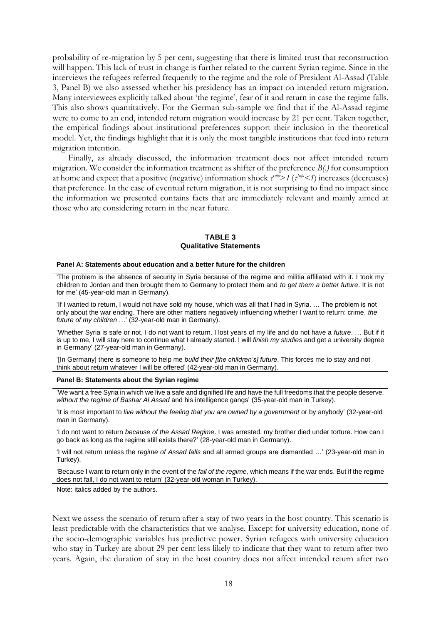probability of re-migration by 5 per cent, suggesting that there is limited trust that reconstruction will happen. This lack of trust in change is further related to the current Syrian regime. Since in the interviews the refugees referred frequently to the regime and the role of President Al-Assad (Table 3, Panel B) we also assessed whether his presidency has an impact on intended return migration. Many interviewees explicitly talked about 'the regime', fear of it and return in case the regime falls. This also shows quantitatively. For the German sub-sample we find that if the Al-Assad regime were to come to an end, intended return migration would increase by 21 per cent. Taken together, the empirical findings about institutional preferences support their inclusion in the theoretical model. Yet, the findings highlight that it is only the most tangible institutions that feed into return migration intention.

Finally, as already discussed, the information treatment does not affect intended return migration. We consider the information treatment as shifter of the preference *B(.)* for consumption at home and expect that a positive (negative) information shock  $\tau^{Info}$  *(* $\tau^{Info}$  < *1*) increases (decreases) that preference. In the case of eventual return migration, it is not surprising to find no impact since the information we presented contains facts that are immediately relevant and mainly aimed at those who are considering return in the near future.

**TABLE 3 Qualitative Statements**

#### **Panel A: Statements about education and a better future for the children**

'The problem is the absence of security in Syria because of the regime and militia affiliated with it. I took my children to Jordan and then brought them to Germany to protect them and *to get them a better future*. It is not for me' (45-year-old man in Germany).

'If I wanted to return, I would not have sold my house, which was all that I had in Syria. … The problem is not only about the war ending. There are other matters negatively influencing whether I want to return: crime*, the future of my children* …' (32-year-old man in Germany).

'Whether Syria is safe or not, I do not want to return. I lost years of my life and do not have a *future*. … But if it is up to me, I will stay here to continue what I already started. I will *finish my studies* and get a university degree in Germany' (27-year-old man in Germany).

'[In Germany] there is someone to help me *build their [the children's] future*. This forces me to stay and not think about return whatever I will be offered' (42-year-old man in Germany).

#### **Panel B: Statements about the Syrian regime**

'We want a free Syria in which we live a safe and dignified life and have the full freedoms that the people deserve, *without the regime of Bashar Al Assad* and his intelligence gangs' (35-year-old man in Turkey).

'It is most important to *live without the feeling that you are owned by a government* or by anybody' (32-year-old man in Germany).

'I do not want to return *because of the Assad Regime*. I was arrested, my brother died under torture. How can I go back as long as the regime still exists there?' (28-year-old man in Germany).

'I will not return unless the *regime of Assad falls* and all armed groups are dismantled …' (23-year-old man in Turkey).

'Because I want to return only in the event of the *fall of the regime,* which means if the war ends. But if the regime does not fall, I do not want to return' (32-year-old woman in Turkey).

Note: italics added by the authors.

Next we assess the scenario of return after a stay of two years in the host country. This scenario is least predictable with the characteristics that we analyse. Except for university education, none of the socio-demographic variables has predictive power. Syrian refugees with university education who stay in Turkey are about 29 per cent less likely to indicate that they want to return after two years. Again, the duration of stay in the host country does not affect intended return after two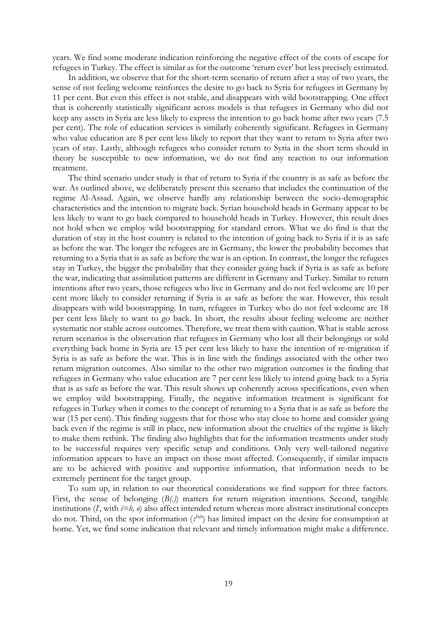years. We find some moderate indication reinforcing the negative effect of the costs of escape for refugees in Turkey. The effect is similar as for the outcome 'return ever' but less precisely estimated.

In addition, we observe that for the short-term scenario of return after a stay of two years, the sense of not feeling welcome reinforces the desire to go back to Syria for refugees in Germany by 11 per cent. But even this effect is not stable, and disappears with wild bootstrapping. One effect that is coherently statistically significant across models is that refugees in Germany who did not keep any assets in Syria are less likely to express the intention to go back home after two years (7.5 per cent). The role of education services is similarly coherently significant. Refugees in Germany who value education are 8 per cent less likely to report that they want to return to Syria after two years of stay. Lastly, although refugees who consider return to Syria in the short term should in theory be susceptible to new information, we do not find any reaction to our information treatment.

The third scenario under study is that of return to Syria if the country is as safe as before the war. As outlined above, we deliberately present this scenario that includes the continuation of the regime Al-Assad. Again, we observe hardly any relationship between the socio-demographic characteristics and the intention to migrate back. Syrian household heads in Germany appear to be less likely to want to go back compared to household heads in Turkey. However, this result does not hold when we employ wild bootstrapping for standard errors. What we do find is that the duration of stay in the host country is related to the intention of going back to Syria if it is as safe as before the war. The longer the refugees are in Germany, the lower the probability becomes that returning to a Syria that is as safe as before the war is an option. In contrast, the longer the refugees stay in Turkey, the bigger the probability that they consider going back if Syria is as safe as before the war, indicating that assimilation patterns are different in Germany and Turkey. Similar to return intentions after two years, those refugees who live in Germany and do not feel welcome are 10 per cent more likely to consider returning if Syria is as safe as before the war. However, this result disappears with wild bootstrapping. In turn, refugees in Turkey who do not feel welcome are 18 per cent less likely to want to go back. In short, the results about feeling welcome are neither systematic nor stable across outcomes. Therefore, we treat them with caution. What is stable across return scenarios is the observation that refugees in Germany who lost all their belongings or sold everything back home in Syria are 15 per cent less likely to have the intention of re-migration if Syria is as safe as before the war. This is in line with the findings associated with the other two return migration outcomes. Also similar to the other two migration outcomes is the finding that refugees in Germany who value education are 7 per cent less likely to intend going back to a Syria that is as safe as before the war. This result shows up coherently across specifications, even when we employ wild bootstrapping. Finally, the negative information treatment is significant for refugees in Turkey when it comes to the concept of returning to a Syria that is as safe as before the war (15 per cent). This finding suggests that for those who stay close to home and consider going back even if the regime is still in place, new information about the cruelties of the regime is likely to make them rethink. The finding also highlights that for the information treatments under study to be successful requires very specific setup and conditions. Only very well-tailored negative information appears to have an impact on those most affected. Consequently, if similar impacts are to be achieved with positive and supportive information, that information needs to be extremely pertinent for the target group.

To sum up, in relation to our theoretical considerations we find support for three factors. First, the sense of belonging (*B(.)*) matters for return migration intentions. Second, tangible institutions  $(I^i$ , with  $i=h$ ,  $o$ ) also affect intended return whereas more abstract institutional concepts do not. Third, on the spot information (*τ Info*) has limited impact on the desire for consumption at home. Yet, we find some indication that relevant and timely information might make a difference.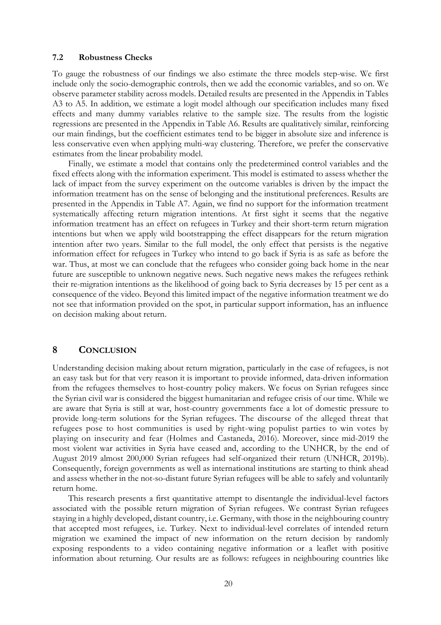### **7.2 Robustness Checks**

To gauge the robustness of our findings we also estimate the three models step-wise. We first include only the socio-demographic controls, then we add the economic variables, and so on. We observe parameter stability across models. Detailed results are presented in the Appendix in Tables A3 to A5. In addition, we estimate a logit model although our specification includes many fixed effects and many dummy variables relative to the sample size. The results from the logistic regressions are presented in the Appendix in Table A6. Results are qualitatively similar, reinforcing our main findings, but the coefficient estimates tend to be bigger in absolute size and inference is less conservative even when applying multi-way clustering. Therefore, we prefer the conservative estimates from the linear probability model.

Finally, we estimate a model that contains only the predetermined control variables and the fixed effects along with the information experiment. This model is estimated to assess whether the lack of impact from the survey experiment on the outcome variables is driven by the impact the information treatment has on the sense of belonging and the institutional preferences. Results are presented in the Appendix in Table A7. Again, we find no support for the information treatment systematically affecting return migration intentions. At first sight it seems that the negative information treatment has an effect on refugees in Turkey and their short-term return migration intentions but when we apply wild bootstrapping the effect disappears for the return migration intention after two years. Similar to the full model, the only effect that persists is the negative information effect for refugees in Turkey who intend to go back if Syria is as safe as before the war. Thus, at most we can conclude that the refugees who consider going back home in the near future are susceptible to unknown negative news. Such negative news makes the refugees rethink their re-migration intentions as the likelihood of going back to Syria decreases by 15 per cent as a consequence of the video. Beyond this limited impact of the negative information treatment we do not see that information provided on the spot, in particular support information, has an influence on decision making about return.

## **8 CONCLUSION**

Understanding decision making about return migration, particularly in the case of refugees, is not an easy task but for that very reason it is important to provide informed, data-driven information from the refugees themselves to host-country policy makers. We focus on Syrian refugees since the Syrian civil war is considered the biggest humanitarian and refugee crisis of our time. While we are aware that Syria is still at war, host-country governments face a lot of domestic pressure to provide long-term solutions for the Syrian refugees. The discourse of the alleged threat that refugees pose to host communities is used by right-wing populist parties to win votes by playing on insecurity and fear (Holmes and Castaneda, 2016). Moreover, since mid-2019 the most violent war activities in Syria have ceased and, according to the UNHCR, by the end of August 2019 almost 200,000 Syrian refugees had self-organized their return (UNHCR, 2019b). Consequently, foreign governments as well as international institutions are starting to think ahead and assess whether in the not-so-distant future Syrian refugees will be able to safely and voluntarily return home.

This research presents a first quantitative attempt to disentangle the individual-level factors associated with the possible return migration of Syrian refugees. We contrast Syrian refugees staying in a highly developed, distant country, i.e. Germany, with those in the neighbouring country that accepted most refugees, i.e. Turkey. Next to individual-level correlates of intended return migration we examined the impact of new information on the return decision by randomly exposing respondents to a video containing negative information or a leaflet with positive information about returning. Our results are as follows: refugees in neighbouring countries like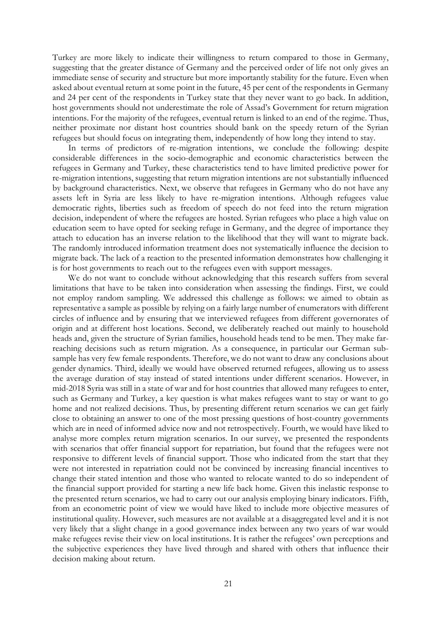Turkey are more likely to indicate their willingness to return compared to those in Germany, suggesting that the greater distance of Germany and the perceived order of life not only gives an immediate sense of security and structure but more importantly stability for the future. Even when asked about eventual return at some point in the future, 45 per cent of the respondents in Germany and 24 per cent of the respondents in Turkey state that they never want to go back. In addition, host governments should not underestimate the role of Assad's Government for return migration intentions. For the majority of the refugees, eventual return is linked to an end of the regime. Thus, neither proximate nor distant host countries should bank on the speedy return of the Syrian refugees but should focus on integrating them, independently of how long they intend to stay.

In terms of predictors of re-migration intentions, we conclude the following: despite considerable differences in the socio-demographic and economic characteristics between the refugees in Germany and Turkey, these characteristics tend to have limited predictive power for re-migration intentions, suggesting that return migration intentions are not substantially influenced by background characteristics. Next, we observe that refugees in Germany who do not have any assets left in Syria are less likely to have re-migration intentions. Although refugees value democratic rights, liberties such as freedom of speech do not feed into the return migration decision, independent of where the refugees are hosted. Syrian refugees who place a high value on education seem to have opted for seeking refuge in Germany, and the degree of importance they attach to education has an inverse relation to the likelihood that they will want to migrate back. The randomly introduced information treatment does not systematically influence the decision to migrate back. The lack of a reaction to the presented information demonstrates how challenging it is for host governments to reach out to the refugees even with support messages.

We do not want to conclude without acknowledging that this research suffers from several limitations that have to be taken into consideration when assessing the findings. First, we could not employ random sampling. We addressed this challenge as follows: we aimed to obtain as representative a sample as possible by relying on a fairly large number of enumerators with different circles of influence and by ensuring that we interviewed refugees from different governorates of origin and at different host locations. Second, we deliberately reached out mainly to household heads and, given the structure of Syrian families, household heads tend to be men. They make farreaching decisions such as return migration. As a consequence, in particular our German subsample has very few female respondents. Therefore, we do not want to draw any conclusions about gender dynamics. Third, ideally we would have observed returned refugees, allowing us to assess the average duration of stay instead of stated intentions under different scenarios. However, in mid-2018 Syria was still in a state of war and for host countries that allowed many refugees to enter, such as Germany and Turkey, a key question is what makes refugees want to stay or want to go home and not realized decisions. Thus, by presenting different return scenarios we can get fairly close to obtaining an answer to one of the most pressing questions of host-country governments which are in need of informed advice now and not retrospectively. Fourth, we would have liked to analyse more complex return migration scenarios. In our survey, we presented the respondents with scenarios that offer financial support for repatriation, but found that the refugees were not responsive to different levels of financial support. Those who indicated from the start that they were not interested in repatriation could not be convinced by increasing financial incentives to change their stated intention and those who wanted to relocate wanted to do so independent of the financial support provided for starting a new life back home. Given this inelastic response to the presented return scenarios, we had to carry out our analysis employing binary indicators. Fifth, from an econometric point of view we would have liked to include more objective measures of institutional quality. However, such measures are not available at a disaggregated level and it is not very likely that a slight change in a good governance index between any two years of war would make refugees revise their view on local institutions. It is rather the refugees' own perceptions and the subjective experiences they have lived through and shared with others that influence their decision making about return.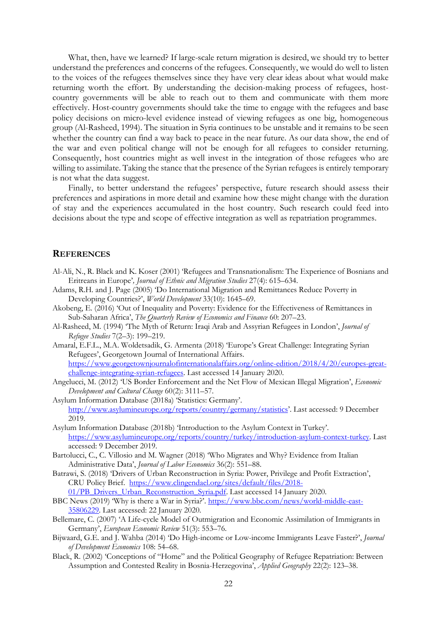What, then, have we learned? If large-scale return migration is desired, we should try to better understand the preferences and concerns of the refugees. Consequently, we would do well to listen to the voices of the refugees themselves since they have very clear ideas about what would make returning worth the effort. By understanding the decision-making process of refugees, hostcountry governments will be able to reach out to them and communicate with them more effectively. Host-country governments should take the time to engage with the refugees and base policy decisions on micro-level evidence instead of viewing refugees as one big, homogeneous group (Al-Rasheed, 1994). The situation in Syria continues to be unstable and it remains to be seen whether the country can find a way back to peace in the near future. As our data show, the end of the war and even political change will not be enough for all refugees to consider returning. Consequently, host countries might as well invest in the integration of those refugees who are willing to assimilate. Taking the stance that the presence of the Syrian refugees is entirely temporary is not what the data suggest.

Finally, to better understand the refugees' perspective, future research should assess their preferences and aspirations in more detail and examine how these might change with the duration of stay and the experiences accumulated in the host country. Such research could feed into decisions about the type and scope of effective integration as well as repatriation programmes.

#### **REFERENCES**

- Al-Ali, N., R. Black and K. Koser (2001) 'Refugees and Transnationalism: The Experience of Bosnians and Eritreans in Europe'*, Journal of Ethnic and Migration Studies* 27(4): 615–634.
- Adams, R.H. and J. Page (2005) 'Do International Migration and Remittances Reduce Poverty in Developing Countries?', *World Development* 33(10): 1645–69.
- Akobeng, E. (2016) 'Out of Inequality and Poverty: Evidence for the Effectiveness of Remittances in Sub-Saharan Africa', *The Quarterly Review of Economics and Finance* 60: 207–23.
- Al-Rasheed, M. (1994) 'The Myth of Return: Iraqi Arab and Assyrian Refugees in London', *Journal of Refugee Studies* 7(2–3): 199–219.
- Amaral, E.F.L., M.A. Woldetsadik, G. Armenta (2018) 'Europe's Great Challenge: Integrating Syrian Refugees', Georgetown Journal of International Affairs. [https://www.georgetownjournalofinternationalaffairs.org/online-edition/2018/4/20/europes-great](https://www.georgetownjournalofinternationalaffairs.org/online-edition/2018/4/20/europes-great-challenge-integrating-syrian-refugees)[challenge-integrating-syrian-refugees.](https://www.georgetownjournalofinternationalaffairs.org/online-edition/2018/4/20/europes-great-challenge-integrating-syrian-refugees) Last accessed 14 January 2020.
- Angelucci, M. (2012) 'US Border Enforcement and the Net Flow of Mexican Illegal Migration', *Economic Development and Cultural Change* 60(2): 3111–57.
- Asylum Information Database (2018a) 'Statistics: Germany'. <http://www.asylumineurope.org/reports/country/germany/statistics>'. Last accessed: 9 December 2019.
- Asylum Information Database (2018b) 'Introduction to the Asylum Context in Turkey'. [https://www.asylumineurope.org/reports/country/turkey/introduction-asylum-context-turkey.](https://www.asylumineurope.org/reports/country/turkey/introduction-asylum-context-turkey) Last accessed: 9 December 2019.
- Bartolucci, C., C. Villosio and M. Wagner (2018) 'Who Migrates and Why? Evidence from Italian Administrative Data', *Journal of Labor Economics* 36(2): 551–88.
- Batrawi, S. (2018) 'Drivers of Urban Reconstruction in Syria: Power, Privilege and Profit Extraction', CRU Policy Brief. [https://www.clingendael.org/sites/default/files/2018-](https://www.clingendael.org/sites/default/files/2018-01/PB_Drivers_Urban_Reconstruction_Syria.pdf) [01/PB\\_Drivers\\_Urban\\_Reconstruction\\_Syria.pdf.](https://www.clingendael.org/sites/default/files/2018-01/PB_Drivers_Urban_Reconstruction_Syria.pdf) Last accessed 14 January 2020.
- BBC News (2019) 'Why is there a War in Syria?'. [https://www.bbc.com/news/world-middle-east-](https://www.bbc.com/news/world-middle-east-%20%20%20%2035806229)[35806229.](https://www.bbc.com/news/world-middle-east-%20%20%20%2035806229) Last accessed: 22 January 2020.
- Bellemare, C. (2007) 'A Life-cycle Model of Outmigration and Economic Assimilation of Immigrants in Germany', *European Economic Review* 51(3): 553–76.
- Bijwaard, G.E. and J. Wahba (2014) 'Do High-income or Low-income Immigrants Leave Faster?', *Journal of Development Economics* 108: 54–68.
- Black, R. (2002) 'Conceptions of "Home" and the Political Geography of Refugee Repatriation: Between Assumption and Contested Reality in Bosnia-Herzegovina', *Applied Geography* 22(2): 123–38.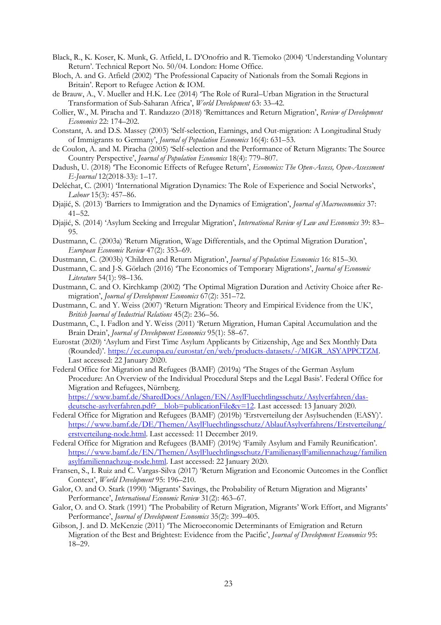- Black, R., K. Koser, K. Munk, G. Atfield, L. D'Onofrio and R. Tiemoko (2004) 'Understanding Voluntary Return'. Technical Report No. 50/04. London: Home Office.
- Bloch, A. and G. Atfield (2002) 'The Professional Capacity of Nationals from the Somali Regions in Britain'. Report to Refugee Action & IOM.
- de Brauw, A., V. Mueller and H.K. Lee (2014) 'The Role of Rural–Urban Migration in the Structural Transformation of Sub-Saharan Africa', *World Development* 63: 33–42.
- Collier, W., M. Piracha and T. Randazzo (2018) 'Remittances and Return Migration', *Review of Development Economics* 22: 174–202.
- Constant, A. and D.S. Massey (2003) 'Self-selection, Earnings, and Out-migration: A Longitudinal Study of Immigrants to Germany', *Journal of Population Economics* 16(4): 631–53.
- de Coulon, A. and M. Piracha (2005) 'Self-selection and the Performance of Return Migrants: The Source Country Perspective', *Journal of Population Economics* 18(4): 779–807.
- Dadush, U. (2018) 'The Economic Effects of Refugee Return', *Economics: The Open-Access, Open-Assessment E-Journal* 12(2018-33): 1–17.
- Deléchat, C. (2001) 'International Migration Dynamics: The Role of Experience and Social Networks', *Labour* 15(3): 457–86.
- Djajić, S. (2013) 'Barriers to Immigration and the Dynamics of Emigration', *Journal of Macroeconomics* 37: 41–52.
- Djajić, S. (2014) 'Asylum Seeking and Irregular Migration', *International Review of Law and Economics* 39: 83– 95.
- Dustmann, C. (2003a) 'Return Migration, Wage Differentials, and the Optimal Migration Duration', *European Economic Review* 47(2): 353–69.
- Dustmann, C. (2003b) 'Children and Return Migration', *Journal of Population Economics* 16: 815–30.
- Dustmann, C. and J-S. Görlach (2016) 'The Economics of Temporary Migrations', *Journal of Economic Literature* 54(1): 98–136.
- Dustmann, C. and O. Kirchkamp (2002) 'The Optimal Migration Duration and Activity Choice after Remigration', *Journal of Development Economics* 67(2): 351–72.
- Dustmann, C. and Y. Weiss (2007) 'Return Migration: Theory and Empirical Evidence from the UK', *British Journal of Industrial Relations* 45(2): 236–56.
- Dustmann, C., I. Fadlon and Y. Weiss (2011) 'Return Migration, Human Capital Accumulation and the Brain Drain', *Journal of Development Economics* 95(1): 58–67.
- Eurostat (2020) 'Asylum and First Time Asylum Applicants by Citizenship, Age and Sex Monthly Data (Rounded)'. [https://ec.europa.eu/eurostat/en/web/products-datasets/-/MIGR\\_ASYAPPCTZM.](https://ec.europa.eu/eurostat/en/web/products-datasets/-/MIGR_ASYAPPCTZM) Last accessed: 22 January 2020.
- Federal Office for Migration and Refugees (BAMF) (2019a) 'The Stages of the German Asylum Procedure: An Overview of the Individual Procedural Steps and the Legal Basis'. Federal Office for Migration and Refugees, Nürnberg.

[https://www.bamf.de/SharedDocs/Anlagen/EN/AsylFluechtlingsschutz/Asylverfahren/das](https://www.bamf.de/SharedDocs/Anlagen/EN/AsylFluechtlingsschutz/Asylverfahren/das-deutsche-asylverfahren.pdf?__blob=publicationFile&v=12)[deutsche-asylverfahren.pdf?\\_\\_blob=publicationFile&v=12.](https://www.bamf.de/SharedDocs/Anlagen/EN/AsylFluechtlingsschutz/Asylverfahren/das-deutsche-asylverfahren.pdf?__blob=publicationFile&v=12) Last accessed: 13 January 2020.

- Federal Office for Migration and Refugees (BAMF) (2019b) 'Erstverteilung der Asylsuchenden (EASY)'. [https://www.bamf.de/DE/Themen/AsylFluechtlingsschutz/AblaufAsylverfahrens/Erstverteilung/](https://www.bamf.de/DE/Themen/AsylFluechtlingsschutz/AblaufAsylverfahrens/Erstverteilung/erstverteilung-node.html) [erstverteilung-node.html.](https://www.bamf.de/DE/Themen/AsylFluechtlingsschutz/AblaufAsylverfahrens/Erstverteilung/erstverteilung-node.html) Last accessed: 11 December 2019.
- Federal Office for Migration and Refugees (BAMF) (2019c) 'Family Asylum and Family Reunification'. [https://www.bamf.de/EN/Themen/AsylFluechtlingsschutz/FamilienasylFamiliennachzug/familien](https://www.bamf.de/EN/Themen/AsylFluechtlingsschutz/FamilienasylFamiliennachzug/familienasylfamiliennachzug-node.html) [asylfamiliennachzug-node.html.](https://www.bamf.de/EN/Themen/AsylFluechtlingsschutz/FamilienasylFamiliennachzug/familienasylfamiliennachzug-node.html) Last accessed: 22 January 2020.
- Fransen, S., I. Ruiz and C. Vargas-Silva (2017) 'Return Migration and Economic Outcomes in the Conflict Context', *World Development* 95: 196–210.
- Galor, O. and O. Stark (1990) 'Migrants' Savings, the Probability of Return Migration and Migrants' Performance', *International Economic Review* 31(2): 463–67.
- Galor, O. and O. Stark (1991) 'The Probability of Return Migration, Migrants' Work Effort, and Migrants' Performance', *Journal of Development Economics* 35(2): 399–405.
- Gibson, J. and D. McKenzie (2011) 'The Microeconomic Determinants of Emigration and Return Migration of the Best and Brightest: Evidence from the Pacific', *Journal of Development Economics* 95: 18–29.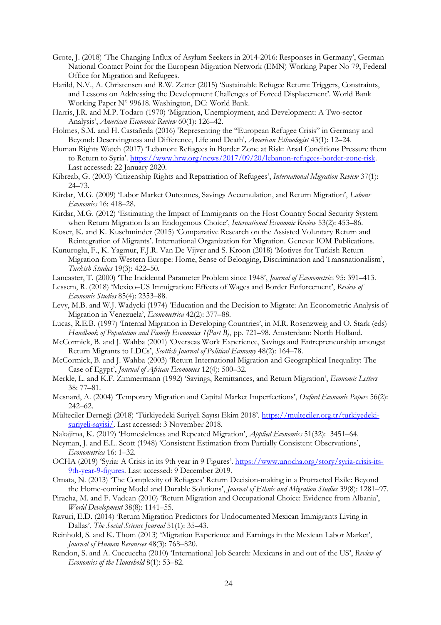- Grote, J. (2018) 'The Changing Influx of Asylum Seekers in 2014-2016: Responses in Germany', German National Contact Point for the European Migration Network (EMN) Working Paper No 79, Federal Office for Migration and Refugees.
- Harild, N.V., A. Christensen and R.W. Zetter (2015) 'Sustainable Refugee Return: Triggers, Constraints, and Lessons on Addressing the Development Challenges of Forced Displacement'. World Bank Working Paper N° 99618. Washington, DC: World Bank.
- Harris, J.R. and M.P. Todaro (1970) 'Migration, Unemployment, and Development: A Two-sector Analysis', *American Economic Review* 60(1): 126–42.
- Holmes, S.M. and H. Castañeda (2016) 'Representing the "European Refugee Crisis" in Germany and Beyond: Deservingness and Difference, Life and Death'*, American Ethnologist* 43(1): 12–24.
- Human Rights Watch (2017) 'Lebanon: Refugees in Border Zone at Risk: Arsal Conditions Pressure them to Return to Syria'. [https://www.hrw.org/news/2017/09/20/lebanon-refugees-border-zone-risk.](https://www.hrw.org/news/2017/09/20/lebanon-refugees-border-zone-risk) Last accessed: 22 January 2020.
- Kibreab, G. (2003) 'Citizenship Rights and Repatriation of Refugees', *International Migration Review* 37(1): 24–73.
- Kirdar, M.G. (2009) 'Labor Market Outcomes, Savings Accumulation, and Return Migration', *Labour Economics* 16: 418–28.
- Kirdar, M.G. (2012) 'Estimating the Impact of Immigrants on the Host Country Social Security System when Return Migration Is an Endogenous Choice', *International Economic Review* 53(2): 453–86.
- Koser, K. and K. Kuschminder (2015) 'Comparative Research on the Assisted Voluntary Return and Reintegration of Migrants'. International Organization for Migration. Geneva: IOM Publications.
- Kunuroglu, F., K. Yagmur, F.J.R. Van De Vijver and S. Kroon (2018) 'Motives for Turkish Return Migration from Western Europe: Home, Sense of Belonging, Discrimination and Transnationalism', *Turkish Studies* 19(3): 422–50.
- Lancaster, T. (2000) 'The Incidental Parameter Problem since 1948', *Journal of Econometrics* 95: 391–413.
- Lessem, R. (2018) 'Mexico–US Immigration: Effects of Wages and Border Enforcement', *Review of Economic Studies* 85(4): 2353–88.
- Levy, M.B. and W.J. Wadycki (1974) 'Education and the Decision to Migrate: An Econometric Analysis of Migration in Venezuela', *Econometrica* 42(2): 377–88.
- Lucas, R.E.B. (1997) 'Internal Migration in Developing Countries', in M.R. Rosenzweig and O. Stark (eds) *Handbook of Population and Family Economics 1(Part B)*, pp. 721–98. Amsterdam: North Holland.
- McCormick, B. and J. Wahba (2001) 'Overseas Work Experience, Savings and Entrepreneurship amongst Return Migrants to LDCs', *Scottish Journal of Political Economy* 48(2): 164–78.
- McCormick, B. and J. Wahba (2003) 'Return International Migration and Geographical Inequality: The Case of Egypt', *Journal of African Economies* 12(4): 500–32.
- Merkle, L. and K.F. Zimmermann (1992) 'Savings, Remittances, and Return Migration', *Economic Letters* 38: 77–81.
- Mesnard, A. (2004) 'Temporary Migration and Capital Market Imperfections', *Oxford Economic Papers* 56(2): 242–62.
- Mülteciler Derneği (2018) 'Türkiyedeki Suriyeli Sayısı Ekim 2018'. [https://multeciler.org.tr/turkiyedeki](https://multeciler.org.tr/turkiyedeki-suriyeli-sayisi/)[suriyeli-sayisi/.](https://multeciler.org.tr/turkiyedeki-suriyeli-sayisi/) Last accessed: 3 November 2018.
- Nakajima, K. (2019) 'Homesickness and Repeated Migration', *Applied Economics* 51(32): 3451–64.
- Neyman, J. and E.L. Scott (1948) 'Consistent Estimation from Partially Consistent Observations', *Econometrica* 16: 1–32.
- OCHA (2019) 'Syria: A Crisis in its 9th year in 9 Figures'. [https://www.unocha.org/story/syria-crisis-its-](https://www.unocha.org/story/syria-crisis-its-9th-year-9-figures)[9th-year-9-figures.](https://www.unocha.org/story/syria-crisis-its-9th-year-9-figures) Last accessed: 9 December 2019.
- Omata, N. (2013) 'The Complexity of Refugees' Return Decision-making in a Protracted Exile: Beyond the Home-coming Model and Durable Solutions', *Journal of Ethnic and Migration Studies* 39(8): 1281–97.
- Piracha, M. and F. Vadean (2010) 'Return Migration and Occupational Choice: Evidence from Albania', *World Development* 38(8): 1141–55.
- Ravuri, E.D. (2014) 'Return Migration Predictors for Undocumented Mexican Immigrants Living in Dallas', *The Social Science Journal* 51(1): 35–43.
- Reinhold, S. and K. Thom (2013) 'Migration Experience and Earnings in the Mexican Labor Market', *Journal of Human Resources* 48(3): 768–820.
- Rendon, S. and A. Cuecuecha (2010) 'International Job Search: Mexicans in and out of the US', *Review of Economics of the Household* 8(1): 53–82.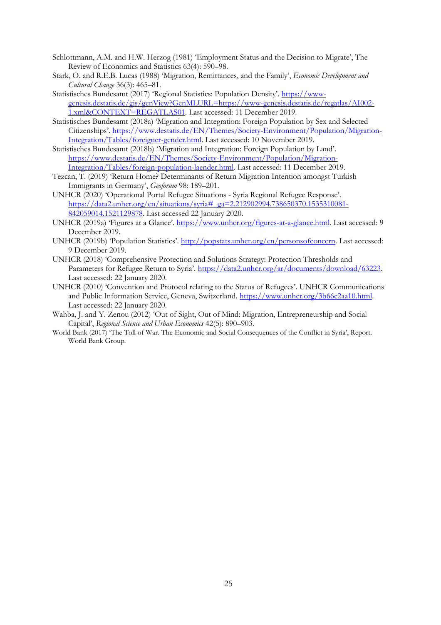- Schlottmann, A.M. and H.W. Herzog (1981) 'Employment Status and the Decision to Migrate', The Review of Economics and Statistics 63(4): 590–98.
- Stark, O. and R.E.B. Lucas (1988) 'Migration, Remittances, and the Family', *Economic Development and Cultural Change* 36(3): 465–81.
- Statistisches Bundesamt (2017) 'Regional Statistics: Population Density'. [https://www](https://www-genesis.destatis.de/gis/genView?GenMLURL=https://www-genesis.destatis.de/regatlas/AI002-1.xml&CONTEXT=REGATLAS01)[genesis.destatis.de/gis/genView?GenMLURL=https://www-genesis.destatis.de/regatlas/AI002-](https://www-genesis.destatis.de/gis/genView?GenMLURL=https://www-genesis.destatis.de/regatlas/AI002-1.xml&CONTEXT=REGATLAS01) [1.xml&CONTEXT=REGATLAS01.](https://www-genesis.destatis.de/gis/genView?GenMLURL=https://www-genesis.destatis.de/regatlas/AI002-1.xml&CONTEXT=REGATLAS01) Last accessed: 11 December 2019.
- Statistisches Bundesamt (2018a) 'Migration and Integration: Foreign Population by Sex and Selected Citizenships'. [https://www.destatis.de/EN/Themes/Society-Environment/Population/Migration-](https://www.destatis.de/EN/Themes/Society-Environment/Population/Migration-Integration/Tables/foreigner-gender.html)[Integration/Tables/foreigner-gender.html.](https://www.destatis.de/EN/Themes/Society-Environment/Population/Migration-Integration/Tables/foreigner-gender.html) Last accessed: 10 November 2019.
- Statistisches Bundesamt (2018b) 'Migration and Integration: Foreign Population by Land'. [https://www.destatis.de/EN/Themes/Society-Environment/Population/Migration-](https://www.destatis.de/EN/Themes/Society-Environment/Population/Migration-Integration/Tables/foreign-population-laender.html)[Integration/Tables/foreign-population-laender.html.](https://www.destatis.de/EN/Themes/Society-Environment/Population/Migration-Integration/Tables/foreign-population-laender.html) Last accessed: 11 December 2019.
- Tezcan, T. (2019) 'Return Home? Determinants of Return Migration Intention amongst Turkish Immigrants in Germany', *Geoforum* 98: 189–201.
- UNHCR (2020) 'Operational Portal Refugee Situations Syria Regional Refugee Response'. [https://data2.unhcr.org/en/situations/syria#\\_ga=2.212902994.738650370.1535310081-](https://data2.unhcr.org/en/situations/syria#_ga=2.212902994.738650370.1535310081-842059014.1521129878) [842059014.1521129878.](https://data2.unhcr.org/en/situations/syria#_ga=2.212902994.738650370.1535310081-842059014.1521129878) Last accessed 22 January 2020.
- UNHCR (2019a) 'Figures at a Glance'. [https://www.unhcr.org/figures-at-a-glance.html.](https://www.unhcr.org/figures-at-a-glance.html) Last accessed: 9 December 2019.
- UNHCR (2019b) 'Population Statistics'. [http://popstats.unhcr.org/en/personsofconcern.](http://popstats.unhcr.org/en/persons_of_concern) Last accessed: 9 December 2019.
- UNHCR (2018) 'Comprehensive Protection and Solutions Strategy: Protection Thresholds and Parameters for Refugee Return to Syria'. [https://data2.unhcr.org/ar/documents/download/63223.](https://data2.unhcr.org/ar/documents/download/63223) Last accessed: 22 January 2020.
- UNHCR (2010) 'Convention and Protocol relating to the Status of Refugees'. UNHCR Communications and Public Information Service, Geneva, Switzerland. [https://www.unhcr.org/3b66c2aa10.html.](https://www.unhcr.org/3b66c2aa10.html) Last accessed: 22 January 2020.
- Wahba, J. and Y. Zenou (2012) 'Out of Sight, Out of Mind: Migration, Entrepreneurship and Social Capital', *Regional Science and Urban Economics* 42(5): 890–903.
- World Bank (2017) 'The Toll of War. The Economic and Social Consequences of the Conflict in Syria', Report. World Bank Group.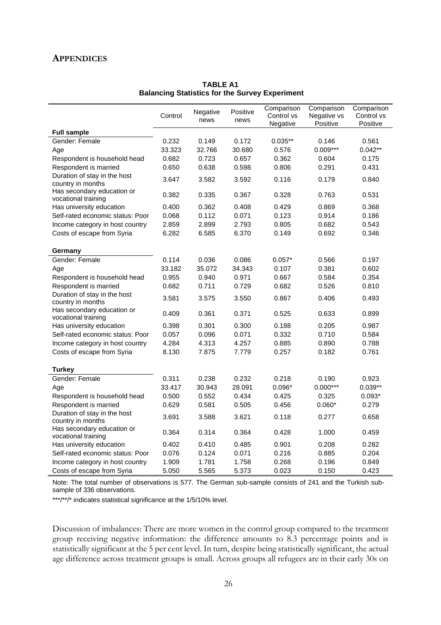## **APPENDICES**

|                                                   | Control | Negative<br>news | Positive<br>news | Comparison<br>Control vs<br>Negative | Comparison<br>Negative vs<br>Positive | Comparison<br>Control vs<br>Positive |
|---------------------------------------------------|---------|------------------|------------------|--------------------------------------|---------------------------------------|--------------------------------------|
| <b>Full sample</b>                                |         |                  |                  |                                      |                                       |                                      |
| Gender: Female                                    | 0.232   | 0.149            | 0.172            | $0.035**$                            | 0.146                                 | 0.561                                |
| Age                                               | 33.323  | 32.766           | 30.680           | 0.576                                | $0.009***$                            | $0.042**$                            |
| Respondent is household head                      | 0.682   | 0.723            | 0.657            | 0.362                                | 0.604                                 | 0.175                                |
| Respondent is married                             | 0.650   | 0.638            | 0.598            | 0.806                                | 0.291                                 | 0.431                                |
| Duration of stay in the host<br>country in months | 3.647   | 3.582            | 3.592            | 0.116                                | 0.179                                 | 0.840                                |
| Has secondary education or<br>vocational training | 0.382   | 0.335            | 0.367            | 0.328                                | 0.763                                 | 0.531                                |
| Has university education                          | 0.400   | 0.362            | 0.408            | 0.429                                | 0.869                                 | 0.368                                |
| Self-rated economic status: Poor                  | 0.068   | 0.112            | 0.071            | 0.123                                | 0.914                                 | 0.186                                |
| Income category in host country                   | 2.859   | 2.899            | 2.793            | 0.805                                | 0.682                                 | 0.543                                |
| Costs of escape from Syria                        | 6.282   | 6.585            | 6.370            | 0.149                                | 0.692                                 | 0.346                                |
| Germany                                           |         |                  |                  |                                      |                                       |                                      |
| Gender: Female                                    | 0.114   | 0.036            | 0.086            | $0.057*$                             | 0.566                                 | 0.197                                |
| Age                                               | 33.182  | 35.072           | 34.343           | 0.107                                | 0.381                                 | 0.602                                |
| Respondent is household head                      | 0.955   | 0.940            | 0.971            | 0.667                                | 0.584                                 | 0.354                                |
| Respondent is married                             | 0.682   | 0.711            | 0.729            | 0.682                                | 0.526                                 | 0.810                                |
| Duration of stay in the host<br>country in months | 3.581   | 3.575            | 3.550            | 0.867                                | 0.406                                 | 0.493                                |
| Has secondary education or<br>vocational training | 0.409   | 0.361            | 0.371            | 0.525                                | 0.633                                 | 0.899                                |
| Has university education                          | 0.398   | 0.301            | 0.300            | 0.188                                | 0.205                                 | 0.987                                |
| Self-rated economic status: Poor                  | 0.057   | 0.096            | 0.071            | 0.332                                | 0.710                                 | 0.584                                |
| Income category in host country                   | 4.284   | 4.313            | 4.257            | 0.885                                | 0.890                                 | 0.788                                |
| Costs of escape from Syria                        | 8.130   | 7.875            | 7.779            | 0.257                                | 0.182                                 | 0.761                                |
| <b>Turkey</b>                                     |         |                  |                  |                                      |                                       |                                      |
| Gender: Female                                    | 0.311   | 0.238            | 0.232            | 0.218                                | 0.190                                 | 0.923                                |
| Age                                               | 33.417  | 30.943           | 28.091           | $0.096*$                             | $0.000***$                            | $0.039**$                            |
| Respondent is household head                      | 0.500   | 0.552            | 0.434            | 0.425                                | 0.325                                 | $0.093*$                             |
| Respondent is married                             | 0.629   | 0.581            | 0.505            | 0.456                                | $0.060*$                              | 0.279                                |
| Duration of stay in the host<br>country in months | 3.691   | 3.588            | 3.621            | 0.118                                | 0.277                                 | 0.658                                |
| Has secondary education or<br>vocational training | 0.364   | 0.314            | 0.364            | 0.428                                | 1.000                                 | 0.459                                |
| Has university education                          | 0.402   | 0.410            | 0.485            | 0.901                                | 0.208                                 | 0.282                                |
| Self-rated economic status: Poor                  | 0.076   | 0.124            | 0.071            | 0.216                                | 0.885                                 | 0.204                                |
| Income category in host country                   | 1.909   | 1.781            | 1.758            | 0.268                                | 0.196                                 | 0.849                                |
| Costs of escape from Syria                        | 5.050   | 5.565            | 5.373            | 0.023                                | 0.150                                 | 0.423                                |

**TABLE A1 Balancing Statistics for the Survey Experiment**

Note: The total number of observations is 577. The German sub-sample consists of 241 and the Turkish subsample of 336 observations.

\*\*\*/\*\*/\* indicates statistical significance at the 1/5/10% level.

Discussion of imbalances: There are more women in the control group compared to the treatment group receiving negative information: the difference amounts to 8.3 percentage points and is statistically significant at the 5 per cent level. In turn, despite being statistically significant, the actual age difference across treatment groups is small. Across groups all refugees are in their early 30s on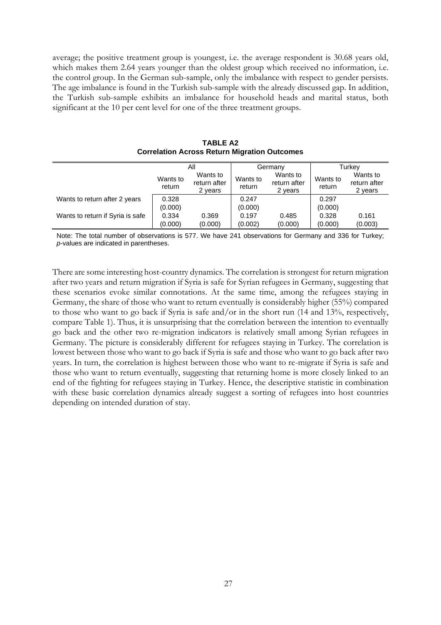average; the positive treatment group is youngest, i.e. the average respondent is 30.68 years old, which makes them 2.64 years younger than the oldest group which received no information, i.e. the control group. In the German sub-sample, only the imbalance with respect to gender persists. The age imbalance is found in the Turkish sub-sample with the already discussed gap. In addition, the Turkish sub-sample exhibits an imbalance for household heads and marital status, both significant at the 10 per cent level for one of the three treatment groups.

|                                  | Αll                |                                     |                    | Germany                             | Turkey             |                                     |
|----------------------------------|--------------------|-------------------------------------|--------------------|-------------------------------------|--------------------|-------------------------------------|
|                                  | Wants to<br>return | Wants to<br>return after<br>2 years | Wants to<br>return | Wants to<br>return after<br>2 years | Wants to<br>return | Wants to<br>return after<br>2 years |
| Wants to return after 2 years    | 0.328              |                                     | 0.247              |                                     | 0.297              |                                     |
|                                  | (0.000)            |                                     | (0.000)            |                                     | (0.000)            |                                     |
| Wants to return if Syria is safe | 0.334              | 0.369                               | 0.197              | 0.485                               | 0.328              | 0.161                               |
|                                  | (0.000)            | (0.000)                             | (0.002)            | (0.000)                             | (0.000)            | (0.003)                             |

**TABLE A2 Correlation Across Return Migration Outcomes**

Note: The total number of observations is 577. We have 241 observations for Germany and 336 for Turkey; *p*-values are indicated in parentheses.

There are some interesting host-country dynamics. The correlation is strongest for return migration after two years and return migration if Syria is safe for Syrian refugees in Germany, suggesting that these scenarios evoke similar connotations. At the same time, among the refugees staying in Germany, the share of those who want to return eventually is considerably higher (55%) compared to those who want to go back if Syria is safe and/or in the short run (14 and 13%, respectively, compare Table 1). Thus, it is unsurprising that the correlation between the intention to eventually go back and the other two re-migration indicators is relatively small among Syrian refugees in Germany. The picture is considerably different for refugees staying in Turkey. The correlation is lowest between those who want to go back if Syria is safe and those who want to go back after two years. In turn, the correlation is highest between those who want to re-migrate if Syria is safe and those who want to return eventually, suggesting that returning home is more closely linked to an end of the fighting for refugees staying in Turkey. Hence, the descriptive statistic in combination with these basic correlation dynamics already suggest a sorting of refugees into host countries depending on intended duration of stay.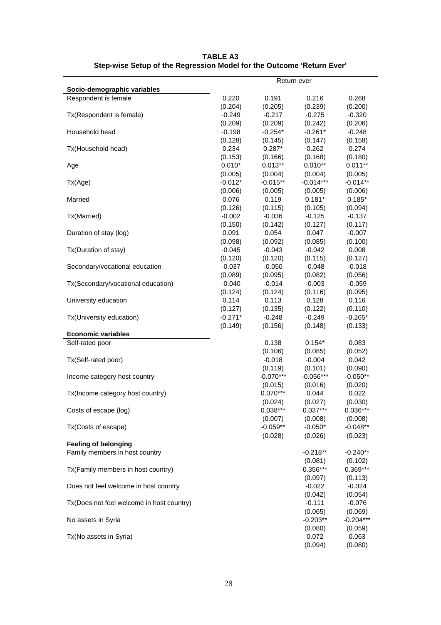| Socio-demographic variables               |           |             | Return ever |             |
|-------------------------------------------|-----------|-------------|-------------|-------------|
| Respondent is female                      | 0.220     | 0.191       | 0.216       | 0.268       |
|                                           | (0.204)   | (0.205)     | (0.239)     | (0.200)     |
| Tx(Respondent is female)                  | $-0.249$  | $-0.217$    | $-0.275$    | $-0.320$    |
|                                           | (0.209)   | (0.209)     | (0.242)     | (0.206)     |
| Household head                            | $-0.198$  | $-0.254*$   | $-0.261*$   | $-0.248$    |
|                                           | (0.128)   | (0.145)     | (0.147)     | (0.158)     |
| Tx(Household head)                        | 0.234     | $0.287*$    | 0.262       | 0.274       |
|                                           | (0.153)   | (0.166)     | (0.168)     | (0.180)     |
| Age                                       | $0.010*$  | $0.013**$   | $0.010**$   | $0.011**$   |
|                                           | (0.005)   | (0.004)     | (0.004)     | (0.005)     |
| Tx(Age)                                   | $-0.012*$ | $-0.015**$  | $-0.014***$ | $-0.014**$  |
|                                           | (0.006)   | (0.005)     | (0.005)     | (0.006)     |
| Married                                   | 0.076     | 0.119       | $0.181*$    | $0.185*$    |
|                                           | (0.126)   | (0.115)     | (0.105)     | (0.094)     |
| Tx(Married)                               | $-0.002$  | $-0.036$    | $-0.125$    | $-0.137$    |
|                                           | (0.150)   | (0.142)     | (0.127)     | (0.117)     |
| Duration of stay (log)                    | 0.091     | 0.054       | 0.047       | $-0.007$    |
|                                           | (0.098)   | (0.092)     | (0.085)     | (0.100)     |
| Tx(Duration of stay)                      | $-0.045$  | $-0.043$    | $-0.042$    | 0.008       |
|                                           | (0.120)   | (0.120)     | (0.115)     | (0.127)     |
| Secondary/vocational education            | $-0.037$  | $-0.050$    | $-0.048$    | $-0.018$    |
|                                           | (0.089)   | (0.095)     | (0.082)     | (0.056)     |
| Tx(Secondary/vocational education)        | $-0.040$  | $-0.014$    | $-0.003$    | $-0.059$    |
|                                           | (0.124)   | (0.124)     | (0.116)     | (0.095)     |
| University education                      | 0.114     | 0.113       | 0.128       | 0.116       |
|                                           | (0.127)   | (0.135)     | (0.122)     | (0.110)     |
| Tx(University education)                  | $-0.271*$ | $-0.248$    | $-0.249$    | $-0.265*$   |
| <b>Economic variables</b>                 | (0.149)   | (0.156)     | (0.148)     | (0.133)     |
| Self-rated poor                           |           | 0.138       | $0.154*$    | 0.083       |
|                                           |           | (0.106)     | (0.085)     | (0.052)     |
| Tx(Self-rated poor)                       |           | $-0.018$    | $-0.004$    | 0.042       |
|                                           |           | (0.119)     | (0.101)     | (0.090)     |
| Income category host country              |           | $-0.070***$ | $-0.056***$ | $-0.050**$  |
|                                           |           | (0.015)     | (0.016)     | (0.020)     |
| Tx(Income category host country)          |           | $0.070***$  | 0.044       | 0.022       |
|                                           |           | (0.024)     | (0.027)     | (0.030)     |
| Costs of escape (log)                     |           | $0.038***$  | $0.037***$  | $0.036***$  |
|                                           |           | (0.007)     | (0.008)     | (0.008)     |
| Tx(Costs of escape)                       |           | $-0.059**$  | $-0.050*$   | $-0.048**$  |
|                                           |           | (0.028)     | (0.026)     | (0.023)     |
| <b>Feeling of belonging</b>               |           |             |             |             |
| Family members in host country            |           |             | $-0.218**$  | $-0.240**$  |
|                                           |           |             | (0.081)     | (0.102)     |
| Tx(Family members in host country)        |           |             | $0.356***$  | $0.369***$  |
|                                           |           |             | (0.097)     | (0.113)     |
| Does not feel welcome in host country     |           |             | $-0.022$    | $-0.024$    |
|                                           |           |             | (0.042)     | (0.054)     |
| Tx(Does not feel welcome in host country) |           |             | $-0.111$    | $-0.076$    |
|                                           |           |             | (0.065)     | (0.069)     |
| No assets in Syria                        |           |             | $-0.203**$  | $-0.204***$ |
|                                           |           |             | (0.080)     | (0.059)     |
| Tx(No assets in Syria)                    |           |             | 0.072       | 0.063       |
|                                           |           |             | (0.094)     | (0.080)     |

**TABLE A3 Step-wise Setup of the Regression Model for the Outcome 'Return Ever'**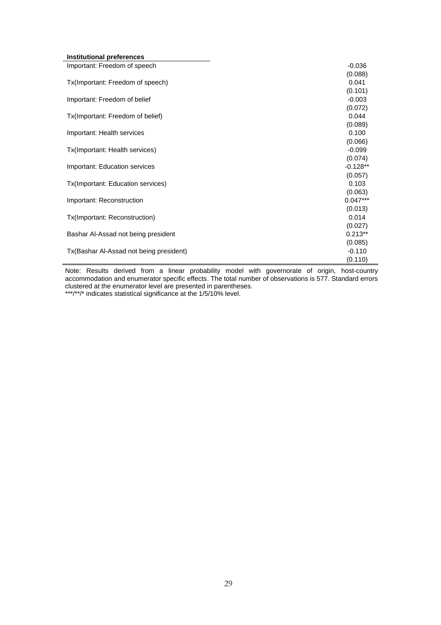| Institutional preferences               |            |
|-----------------------------------------|------------|
| Important: Freedom of speech            | $-0.036$   |
|                                         | (0.088)    |
| Tx(Important: Freedom of speech)        | 0.041      |
|                                         | (0.101)    |
| Important: Freedom of belief            | $-0.003$   |
|                                         | (0.072)    |
| Tx(Important: Freedom of belief)        | 0.044      |
|                                         | (0.089)    |
| Important: Health services              | 0.100      |
|                                         | (0.066)    |
| Tx(Important: Health services)          | $-0.099$   |
|                                         | (0.074)    |
| Important: Education services           | $-0.128**$ |
|                                         | (0.057)    |
| Tx(Important: Education services)       | 0.103      |
|                                         | (0.063)    |
| Important: Reconstruction               | $0.047***$ |
|                                         | (0.013)    |
| Tx(Important: Reconstruction)           | 0.014      |
|                                         | (0.027)    |
| Bashar Al-Assad not being president     | $0.213**$  |
|                                         | (0.085)    |
| Tx(Bashar Al-Assad not being president) | $-0.110$   |
|                                         | (0.110)    |

Note: Results derived from a linear probability model with governorate of origin, host-country accommodation and enumerator specific effects. The total number of observations is 577. Standard errors clustered at the enumerator level are presented in parentheses. \*\*\*/\*\*/\* indicates statistical significance at the 1/5/10% level.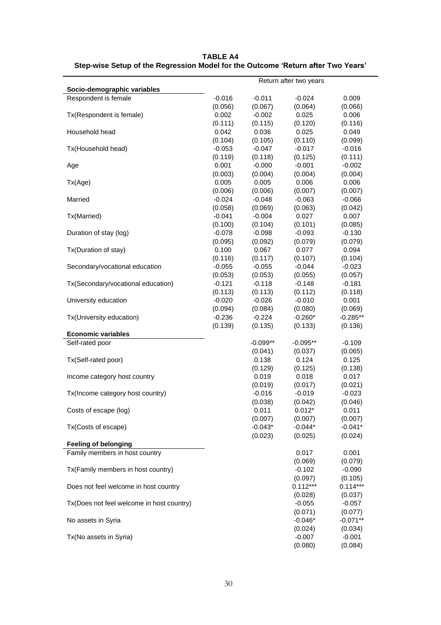| Socio-demographic variables               |          |            | Return after two years |            |
|-------------------------------------------|----------|------------|------------------------|------------|
| Respondent is female                      | $-0.016$ | $-0.011$   | $-0.024$               | 0.009      |
|                                           | (0.056)  | (0.067)    | (0.064)                | (0.066)    |
| Tx(Respondent is female)                  | 0.002    | $-0.002$   | 0.025                  | 0.006      |
|                                           | (0.111)  | (0.115)    | (0.120)                | (0.116)    |
| Household head                            | 0.042    | 0.036      | 0.025                  | 0.049      |
|                                           | (0.104)  | (0.105)    | (0.110)                | (0.099)    |
| Tx(Household head)                        | $-0.053$ | $-0.047$   | $-0.017$               | $-0.016$   |
|                                           | (0.119)  | (0.118)    | (0.125)                | (0.111)    |
| Age                                       | 0.001    | $-0.000$   | $-0.001$               | $-0.002$   |
|                                           | (0.003)  | (0.004)    | (0.004)                | (0.004)    |
| Tx(Age)                                   | 0.005    | 0.005      | 0.006                  | 0.006      |
|                                           | (0.006)  | (0.006)    | (0.007)                | (0.007)    |
| Married                                   | $-0.024$ | $-0.048$   | $-0.063$               | $-0.066$   |
|                                           |          |            |                        |            |
|                                           | (0.058)  | (0.069)    | (0.063)                | (0.042)    |
| Tx(Married)                               | $-0.041$ | $-0.004$   | 0.027                  | 0.007      |
|                                           | (0.100)  | (0.104)    | (0.101)                | (0.085)    |
| Duration of stay (log)                    | $-0.078$ | $-0.098$   | $-0.093$               | $-0.130$   |
|                                           | (0.095)  | (0.092)    | (0.079)                | (0.079)    |
| Tx(Duration of stay)                      | 0.100    | 0.067      | 0.077                  | 0.094      |
|                                           | (0.116)  | (0.117)    | (0.107)                | (0.104)    |
| Secondary/vocational education            | $-0.055$ | $-0.055$   | $-0.044$               | $-0.023$   |
|                                           | (0.053)  | (0.053)    | (0.055)                | (0.057)    |
| Tx(Secondary/vocational education)        | $-0.121$ | $-0.118$   | $-0.148$               | $-0.181$   |
|                                           | (0.113)  | (0.113)    | (0.112)                | (0.118)    |
| University education                      | $-0.020$ | $-0.026$   | $-0.010$               | 0.001      |
|                                           | (0.094)  | (0.084)    | (0.080)                | (0.069)    |
| Tx(University education)                  | $-0.236$ | $-0.224$   | $-0.260*$              | $-0.285**$ |
|                                           | (0.139)  | (0.135)    | (0.133)                | (0.136)    |
| <b>Economic variables</b>                 |          |            |                        |            |
| Self-rated poor                           |          | $-0.099**$ | $-0.095**$             | $-0.109$   |
|                                           |          | (0.041)    | (0.037)                | (0.065)    |
| Tx(Self-rated poor)                       |          | 0.138      | 0.124                  | 0.125      |
|                                           |          | (0.129)    | (0.125)                | (0.138)    |
| Income category host country              |          | 0.019      | 0.018                  | 0.017      |
|                                           |          | (0.019)    | (0.017)                | (0.021)    |
| Tx(Income category host country)          |          | $-0.016$   | $-0.019$               | $-0.023$   |
|                                           |          | (0.038)    | (0.042)                | (0.046)    |
| Costs of escape (log)                     |          | 0.011      | $0.012*$               | 0.011      |
|                                           |          | (0.007)    | (0.007)                | (0.007)    |
| Tx(Costs of escape)                       |          | $-0.043*$  | $-0.044*$              | $-0.041*$  |
|                                           |          | (0.023)    | (0.025)                | (0.024)    |
| <b>Feeling of belonging</b>               |          |            |                        |            |
| Family members in host country            |          |            | 0.017                  | 0.001      |
|                                           |          |            | (0.069)                | (0.079)    |
| Tx(Family members in host country)        |          |            | $-0.102$               | $-0.090$   |
|                                           |          |            | (0.097)                | (0.105)    |
| Does not feel welcome in host country     |          |            | $0.112***$             | $0.114***$ |
|                                           |          |            | (0.028)                | (0.037)    |
| Tx(Does not feel welcome in host country) |          |            | $-0.055$               | $-0.057$   |
|                                           |          |            | (0.071)                | (0.077)    |
| No assets in Syria                        |          |            | $-0.046*$              | $-0.071**$ |
|                                           |          |            | (0.024)                | (0.034)    |
| Tx(No assets in Syria)                    |          |            | $-0.007$               | $-0.001$   |
|                                           |          |            | (0.080)                | (0.084)    |

**TABLE A4 Step-wise Setup of the Regression Model for the Outcome 'Return after Two Years'**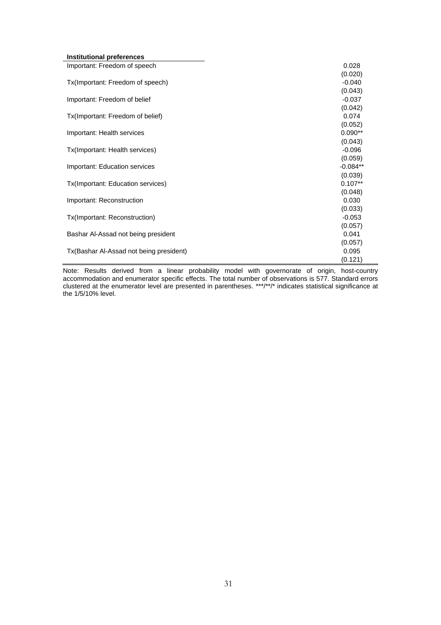| Institutional preferences               |            |
|-----------------------------------------|------------|
| Important: Freedom of speech            | 0.028      |
|                                         | (0.020)    |
| Tx(Important: Freedom of speech)        | $-0.040$   |
|                                         | (0.043)    |
| Important: Freedom of belief            | $-0.037$   |
|                                         | (0.042)    |
| Tx(Important: Freedom of belief)        | 0.074      |
|                                         | (0.052)    |
| Important: Health services              | $0.090**$  |
|                                         | (0.043)    |
| Tx(Important: Health services)          | $-0.096$   |
|                                         | (0.059)    |
| Important: Education services           | $-0.084**$ |
|                                         | (0.039)    |
| Tx(Important: Education services)       | $0.107**$  |
|                                         | (0.048)    |
| Important: Reconstruction               | 0.030      |
|                                         | (0.033)    |
| Tx(Important: Reconstruction)           | $-0.053$   |
|                                         | (0.057)    |
| Bashar Al-Assad not being president     | 0.041      |
|                                         | (0.057)    |
| Tx(Bashar Al-Assad not being president) | 0.095      |
|                                         | (0.121)    |

Note: Results derived from a linear probability model with governorate of origin, host-country accommodation and enumerator specific effects. The total number of observations is 577. Standard errors clustered at the enumerator level are presented in parentheses. \*\*\*/\*\*/\* indicates statistical significance at the 1/5/10% level.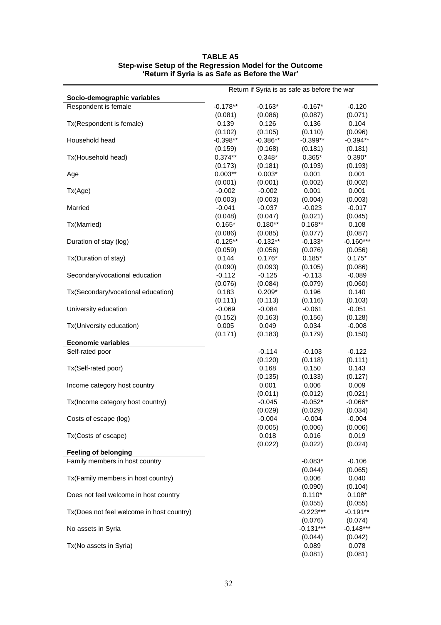| Socio-demographic variables<br>Respondent is female<br>$-0.178**$<br>$-0.163*$<br>$-0.167*$<br>$-0.120$<br>(0.081)<br>(0.086)<br>(0.087)<br>(0.071)<br>0.139<br>0.126<br>0.136<br>0.104<br>Tx(Respondent is female)<br>(0.096)<br>(0.102)<br>(0.105)<br>(0.110)<br>Household head<br>$-0.398**$<br>$-0.386**$<br>$-0.399**$<br>$-0.394**$<br>(0.168)<br>(0.159)<br>(0.181)<br>(0.181)<br>$0.374**$<br>$0.348*$<br>$0.365*$<br>$0.390*$<br>Tx(Household head)<br>(0.181)<br>(0.193)<br>(0.193)<br>(0.173)<br>$0.003**$<br>$0.003*$<br>0.001<br>0.001<br>Age<br>(0.002)<br>(0.001)<br>(0.001)<br>(0.002)<br>$-0.002$<br>$-0.002$<br>0.001<br>0.001<br>Tx(Age)<br>(0.003)<br>(0.003)<br>(0.004)<br>(0.003)<br>$-0.041$<br>$-0.037$<br>$-0.023$<br>$-0.017$<br>Married<br>(0.048)<br>(0.047)<br>(0.021)<br>(0.045)<br>$0.165*$<br>$0.180**$<br>$0.168**$<br>0.108<br>Tx(Married)<br>(0.086)<br>(0.085)<br>(0.077)<br>(0.087)<br>$-0.125**$<br>$-0.132**$<br>$-0.133*$<br>Duration of stay (log)<br>(0.059)<br>(0.056)<br>(0.076)<br>(0.056)<br>0.144<br>$0.176*$<br>$0.185*$<br>$0.175*$<br>Tx(Duration of stay)<br>(0.090)<br>(0.093)<br>(0.105)<br>(0.086)<br>$-0.112$<br>$-0.125$<br>$-0.113$<br>$-0.089$<br>Secondary/vocational education<br>(0.060)<br>(0.076)<br>(0.084)<br>(0.079)<br>Tx(Secondary/vocational education)<br>0.183<br>$0.209*$<br>0.196<br>0.140<br>(0.113)<br>(0.116)<br>(0.103)<br>(0.111)<br>University education<br>$-0.061$<br>$-0.069$<br>$-0.084$<br>$-0.051$<br>(0.152)<br>(0.163)<br>(0.156)<br>(0.128)<br>Tx(University education)<br>0.005<br>0.049<br>0.034<br>$-0.008$<br>(0.171)<br>(0.183)<br>(0.150)<br>(0.179)<br><b>Economic variables</b><br>$-0.114$<br>$-0.103$<br>Self-rated poor<br>$-0.122$<br>(0.120)<br>(0.118)<br>(0.111)<br>0.150<br>Tx(Self-rated poor)<br>0.168<br>0.143<br>(0.135)<br>(0.133)<br>(0.127)<br>Income category host country<br>0.001<br>0.006<br>0.009<br>(0.011)<br>(0.012)<br>(0.021)<br>Tx(Income category host country)<br>$-0.045$<br>$-0.052*$<br>$-0.066*$<br>(0.029)<br>(0.029)<br>(0.034)<br>$-0.004$<br>$-0.004$<br>$-0.004$<br>Costs of escape (log)<br>(0.005)<br>(0.006)<br>(0.006)<br>Tx(Costs of escape)<br>0.018<br>0.016<br>0.019<br>(0.022)<br>(0.022)<br>(0.024)<br><b>Feeling of belonging</b><br>Family members in host country<br>$-0.083*$<br>$-0.106$<br>(0.044)<br>(0.065)<br>Tx(Family members in host country)<br>0.006<br>0.040<br>(0.090)<br>(0.104)<br>$0.110*$<br>$0.108*$<br>Does not feel welcome in host country<br>(0.055)<br>(0.055)<br>$-0.223***$<br>$-0.191**$<br>Tx(Does not feel welcome in host country)<br>(0.076)<br>(0.074)<br>$-0.131***$<br>No assets in Syria<br>(0.042)<br>(0.044)<br>Tx(No assets in Syria)<br>0.089<br>0.078 | Return if Syria is as safe as before the war |  |         |         |
|------------------------------------------------------------------------------------------------------------------------------------------------------------------------------------------------------------------------------------------------------------------------------------------------------------------------------------------------------------------------------------------------------------------------------------------------------------------------------------------------------------------------------------------------------------------------------------------------------------------------------------------------------------------------------------------------------------------------------------------------------------------------------------------------------------------------------------------------------------------------------------------------------------------------------------------------------------------------------------------------------------------------------------------------------------------------------------------------------------------------------------------------------------------------------------------------------------------------------------------------------------------------------------------------------------------------------------------------------------------------------------------------------------------------------------------------------------------------------------------------------------------------------------------------------------------------------------------------------------------------------------------------------------------------------------------------------------------------------------------------------------------------------------------------------------------------------------------------------------------------------------------------------------------------------------------------------------------------------------------------------------------------------------------------------------------------------------------------------------------------------------------------------------------------------------------------------------------------------------------------------------------------------------------------------------------------------------------------------------------------------------------------------------------------------------------------------------------------------------------------------------------------------------------------------------------------------------------------------------------------------------------------------------------------------------------------------------------------------------------------|----------------------------------------------|--|---------|---------|
|                                                                                                                                                                                                                                                                                                                                                                                                                                                                                                                                                                                                                                                                                                                                                                                                                                                                                                                                                                                                                                                                                                                                                                                                                                                                                                                                                                                                                                                                                                                                                                                                                                                                                                                                                                                                                                                                                                                                                                                                                                                                                                                                                                                                                                                                                                                                                                                                                                                                                                                                                                                                                                                                                                                                                |                                              |  |         |         |
| $-0.160***$<br>$-0.148***$                                                                                                                                                                                                                                                                                                                                                                                                                                                                                                                                                                                                                                                                                                                                                                                                                                                                                                                                                                                                                                                                                                                                                                                                                                                                                                                                                                                                                                                                                                                                                                                                                                                                                                                                                                                                                                                                                                                                                                                                                                                                                                                                                                                                                                                                                                                                                                                                                                                                                                                                                                                                                                                                                                                     |                                              |  |         |         |
|                                                                                                                                                                                                                                                                                                                                                                                                                                                                                                                                                                                                                                                                                                                                                                                                                                                                                                                                                                                                                                                                                                                                                                                                                                                                                                                                                                                                                                                                                                                                                                                                                                                                                                                                                                                                                                                                                                                                                                                                                                                                                                                                                                                                                                                                                                                                                                                                                                                                                                                                                                                                                                                                                                                                                |                                              |  |         |         |
|                                                                                                                                                                                                                                                                                                                                                                                                                                                                                                                                                                                                                                                                                                                                                                                                                                                                                                                                                                                                                                                                                                                                                                                                                                                                                                                                                                                                                                                                                                                                                                                                                                                                                                                                                                                                                                                                                                                                                                                                                                                                                                                                                                                                                                                                                                                                                                                                                                                                                                                                                                                                                                                                                                                                                |                                              |  |         |         |
|                                                                                                                                                                                                                                                                                                                                                                                                                                                                                                                                                                                                                                                                                                                                                                                                                                                                                                                                                                                                                                                                                                                                                                                                                                                                                                                                                                                                                                                                                                                                                                                                                                                                                                                                                                                                                                                                                                                                                                                                                                                                                                                                                                                                                                                                                                                                                                                                                                                                                                                                                                                                                                                                                                                                                |                                              |  |         |         |
|                                                                                                                                                                                                                                                                                                                                                                                                                                                                                                                                                                                                                                                                                                                                                                                                                                                                                                                                                                                                                                                                                                                                                                                                                                                                                                                                                                                                                                                                                                                                                                                                                                                                                                                                                                                                                                                                                                                                                                                                                                                                                                                                                                                                                                                                                                                                                                                                                                                                                                                                                                                                                                                                                                                                                |                                              |  |         |         |
|                                                                                                                                                                                                                                                                                                                                                                                                                                                                                                                                                                                                                                                                                                                                                                                                                                                                                                                                                                                                                                                                                                                                                                                                                                                                                                                                                                                                                                                                                                                                                                                                                                                                                                                                                                                                                                                                                                                                                                                                                                                                                                                                                                                                                                                                                                                                                                                                                                                                                                                                                                                                                                                                                                                                                |                                              |  |         |         |
|                                                                                                                                                                                                                                                                                                                                                                                                                                                                                                                                                                                                                                                                                                                                                                                                                                                                                                                                                                                                                                                                                                                                                                                                                                                                                                                                                                                                                                                                                                                                                                                                                                                                                                                                                                                                                                                                                                                                                                                                                                                                                                                                                                                                                                                                                                                                                                                                                                                                                                                                                                                                                                                                                                                                                |                                              |  |         |         |
|                                                                                                                                                                                                                                                                                                                                                                                                                                                                                                                                                                                                                                                                                                                                                                                                                                                                                                                                                                                                                                                                                                                                                                                                                                                                                                                                                                                                                                                                                                                                                                                                                                                                                                                                                                                                                                                                                                                                                                                                                                                                                                                                                                                                                                                                                                                                                                                                                                                                                                                                                                                                                                                                                                                                                |                                              |  |         |         |
|                                                                                                                                                                                                                                                                                                                                                                                                                                                                                                                                                                                                                                                                                                                                                                                                                                                                                                                                                                                                                                                                                                                                                                                                                                                                                                                                                                                                                                                                                                                                                                                                                                                                                                                                                                                                                                                                                                                                                                                                                                                                                                                                                                                                                                                                                                                                                                                                                                                                                                                                                                                                                                                                                                                                                |                                              |  |         |         |
|                                                                                                                                                                                                                                                                                                                                                                                                                                                                                                                                                                                                                                                                                                                                                                                                                                                                                                                                                                                                                                                                                                                                                                                                                                                                                                                                                                                                                                                                                                                                                                                                                                                                                                                                                                                                                                                                                                                                                                                                                                                                                                                                                                                                                                                                                                                                                                                                                                                                                                                                                                                                                                                                                                                                                |                                              |  |         |         |
|                                                                                                                                                                                                                                                                                                                                                                                                                                                                                                                                                                                                                                                                                                                                                                                                                                                                                                                                                                                                                                                                                                                                                                                                                                                                                                                                                                                                                                                                                                                                                                                                                                                                                                                                                                                                                                                                                                                                                                                                                                                                                                                                                                                                                                                                                                                                                                                                                                                                                                                                                                                                                                                                                                                                                |                                              |  |         |         |
|                                                                                                                                                                                                                                                                                                                                                                                                                                                                                                                                                                                                                                                                                                                                                                                                                                                                                                                                                                                                                                                                                                                                                                                                                                                                                                                                                                                                                                                                                                                                                                                                                                                                                                                                                                                                                                                                                                                                                                                                                                                                                                                                                                                                                                                                                                                                                                                                                                                                                                                                                                                                                                                                                                                                                |                                              |  |         |         |
|                                                                                                                                                                                                                                                                                                                                                                                                                                                                                                                                                                                                                                                                                                                                                                                                                                                                                                                                                                                                                                                                                                                                                                                                                                                                                                                                                                                                                                                                                                                                                                                                                                                                                                                                                                                                                                                                                                                                                                                                                                                                                                                                                                                                                                                                                                                                                                                                                                                                                                                                                                                                                                                                                                                                                |                                              |  |         |         |
|                                                                                                                                                                                                                                                                                                                                                                                                                                                                                                                                                                                                                                                                                                                                                                                                                                                                                                                                                                                                                                                                                                                                                                                                                                                                                                                                                                                                                                                                                                                                                                                                                                                                                                                                                                                                                                                                                                                                                                                                                                                                                                                                                                                                                                                                                                                                                                                                                                                                                                                                                                                                                                                                                                                                                |                                              |  |         |         |
|                                                                                                                                                                                                                                                                                                                                                                                                                                                                                                                                                                                                                                                                                                                                                                                                                                                                                                                                                                                                                                                                                                                                                                                                                                                                                                                                                                                                                                                                                                                                                                                                                                                                                                                                                                                                                                                                                                                                                                                                                                                                                                                                                                                                                                                                                                                                                                                                                                                                                                                                                                                                                                                                                                                                                |                                              |  |         |         |
|                                                                                                                                                                                                                                                                                                                                                                                                                                                                                                                                                                                                                                                                                                                                                                                                                                                                                                                                                                                                                                                                                                                                                                                                                                                                                                                                                                                                                                                                                                                                                                                                                                                                                                                                                                                                                                                                                                                                                                                                                                                                                                                                                                                                                                                                                                                                                                                                                                                                                                                                                                                                                                                                                                                                                |                                              |  |         |         |
|                                                                                                                                                                                                                                                                                                                                                                                                                                                                                                                                                                                                                                                                                                                                                                                                                                                                                                                                                                                                                                                                                                                                                                                                                                                                                                                                                                                                                                                                                                                                                                                                                                                                                                                                                                                                                                                                                                                                                                                                                                                                                                                                                                                                                                                                                                                                                                                                                                                                                                                                                                                                                                                                                                                                                |                                              |  |         |         |
|                                                                                                                                                                                                                                                                                                                                                                                                                                                                                                                                                                                                                                                                                                                                                                                                                                                                                                                                                                                                                                                                                                                                                                                                                                                                                                                                                                                                                                                                                                                                                                                                                                                                                                                                                                                                                                                                                                                                                                                                                                                                                                                                                                                                                                                                                                                                                                                                                                                                                                                                                                                                                                                                                                                                                |                                              |  |         |         |
|                                                                                                                                                                                                                                                                                                                                                                                                                                                                                                                                                                                                                                                                                                                                                                                                                                                                                                                                                                                                                                                                                                                                                                                                                                                                                                                                                                                                                                                                                                                                                                                                                                                                                                                                                                                                                                                                                                                                                                                                                                                                                                                                                                                                                                                                                                                                                                                                                                                                                                                                                                                                                                                                                                                                                |                                              |  |         |         |
|                                                                                                                                                                                                                                                                                                                                                                                                                                                                                                                                                                                                                                                                                                                                                                                                                                                                                                                                                                                                                                                                                                                                                                                                                                                                                                                                                                                                                                                                                                                                                                                                                                                                                                                                                                                                                                                                                                                                                                                                                                                                                                                                                                                                                                                                                                                                                                                                                                                                                                                                                                                                                                                                                                                                                |                                              |  |         |         |
|                                                                                                                                                                                                                                                                                                                                                                                                                                                                                                                                                                                                                                                                                                                                                                                                                                                                                                                                                                                                                                                                                                                                                                                                                                                                                                                                                                                                                                                                                                                                                                                                                                                                                                                                                                                                                                                                                                                                                                                                                                                                                                                                                                                                                                                                                                                                                                                                                                                                                                                                                                                                                                                                                                                                                |                                              |  |         |         |
|                                                                                                                                                                                                                                                                                                                                                                                                                                                                                                                                                                                                                                                                                                                                                                                                                                                                                                                                                                                                                                                                                                                                                                                                                                                                                                                                                                                                                                                                                                                                                                                                                                                                                                                                                                                                                                                                                                                                                                                                                                                                                                                                                                                                                                                                                                                                                                                                                                                                                                                                                                                                                                                                                                                                                |                                              |  |         |         |
|                                                                                                                                                                                                                                                                                                                                                                                                                                                                                                                                                                                                                                                                                                                                                                                                                                                                                                                                                                                                                                                                                                                                                                                                                                                                                                                                                                                                                                                                                                                                                                                                                                                                                                                                                                                                                                                                                                                                                                                                                                                                                                                                                                                                                                                                                                                                                                                                                                                                                                                                                                                                                                                                                                                                                |                                              |  |         |         |
|                                                                                                                                                                                                                                                                                                                                                                                                                                                                                                                                                                                                                                                                                                                                                                                                                                                                                                                                                                                                                                                                                                                                                                                                                                                                                                                                                                                                                                                                                                                                                                                                                                                                                                                                                                                                                                                                                                                                                                                                                                                                                                                                                                                                                                                                                                                                                                                                                                                                                                                                                                                                                                                                                                                                                |                                              |  |         |         |
|                                                                                                                                                                                                                                                                                                                                                                                                                                                                                                                                                                                                                                                                                                                                                                                                                                                                                                                                                                                                                                                                                                                                                                                                                                                                                                                                                                                                                                                                                                                                                                                                                                                                                                                                                                                                                                                                                                                                                                                                                                                                                                                                                                                                                                                                                                                                                                                                                                                                                                                                                                                                                                                                                                                                                |                                              |  |         |         |
|                                                                                                                                                                                                                                                                                                                                                                                                                                                                                                                                                                                                                                                                                                                                                                                                                                                                                                                                                                                                                                                                                                                                                                                                                                                                                                                                                                                                                                                                                                                                                                                                                                                                                                                                                                                                                                                                                                                                                                                                                                                                                                                                                                                                                                                                                                                                                                                                                                                                                                                                                                                                                                                                                                                                                |                                              |  |         |         |
|                                                                                                                                                                                                                                                                                                                                                                                                                                                                                                                                                                                                                                                                                                                                                                                                                                                                                                                                                                                                                                                                                                                                                                                                                                                                                                                                                                                                                                                                                                                                                                                                                                                                                                                                                                                                                                                                                                                                                                                                                                                                                                                                                                                                                                                                                                                                                                                                                                                                                                                                                                                                                                                                                                                                                |                                              |  |         |         |
|                                                                                                                                                                                                                                                                                                                                                                                                                                                                                                                                                                                                                                                                                                                                                                                                                                                                                                                                                                                                                                                                                                                                                                                                                                                                                                                                                                                                                                                                                                                                                                                                                                                                                                                                                                                                                                                                                                                                                                                                                                                                                                                                                                                                                                                                                                                                                                                                                                                                                                                                                                                                                                                                                                                                                |                                              |  |         |         |
|                                                                                                                                                                                                                                                                                                                                                                                                                                                                                                                                                                                                                                                                                                                                                                                                                                                                                                                                                                                                                                                                                                                                                                                                                                                                                                                                                                                                                                                                                                                                                                                                                                                                                                                                                                                                                                                                                                                                                                                                                                                                                                                                                                                                                                                                                                                                                                                                                                                                                                                                                                                                                                                                                                                                                |                                              |  |         |         |
|                                                                                                                                                                                                                                                                                                                                                                                                                                                                                                                                                                                                                                                                                                                                                                                                                                                                                                                                                                                                                                                                                                                                                                                                                                                                                                                                                                                                                                                                                                                                                                                                                                                                                                                                                                                                                                                                                                                                                                                                                                                                                                                                                                                                                                                                                                                                                                                                                                                                                                                                                                                                                                                                                                                                                |                                              |  |         |         |
|                                                                                                                                                                                                                                                                                                                                                                                                                                                                                                                                                                                                                                                                                                                                                                                                                                                                                                                                                                                                                                                                                                                                                                                                                                                                                                                                                                                                                                                                                                                                                                                                                                                                                                                                                                                                                                                                                                                                                                                                                                                                                                                                                                                                                                                                                                                                                                                                                                                                                                                                                                                                                                                                                                                                                |                                              |  |         |         |
|                                                                                                                                                                                                                                                                                                                                                                                                                                                                                                                                                                                                                                                                                                                                                                                                                                                                                                                                                                                                                                                                                                                                                                                                                                                                                                                                                                                                                                                                                                                                                                                                                                                                                                                                                                                                                                                                                                                                                                                                                                                                                                                                                                                                                                                                                                                                                                                                                                                                                                                                                                                                                                                                                                                                                |                                              |  |         |         |
|                                                                                                                                                                                                                                                                                                                                                                                                                                                                                                                                                                                                                                                                                                                                                                                                                                                                                                                                                                                                                                                                                                                                                                                                                                                                                                                                                                                                                                                                                                                                                                                                                                                                                                                                                                                                                                                                                                                                                                                                                                                                                                                                                                                                                                                                                                                                                                                                                                                                                                                                                                                                                                                                                                                                                |                                              |  |         |         |
|                                                                                                                                                                                                                                                                                                                                                                                                                                                                                                                                                                                                                                                                                                                                                                                                                                                                                                                                                                                                                                                                                                                                                                                                                                                                                                                                                                                                                                                                                                                                                                                                                                                                                                                                                                                                                                                                                                                                                                                                                                                                                                                                                                                                                                                                                                                                                                                                                                                                                                                                                                                                                                                                                                                                                |                                              |  |         |         |
|                                                                                                                                                                                                                                                                                                                                                                                                                                                                                                                                                                                                                                                                                                                                                                                                                                                                                                                                                                                                                                                                                                                                                                                                                                                                                                                                                                                                                                                                                                                                                                                                                                                                                                                                                                                                                                                                                                                                                                                                                                                                                                                                                                                                                                                                                                                                                                                                                                                                                                                                                                                                                                                                                                                                                |                                              |  |         |         |
|                                                                                                                                                                                                                                                                                                                                                                                                                                                                                                                                                                                                                                                                                                                                                                                                                                                                                                                                                                                                                                                                                                                                                                                                                                                                                                                                                                                                                                                                                                                                                                                                                                                                                                                                                                                                                                                                                                                                                                                                                                                                                                                                                                                                                                                                                                                                                                                                                                                                                                                                                                                                                                                                                                                                                |                                              |  |         |         |
|                                                                                                                                                                                                                                                                                                                                                                                                                                                                                                                                                                                                                                                                                                                                                                                                                                                                                                                                                                                                                                                                                                                                                                                                                                                                                                                                                                                                                                                                                                                                                                                                                                                                                                                                                                                                                                                                                                                                                                                                                                                                                                                                                                                                                                                                                                                                                                                                                                                                                                                                                                                                                                                                                                                                                |                                              |  |         |         |
|                                                                                                                                                                                                                                                                                                                                                                                                                                                                                                                                                                                                                                                                                                                                                                                                                                                                                                                                                                                                                                                                                                                                                                                                                                                                                                                                                                                                                                                                                                                                                                                                                                                                                                                                                                                                                                                                                                                                                                                                                                                                                                                                                                                                                                                                                                                                                                                                                                                                                                                                                                                                                                                                                                                                                |                                              |  |         |         |
|                                                                                                                                                                                                                                                                                                                                                                                                                                                                                                                                                                                                                                                                                                                                                                                                                                                                                                                                                                                                                                                                                                                                                                                                                                                                                                                                                                                                                                                                                                                                                                                                                                                                                                                                                                                                                                                                                                                                                                                                                                                                                                                                                                                                                                                                                                                                                                                                                                                                                                                                                                                                                                                                                                                                                |                                              |  |         |         |
|                                                                                                                                                                                                                                                                                                                                                                                                                                                                                                                                                                                                                                                                                                                                                                                                                                                                                                                                                                                                                                                                                                                                                                                                                                                                                                                                                                                                                                                                                                                                                                                                                                                                                                                                                                                                                                                                                                                                                                                                                                                                                                                                                                                                                                                                                                                                                                                                                                                                                                                                                                                                                                                                                                                                                |                                              |  |         |         |
|                                                                                                                                                                                                                                                                                                                                                                                                                                                                                                                                                                                                                                                                                                                                                                                                                                                                                                                                                                                                                                                                                                                                                                                                                                                                                                                                                                                                                                                                                                                                                                                                                                                                                                                                                                                                                                                                                                                                                                                                                                                                                                                                                                                                                                                                                                                                                                                                                                                                                                                                                                                                                                                                                                                                                |                                              |  |         |         |
|                                                                                                                                                                                                                                                                                                                                                                                                                                                                                                                                                                                                                                                                                                                                                                                                                                                                                                                                                                                                                                                                                                                                                                                                                                                                                                                                                                                                                                                                                                                                                                                                                                                                                                                                                                                                                                                                                                                                                                                                                                                                                                                                                                                                                                                                                                                                                                                                                                                                                                                                                                                                                                                                                                                                                |                                              |  |         |         |
|                                                                                                                                                                                                                                                                                                                                                                                                                                                                                                                                                                                                                                                                                                                                                                                                                                                                                                                                                                                                                                                                                                                                                                                                                                                                                                                                                                                                                                                                                                                                                                                                                                                                                                                                                                                                                                                                                                                                                                                                                                                                                                                                                                                                                                                                                                                                                                                                                                                                                                                                                                                                                                                                                                                                                |                                              |  |         |         |
|                                                                                                                                                                                                                                                                                                                                                                                                                                                                                                                                                                                                                                                                                                                                                                                                                                                                                                                                                                                                                                                                                                                                                                                                                                                                                                                                                                                                                                                                                                                                                                                                                                                                                                                                                                                                                                                                                                                                                                                                                                                                                                                                                                                                                                                                                                                                                                                                                                                                                                                                                                                                                                                                                                                                                |                                              |  |         |         |
|                                                                                                                                                                                                                                                                                                                                                                                                                                                                                                                                                                                                                                                                                                                                                                                                                                                                                                                                                                                                                                                                                                                                                                                                                                                                                                                                                                                                                                                                                                                                                                                                                                                                                                                                                                                                                                                                                                                                                                                                                                                                                                                                                                                                                                                                                                                                                                                                                                                                                                                                                                                                                                                                                                                                                |                                              |  |         |         |
|                                                                                                                                                                                                                                                                                                                                                                                                                                                                                                                                                                                                                                                                                                                                                                                                                                                                                                                                                                                                                                                                                                                                                                                                                                                                                                                                                                                                                                                                                                                                                                                                                                                                                                                                                                                                                                                                                                                                                                                                                                                                                                                                                                                                                                                                                                                                                                                                                                                                                                                                                                                                                                                                                                                                                |                                              |  |         |         |
|                                                                                                                                                                                                                                                                                                                                                                                                                                                                                                                                                                                                                                                                                                                                                                                                                                                                                                                                                                                                                                                                                                                                                                                                                                                                                                                                                                                                                                                                                                                                                                                                                                                                                                                                                                                                                                                                                                                                                                                                                                                                                                                                                                                                                                                                                                                                                                                                                                                                                                                                                                                                                                                                                                                                                |                                              |  |         |         |
|                                                                                                                                                                                                                                                                                                                                                                                                                                                                                                                                                                                                                                                                                                                                                                                                                                                                                                                                                                                                                                                                                                                                                                                                                                                                                                                                                                                                                                                                                                                                                                                                                                                                                                                                                                                                                                                                                                                                                                                                                                                                                                                                                                                                                                                                                                                                                                                                                                                                                                                                                                                                                                                                                                                                                |                                              |  |         |         |
|                                                                                                                                                                                                                                                                                                                                                                                                                                                                                                                                                                                                                                                                                                                                                                                                                                                                                                                                                                                                                                                                                                                                                                                                                                                                                                                                                                                                                                                                                                                                                                                                                                                                                                                                                                                                                                                                                                                                                                                                                                                                                                                                                                                                                                                                                                                                                                                                                                                                                                                                                                                                                                                                                                                                                |                                              |  |         |         |
|                                                                                                                                                                                                                                                                                                                                                                                                                                                                                                                                                                                                                                                                                                                                                                                                                                                                                                                                                                                                                                                                                                                                                                                                                                                                                                                                                                                                                                                                                                                                                                                                                                                                                                                                                                                                                                                                                                                                                                                                                                                                                                                                                                                                                                                                                                                                                                                                                                                                                                                                                                                                                                                                                                                                                |                                              |  |         |         |
|                                                                                                                                                                                                                                                                                                                                                                                                                                                                                                                                                                                                                                                                                                                                                                                                                                                                                                                                                                                                                                                                                                                                                                                                                                                                                                                                                                                                                                                                                                                                                                                                                                                                                                                                                                                                                                                                                                                                                                                                                                                                                                                                                                                                                                                                                                                                                                                                                                                                                                                                                                                                                                                                                                                                                |                                              |  |         |         |
|                                                                                                                                                                                                                                                                                                                                                                                                                                                                                                                                                                                                                                                                                                                                                                                                                                                                                                                                                                                                                                                                                                                                                                                                                                                                                                                                                                                                                                                                                                                                                                                                                                                                                                                                                                                                                                                                                                                                                                                                                                                                                                                                                                                                                                                                                                                                                                                                                                                                                                                                                                                                                                                                                                                                                |                                              |  |         |         |
|                                                                                                                                                                                                                                                                                                                                                                                                                                                                                                                                                                                                                                                                                                                                                                                                                                                                                                                                                                                                                                                                                                                                                                                                                                                                                                                                                                                                                                                                                                                                                                                                                                                                                                                                                                                                                                                                                                                                                                                                                                                                                                                                                                                                                                                                                                                                                                                                                                                                                                                                                                                                                                                                                                                                                |                                              |  |         |         |
|                                                                                                                                                                                                                                                                                                                                                                                                                                                                                                                                                                                                                                                                                                                                                                                                                                                                                                                                                                                                                                                                                                                                                                                                                                                                                                                                                                                                                                                                                                                                                                                                                                                                                                                                                                                                                                                                                                                                                                                                                                                                                                                                                                                                                                                                                                                                                                                                                                                                                                                                                                                                                                                                                                                                                |                                              |  |         |         |
|                                                                                                                                                                                                                                                                                                                                                                                                                                                                                                                                                                                                                                                                                                                                                                                                                                                                                                                                                                                                                                                                                                                                                                                                                                                                                                                                                                                                                                                                                                                                                                                                                                                                                                                                                                                                                                                                                                                                                                                                                                                                                                                                                                                                                                                                                                                                                                                                                                                                                                                                                                                                                                                                                                                                                |                                              |  |         |         |
|                                                                                                                                                                                                                                                                                                                                                                                                                                                                                                                                                                                                                                                                                                                                                                                                                                                                                                                                                                                                                                                                                                                                                                                                                                                                                                                                                                                                                                                                                                                                                                                                                                                                                                                                                                                                                                                                                                                                                                                                                                                                                                                                                                                                                                                                                                                                                                                                                                                                                                                                                                                                                                                                                                                                                |                                              |  |         |         |
|                                                                                                                                                                                                                                                                                                                                                                                                                                                                                                                                                                                                                                                                                                                                                                                                                                                                                                                                                                                                                                                                                                                                                                                                                                                                                                                                                                                                                                                                                                                                                                                                                                                                                                                                                                                                                                                                                                                                                                                                                                                                                                                                                                                                                                                                                                                                                                                                                                                                                                                                                                                                                                                                                                                                                |                                              |  | (0.081) | (0.081) |

### **TABLE A5 Step-wise Setup of the Regression Model for the Outcome 'Return if Syria is as Safe as Before the War'**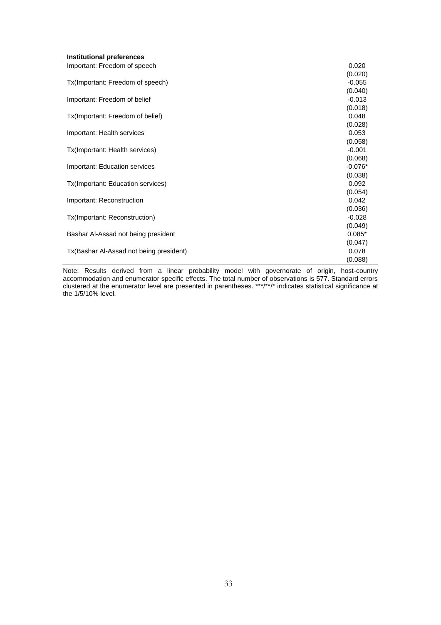| Institutional preferences               |           |
|-----------------------------------------|-----------|
| Important: Freedom of speech            | 0.020     |
|                                         | (0.020)   |
| Tx(Important: Freedom of speech)        | $-0.055$  |
|                                         | (0.040)   |
| Important: Freedom of belief            | $-0.013$  |
|                                         | (0.018)   |
| Tx(Important: Freedom of belief)        | 0.048     |
|                                         | (0.028)   |
| Important: Health services              | 0.053     |
|                                         | (0.058)   |
| Tx(Important: Health services)          | $-0.001$  |
|                                         | (0.068)   |
| Important: Education services           | $-0.076*$ |
|                                         | (0.038)   |
| Tx(Important: Education services)       | 0.092     |
|                                         | (0.054)   |
| Important: Reconstruction               | 0.042     |
|                                         | (0.036)   |
| Tx(Important: Reconstruction)           | $-0.028$  |
|                                         | (0.049)   |
| Bashar Al-Assad not being president     | $0.085*$  |
|                                         | (0.047)   |
| Tx(Bashar Al-Assad not being president) | 0.078     |
|                                         | (0.088)   |
|                                         |           |

Note: Results derived from a linear probability model with governorate of origin, host-country accommodation and enumerator specific effects. The total number of observations is 577. Standard errors clustered at the enumerator level are presented in parentheses. \*\*\*/\*\*/\* indicates statistical significance at the 1/5/10% level.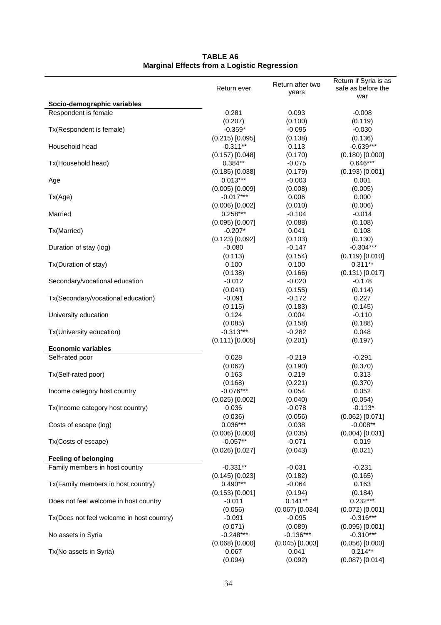|                                           |                                 | Return after two    | Return if Syria is as           |
|-------------------------------------------|---------------------------------|---------------------|---------------------------------|
|                                           | Return ever                     | years               | safe as before the<br>war       |
| Socio-demographic variables               |                                 |                     |                                 |
| Respondent is female                      | 0.281                           | 0.093               | $-0.008$                        |
|                                           | (0.207)                         | (0.100)             | (0.119)                         |
| Tx(Respondent is female)                  | $-0.359*$                       | $-0.095$            | $-0.030$                        |
|                                           | $(0.215)$ [0.095]               | (0.138)             | (0.136)                         |
| Household head                            | $-0.311**$                      | 0.113               | $-0.639***$                     |
|                                           | $(0.157)$ [0.048]               | (0.170)             | $(0.180)$ $[0.000]$             |
| Tx(Household head)                        | $0.384**$                       | $-0.075$            | $0.646***$                      |
|                                           | $(0.185)$ [0.038]               | (0.179)             | $(0.193)$ $[0.001]$             |
| Age                                       | $0.013***$                      | $-0.003$            | 0.001                           |
|                                           | $(0.005)$ [0.009]               | (0.008)             | (0.005)                         |
| Tx(Age)                                   | $-0.017***$                     | 0.006               | 0.000                           |
|                                           | $(0.006)$ [0.002]<br>$0.258***$ | (0.010)             | (0.006)                         |
| Married                                   | $(0.095)$ $[0.007]$             | $-0.104$<br>(0.088) | $-0.014$<br>(0.108)             |
| Tx(Married)                               | $-0.207*$                       | 0.041               | 0.108                           |
|                                           | $(0.123)$ [0.092]               | (0.103)             | (0.130)                         |
| Duration of stay (log)                    | $-0.080$                        | $-0.147$            | $-0.304***$                     |
|                                           | (0.113)                         | (0.154)             | $(0.119)$ [0.010]               |
| Tx(Duration of stay)                      | 0.100                           | 0.100               | $0.311**$                       |
|                                           | (0.138)                         | (0.166)             | $(0.131)$ [0.017]               |
| Secondary/vocational education            | $-0.012$                        | $-0.020$            | $-0.178$                        |
|                                           | (0.041)                         | (0.155)             | (0.114)                         |
| Tx(Secondary/vocational education)        | $-0.091$                        | $-0.172$            | 0.227                           |
|                                           | (0.115)                         | (0.183)             | (0.145)                         |
| University education                      | 0.124                           | 0.004               | $-0.110$                        |
|                                           | (0.085)                         | (0.158)             | (0.188)                         |
| Tx(University education)                  | $-0.313***$                     | $-0.282$            | 0.048                           |
|                                           | $(0.111)$ [0.005]               | (0.201)             | (0.197)                         |
| <b>Economic variables</b>                 |                                 |                     |                                 |
| Self-rated poor                           | 0.028                           | $-0.219$            | $-0.291$                        |
|                                           | (0.062)                         | (0.190)             | (0.370)                         |
| Tx(Self-rated poor)                       | 0.163                           | 0.219               | 0.313                           |
|                                           | (0.168)                         | (0.221)             | (0.370)                         |
| Income category host country              | $-0.076***$                     | 0.054               | 0.052                           |
|                                           | $(0.025)$ [0.002]               | (0.040)             | (0.054)                         |
| Tx(Income category host country)          | 0.036                           | $-0.078$            | $-0.113*$                       |
| Costs of escape (log)                     | (0.036)<br>$0.036***$           | (0.056)<br>0.038    | $(0.062)$ [0.071]<br>$-0.008**$ |
|                                           | $(0.006)$ [0.000]               | (0.035)             | $(0.004)$ [0.031]               |
| Tx(Costs of escape)                       | $-0.057**$                      | $-0.071$            | 0.019                           |
|                                           | $(0.026)$ [0.027]               | (0.043)             | (0.021)                         |
| <b>Feeling of belonging</b>               |                                 |                     |                                 |
| Family members in host country            | $-0.331**$                      | $-0.031$            | $-0.231$                        |
|                                           | $(0.145)$ [0.023]               | (0.182)             | (0.165)                         |
| Tx(Family members in host country)        | $0.490***$                      | $-0.064$            | 0.163                           |
|                                           | $(0.153)$ $[0.001]$             | (0.194)             | (0.184)                         |
| Does not feel welcome in host country     | $-0.011$                        | $0.141**$           | $0.232***$                      |
|                                           | (0.056)                         | $(0.067)$ [0.034]   | $(0.072)$ [0.001]               |
| Tx(Does not feel welcome in host country) | $-0.091$                        | $-0.095$            | $-0.316***$                     |
|                                           | (0.071)                         | (0.089)             | $(0.095)$ $[0.001]$             |
| No assets in Syria                        | $-0.248***$                     | $-0.136***$         | $-0.310***$                     |
|                                           | $(0.068)$ $[0.000]$             | $(0.045)$ [0.003]   | $(0.056)$ $[0.000]$             |
| Tx(No assets in Syria)                    | 0.067                           | 0.041               | $0.214**$                       |
|                                           | (0.094)                         | (0.092)             | $(0.087)$ [0.014]               |

#### **TABLE A6 Marginal Effects from a Logistic Regression**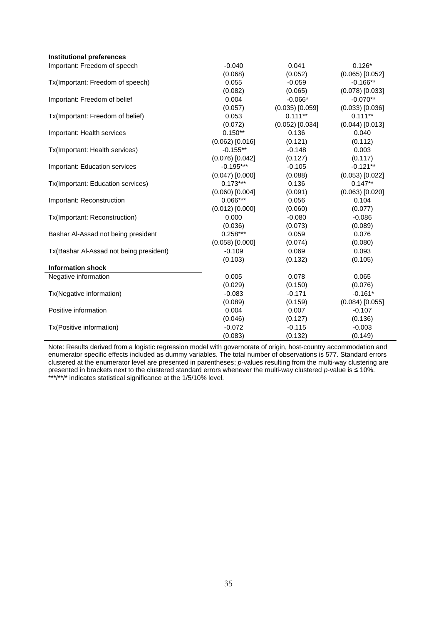| <b>Institutional preferences</b>        |                     |                     |                     |
|-----------------------------------------|---------------------|---------------------|---------------------|
| Important: Freedom of speech            | $-0.040$            | 0.041               | $0.126*$            |
|                                         | (0.068)             | (0.052)             | $(0.065)$ $[0.052]$ |
| Tx(Important: Freedom of speech)        | 0.055               | $-0.059$            | $-0.166**$          |
|                                         | (0.082)             | (0.065)             | $(0.078)$ [0.033]   |
| Important: Freedom of belief            | 0.004               | $-0.066*$           | $-0.070**$          |
|                                         | (0.057)             | $(0.035)$ $[0.059]$ | $(0.033)$ $[0.036]$ |
| Tx(Important: Freedom of belief)        | 0.053               | $0.111***$          | $0.111**$           |
|                                         | (0.072)             | $(0.052)$ [0.034]   | $(0.044)$ [0.013]   |
| Important: Health services              | $0.150**$           | 0.136               | 0.040               |
|                                         | $(0.062)$ [0.016]   | (0.121)             | (0.112)             |
| Tx(Important: Health services)          | $-0.155**$          | $-0.148$            | 0.003               |
|                                         | $(0.076)$ [0.042]   | (0.127)             | (0.117)             |
| Important: Education services           | $-0.195***$         | $-0.105$            | $-0.121**$          |
|                                         | $(0.047)$ [0.000]   | (0.088)             | $(0.053)$ $[0.022]$ |
| Tx(Important: Education services)       | $0.173***$          | 0.136               | $0.147**$           |
|                                         | $(0.060)$ $[0.004]$ | (0.091)             | $(0.063)$ $[0.020]$ |
| Important: Reconstruction               | $0.066***$          | 0.056               | 0.104               |
|                                         | $(0.012)$ [0.000]   | (0.060)             | (0.077)             |
| Tx(Important: Reconstruction)           | 0.000               | $-0.080$            | $-0.086$            |
|                                         | (0.036)             | (0.073)             | (0.089)             |
| Bashar Al-Assad not being president     | $0.258***$          | 0.059               | 0.076               |
|                                         | $(0.058)$ [0.000]   | (0.074)             | (0.080)             |
| Tx(Bashar Al-Assad not being president) | $-0.109$            | 0.069               | 0.093               |
|                                         | (0.103)             | (0.132)             | (0.105)             |
| <b>Information shock</b>                |                     |                     |                     |
| Negative information                    | 0.005               | 0.078               | 0.065               |
|                                         | (0.029)             | (0.150)             | (0.076)             |
| Tx(Negative information)                | $-0.083$            | $-0.171$            | $-0.161*$           |
|                                         | (0.089)             | (0.159)             | $(0.084)$ [0.055]   |
| Positive information                    | 0.004               | 0.007               | $-0.107$            |
|                                         | (0.046)             | (0.127)             | (0.136)             |
| Tx(Positive information)                | $-0.072$            | $-0.115$            | $-0.003$            |
|                                         | (0.083)             | (0.132)             | (0.149)             |

Note: Results derived from a logistic regression model with governorate of origin, host-country accommodation and enumerator specific effects included as dummy variables. The total number of observations is 577. Standard errors clustered at the enumerator level are presented in parentheses; *p*-values resulting from the multi-way clustering are presented in brackets next to the clustered standard errors whenever the multi-way clustered *p*-value is ≤ 10%. \*\*\*/\*\*/\* indicates statistical significance at the 1/5/10% level.